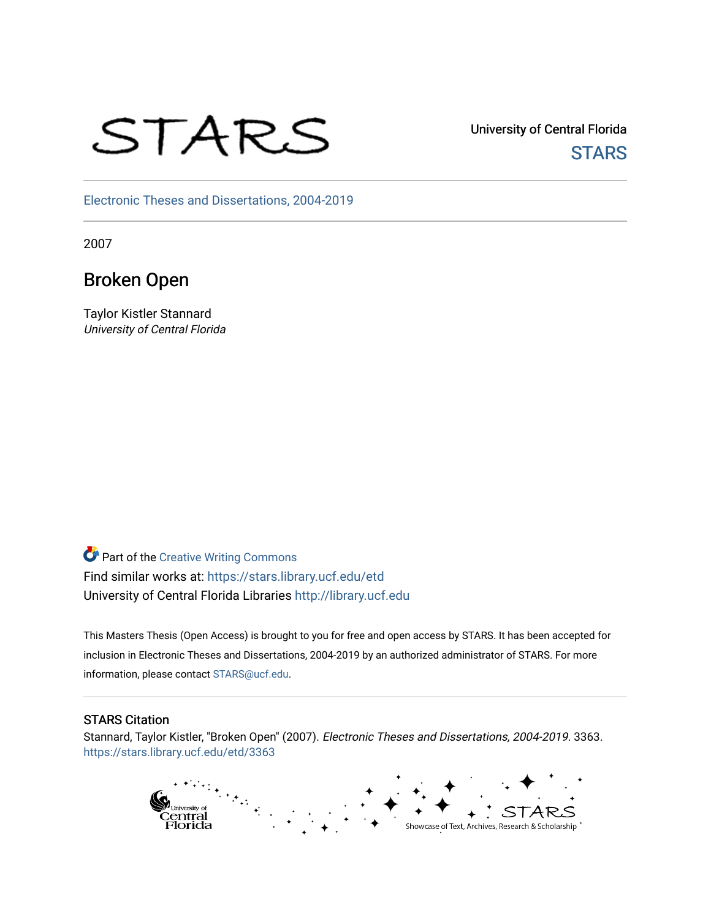# STARS

University of Central Florida **STARS** 

[Electronic Theses and Dissertations, 2004-2019](https://stars.library.ucf.edu/etd) 

2007

## Broken Open

Taylor Kistler Stannard University of Central Florida

**Part of the Creative Writing Commons** Find similar works at: <https://stars.library.ucf.edu/etd> University of Central Florida Libraries [http://library.ucf.edu](http://library.ucf.edu/) 

This Masters Thesis (Open Access) is brought to you for free and open access by STARS. It has been accepted for inclusion in Electronic Theses and Dissertations, 2004-2019 by an authorized administrator of STARS. For more information, please contact [STARS@ucf.edu.](mailto:STARS@ucf.edu)

#### STARS Citation

Stannard, Taylor Kistler, "Broken Open" (2007). Electronic Theses and Dissertations, 2004-2019. 3363. [https://stars.library.ucf.edu/etd/3363](https://stars.library.ucf.edu/etd/3363?utm_source=stars.library.ucf.edu%2Fetd%2F3363&utm_medium=PDF&utm_campaign=PDFCoverPages) 

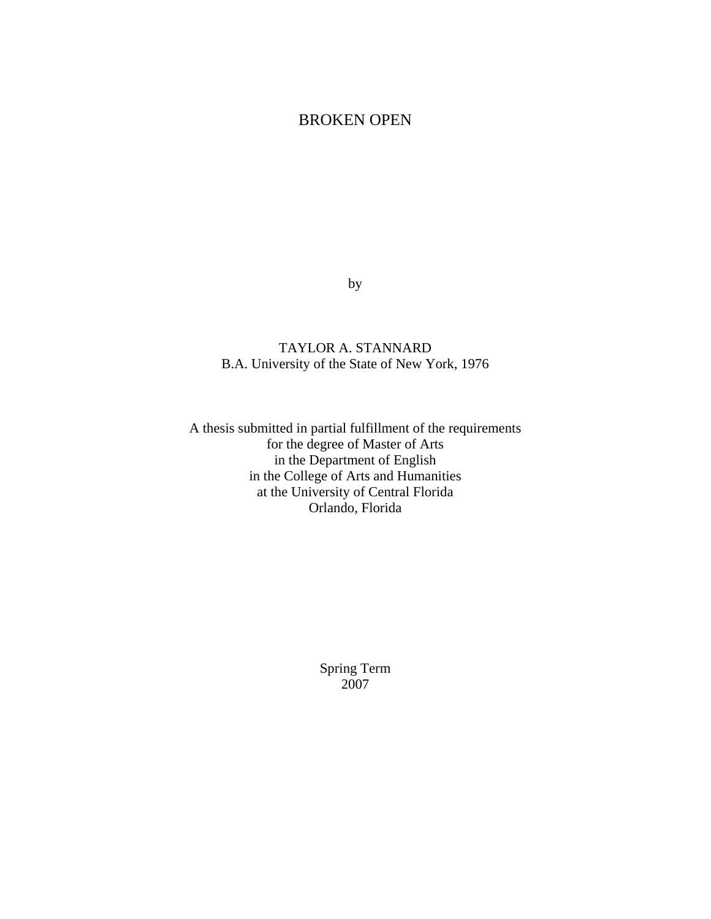## BROKEN OPEN

by

### TAYLOR A. STANNARD B.A. University of the State of New York, 1976

A thesis submitted in partial fulfillment of the requirements for the degree of Master of Arts in the Department of English in the College of Arts and Humanities at the University of Central Florida Orlando, Florida

> Spring Term 2007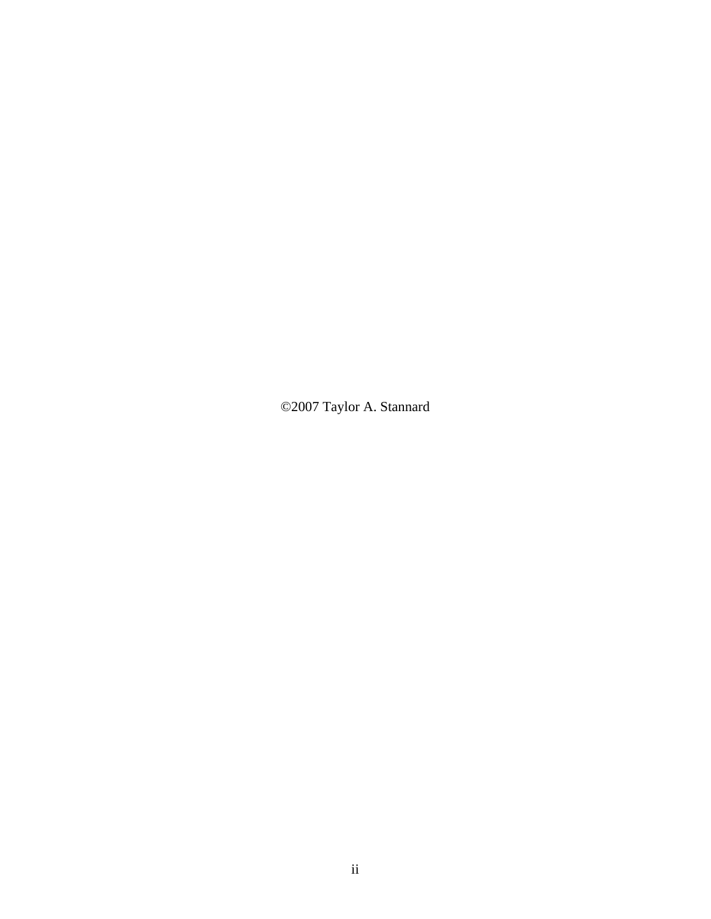©2007 Taylor A. Stannard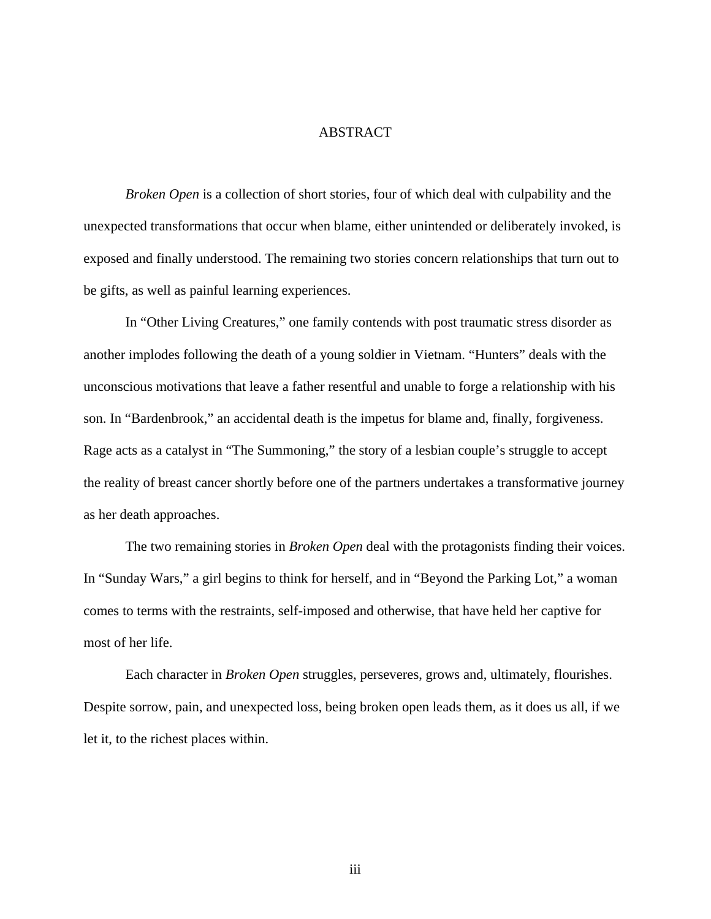#### **ABSTRACT**

*Broken Open* is a collection of short stories, four of which deal with culpability and the unexpected transformations that occur when blame, either unintended or deliberately invoked, is exposed and finally understood. The remaining two stories concern relationships that turn out to be gifts, as well as painful learning experiences.

 In "Other Living Creatures," one family contends with post traumatic stress disorder as another implodes following the death of a young soldier in Vietnam. "Hunters" deals with the unconscious motivations that leave a father resentful and unable to forge a relationship with his son. In "Bardenbrook," an accidental death is the impetus for blame and, finally, forgiveness. Rage acts as a catalyst in "The Summoning," the story of a lesbian couple's struggle to accept the reality of breast cancer shortly before one of the partners undertakes a transformative journey as her death approaches.

 The two remaining stories in *Broken Open* deal with the protagonists finding their voices. In "Sunday Wars," a girl begins to think for herself, and in "Beyond the Parking Lot," a woman comes to terms with the restraints, self-imposed and otherwise, that have held her captive for most of her life.

 Each character in *Broken Open* struggles, perseveres, grows and, ultimately, flourishes. Despite sorrow, pain, and unexpected loss, being broken open leads them, as it does us all, if we let it, to the richest places within.

iii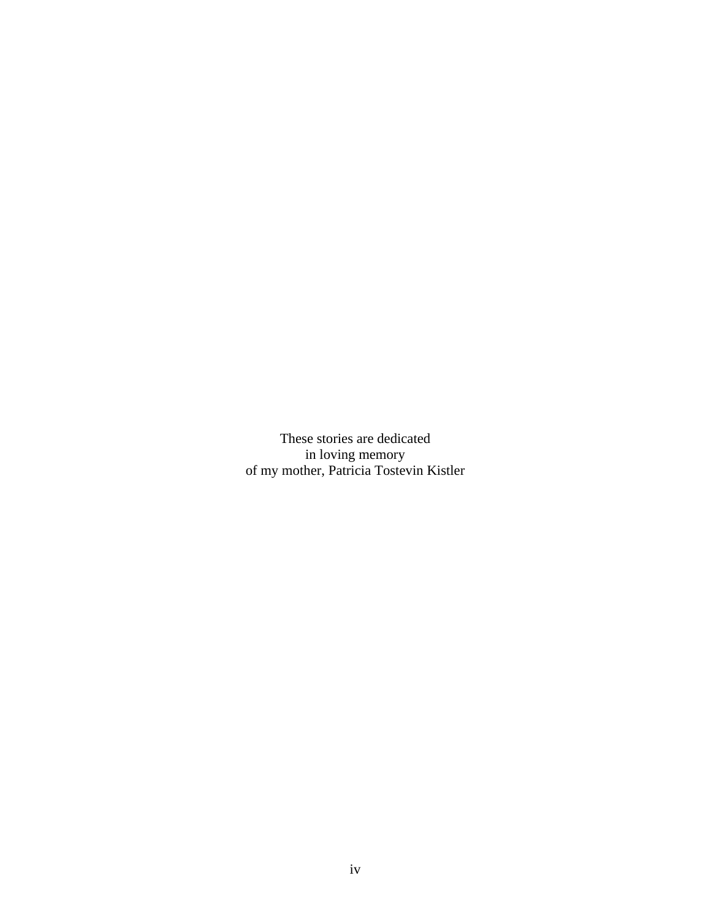These stories are dedicated in loving memory of my mother, Patricia Tostevin Kistler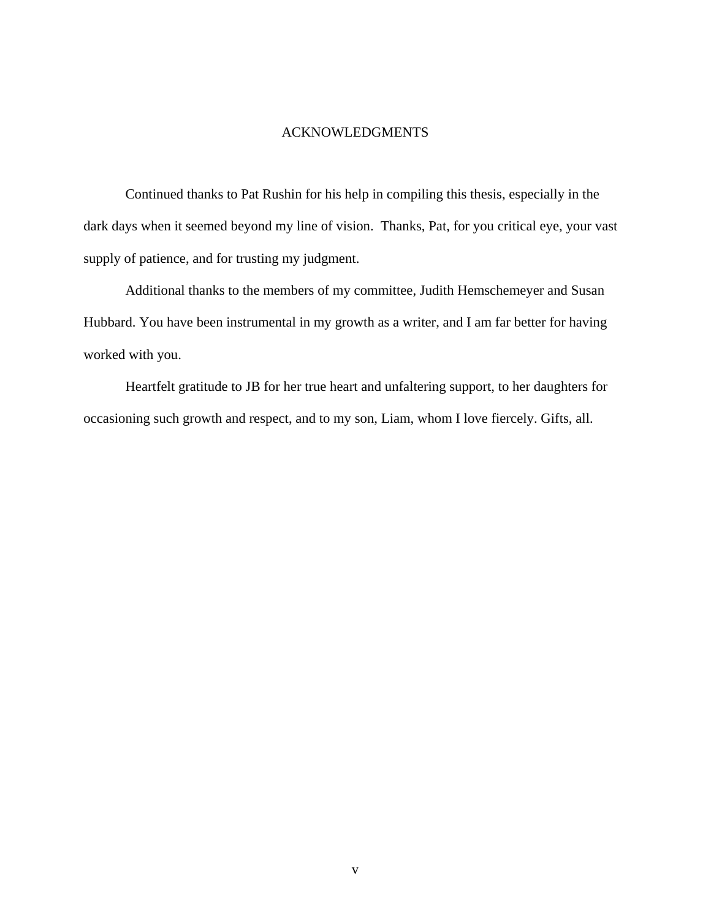#### ACKNOWLEDGMENTS

Continued thanks to Pat Rushin for his help in compiling this thesis, especially in the dark days when it seemed beyond my line of vision. Thanks, Pat, for you critical eye, your vast supply of patience, and for trusting my judgment.

 Additional thanks to the members of my committee, Judith Hemschemeyer and Susan Hubbard. You have been instrumental in my growth as a writer, and I am far better for having worked with you.

 Heartfelt gratitude to JB for her true heart and unfaltering support, to her daughters for occasioning such growth and respect, and to my son, Liam, whom I love fiercely. Gifts, all.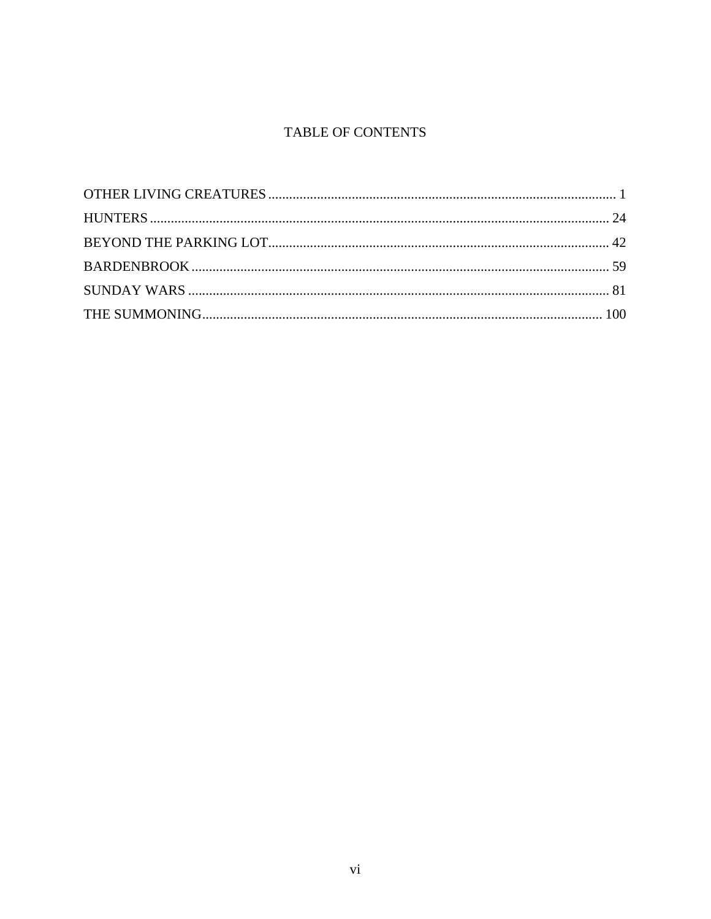## TABLE OF CONTENTS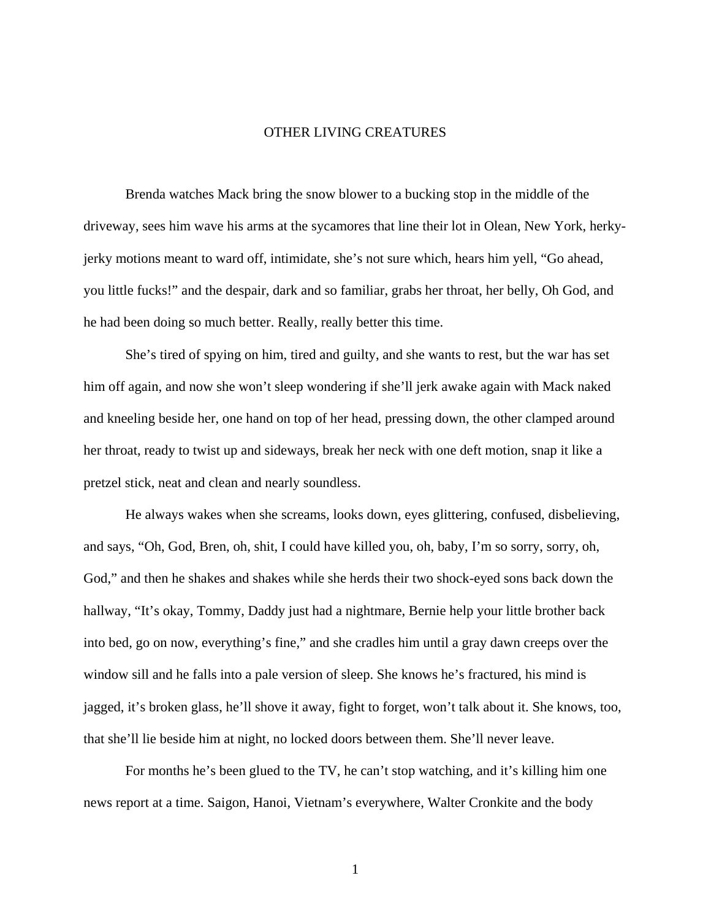#### <span id="page-7-0"></span>OTHER LIVING CREATURES

Brenda watches Mack bring the snow blower to a bucking stop in the middle of the driveway, sees him wave his arms at the sycamores that line their lot in Olean, New York, herkyjerky motions meant to ward off, intimidate, she's not sure which, hears him yell, "Go ahead, you little fucks!" and the despair, dark and so familiar, grabs her throat, her belly, Oh God, and he had been doing so much better. Really, really better this time.

She's tired of spying on him, tired and guilty, and she wants to rest, but the war has set him off again, and now she won't sleep wondering if she'll jerk awake again with Mack naked and kneeling beside her, one hand on top of her head, pressing down, the other clamped around her throat, ready to twist up and sideways, break her neck with one deft motion, snap it like a pretzel stick, neat and clean and nearly soundless.

He always wakes when she screams, looks down, eyes glittering, confused, disbelieving, and says, "Oh, God, Bren, oh, shit, I could have killed you, oh, baby, I'm so sorry, sorry, oh, God," and then he shakes and shakes while she herds their two shock-eyed sons back down the hallway, "It's okay, Tommy, Daddy just had a nightmare, Bernie help your little brother back into bed, go on now, everything's fine," and she cradles him until a gray dawn creeps over the window sill and he falls into a pale version of sleep. She knows he's fractured, his mind is jagged, it's broken glass, he'll shove it away, fight to forget, won't talk about it. She knows, too, that she'll lie beside him at night, no locked doors between them. She'll never leave.

 For months he's been glued to the TV, he can't stop watching, and it's killing him one news report at a time. Saigon, Hanoi, Vietnam's everywhere, Walter Cronkite and the body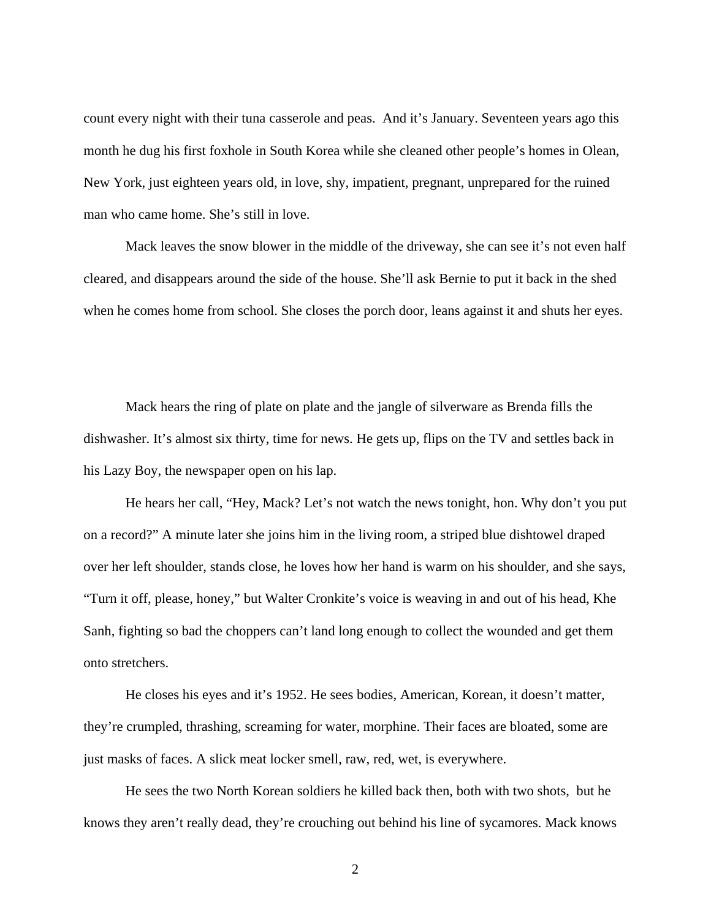count every night with their tuna casserole and peas. And it's January. Seventeen years ago this month he dug his first foxhole in South Korea while she cleaned other people's homes in Olean, New York, just eighteen years old, in love, shy, impatient, pregnant, unprepared for the ruined man who came home. She's still in love.

 Mack leaves the snow blower in the middle of the driveway, she can see it's not even half cleared, and disappears around the side of the house. She'll ask Bernie to put it back in the shed when he comes home from school. She closes the porch door, leans against it and shuts her eyes.

Mack hears the ring of plate on plate and the jangle of silverware as Brenda fills the dishwasher. It's almost six thirty, time for news. He gets up, flips on the TV and settles back in his Lazy Boy, the newspaper open on his lap.

 He hears her call, "Hey, Mack? Let's not watch the news tonight, hon. Why don't you put on a record?" A minute later she joins him in the living room, a striped blue dishtowel draped over her left shoulder, stands close, he loves how her hand is warm on his shoulder, and she says, "Turn it off, please, honey," but Walter Cronkite's voice is weaving in and out of his head, Khe Sanh, fighting so bad the choppers can't land long enough to collect the wounded and get them onto stretchers.

He closes his eyes and it's 1952. He sees bodies, American, Korean, it doesn't matter, they're crumpled, thrashing, screaming for water, morphine. Their faces are bloated, some are just masks of faces. A slick meat locker smell, raw, red, wet, is everywhere.

He sees the two North Korean soldiers he killed back then, both with two shots, but he knows they aren't really dead, they're crouching out behind his line of sycamores. Mack knows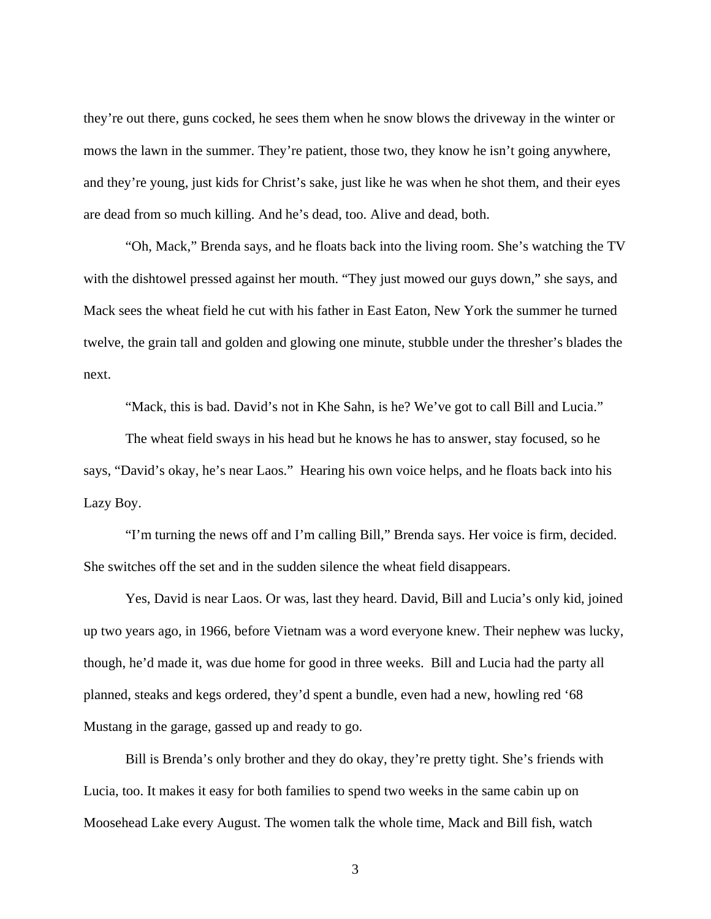they're out there, guns cocked, he sees them when he snow blows the driveway in the winter or mows the lawn in the summer. They're patient, those two, they know he isn't going anywhere, and they're young, just kids for Christ's sake, just like he was when he shot them, and their eyes are dead from so much killing. And he's dead, too. Alive and dead, both.

"Oh, Mack," Brenda says, and he floats back into the living room. She's watching the TV with the dishtowel pressed against her mouth. "They just mowed our guys down," she says, and Mack sees the wheat field he cut with his father in East Eaton, New York the summer he turned twelve, the grain tall and golden and glowing one minute, stubble under the thresher's blades the next.

"Mack, this is bad. David's not in Khe Sahn, is he? We've got to call Bill and Lucia."

The wheat field sways in his head but he knows he has to answer, stay focused, so he says, "David's okay, he's near Laos." Hearing his own voice helps, and he floats back into his Lazy Boy.

"I'm turning the news off and I'm calling Bill," Brenda says. Her voice is firm, decided. She switches off the set and in the sudden silence the wheat field disappears.

Yes, David is near Laos. Or was, last they heard. David, Bill and Lucia's only kid, joined up two years ago, in 1966, before Vietnam was a word everyone knew. Their nephew was lucky, though, he'd made it, was due home for good in three weeks. Bill and Lucia had the party all planned, steaks and kegs ordered, they'd spent a bundle, even had a new, howling red '68 Mustang in the garage, gassed up and ready to go.

Bill is Brenda's only brother and they do okay, they're pretty tight. She's friends with Lucia, too. It makes it easy for both families to spend two weeks in the same cabin up on Moosehead Lake every August. The women talk the whole time, Mack and Bill fish, watch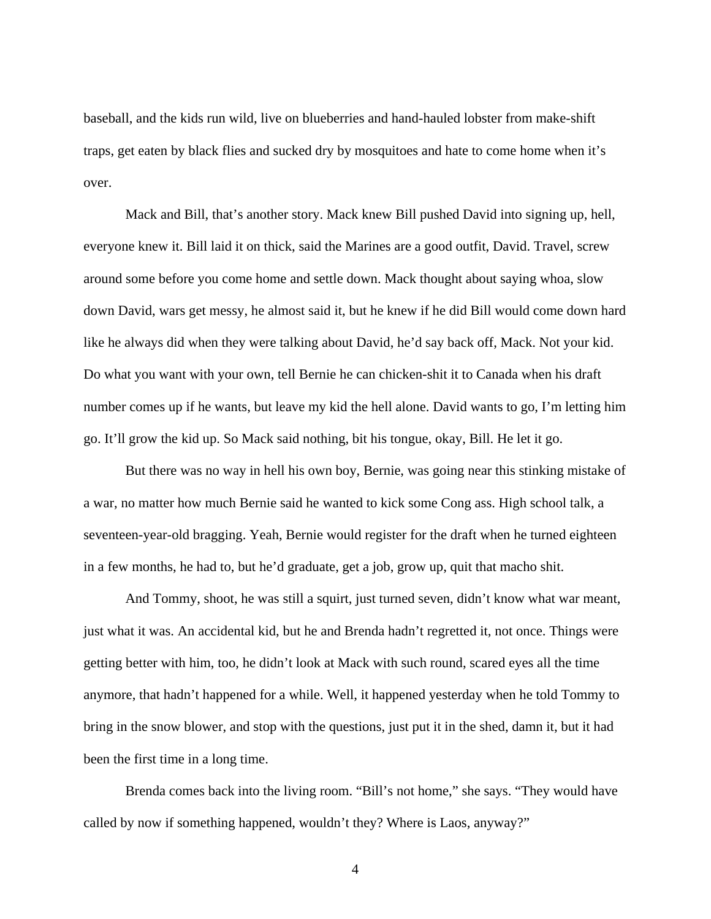baseball, and the kids run wild, live on blueberries and hand-hauled lobster from make-shift traps, get eaten by black flies and sucked dry by mosquitoes and hate to come home when it's over.

Mack and Bill, that's another story. Mack knew Bill pushed David into signing up, hell, everyone knew it. Bill laid it on thick, said the Marines are a good outfit, David. Travel, screw around some before you come home and settle down. Mack thought about saying whoa, slow down David, wars get messy, he almost said it, but he knew if he did Bill would come down hard like he always did when they were talking about David, he'd say back off, Mack. Not your kid. Do what you want with your own, tell Bernie he can chicken-shit it to Canada when his draft number comes up if he wants, but leave my kid the hell alone. David wants to go, I'm letting him go. It'll grow the kid up. So Mack said nothing, bit his tongue, okay, Bill. He let it go.

But there was no way in hell his own boy, Bernie, was going near this stinking mistake of a war, no matter how much Bernie said he wanted to kick some Cong ass. High school talk, a seventeen-year-old bragging. Yeah, Bernie would register for the draft when he turned eighteen in a few months, he had to, but he'd graduate, get a job, grow up, quit that macho shit.

And Tommy, shoot, he was still a squirt, just turned seven, didn't know what war meant, just what it was. An accidental kid, but he and Brenda hadn't regretted it, not once. Things were getting better with him, too, he didn't look at Mack with such round, scared eyes all the time anymore, that hadn't happened for a while. Well, it happened yesterday when he told Tommy to bring in the snow blower, and stop with the questions, just put it in the shed, damn it, but it had been the first time in a long time.

Brenda comes back into the living room. "Bill's not home," she says. "They would have called by now if something happened, wouldn't they? Where is Laos, anyway?"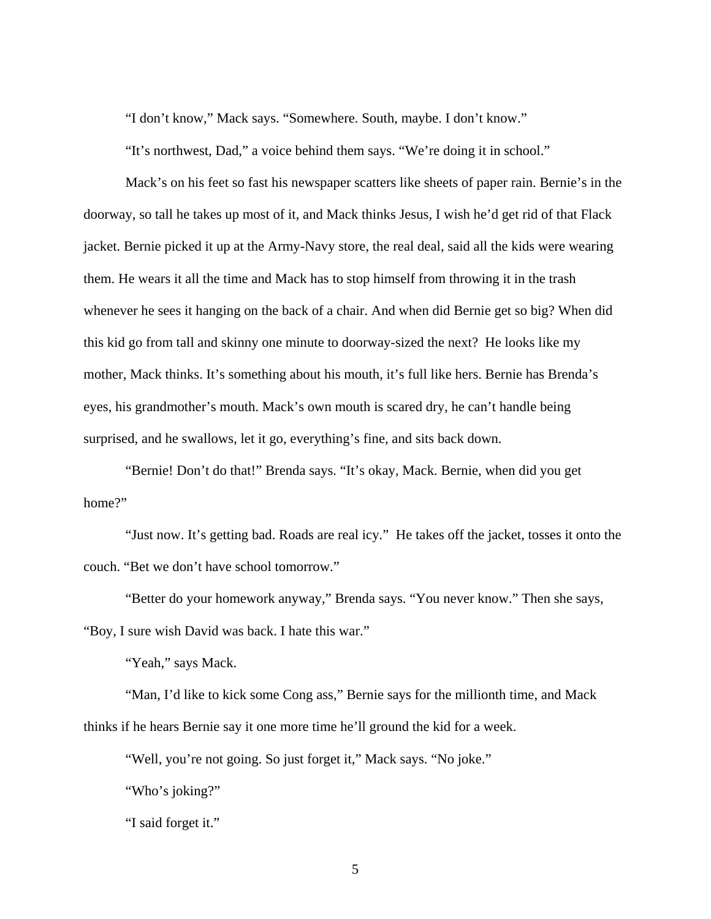"I don't know," Mack says. "Somewhere. South, maybe. I don't know."

"It's northwest, Dad," a voice behind them says. "We're doing it in school."

Mack's on his feet so fast his newspaper scatters like sheets of paper rain. Bernie's in the doorway, so tall he takes up most of it, and Mack thinks Jesus, I wish he'd get rid of that Flack jacket. Bernie picked it up at the Army-Navy store, the real deal, said all the kids were wearing them. He wears it all the time and Mack has to stop himself from throwing it in the trash whenever he sees it hanging on the back of a chair. And when did Bernie get so big? When did this kid go from tall and skinny one minute to doorway-sized the next? He looks like my mother, Mack thinks. It's something about his mouth, it's full like hers. Bernie has Brenda's eyes, his grandmother's mouth. Mack's own mouth is scared dry, he can't handle being surprised, and he swallows, let it go, everything's fine, and sits back down.

"Bernie! Don't do that!" Brenda says. "It's okay, Mack. Bernie, when did you get home?"

"Just now. It's getting bad. Roads are real icy." He takes off the jacket, tosses it onto the couch. "Bet we don't have school tomorrow."

"Better do your homework anyway," Brenda says. "You never know." Then she says, "Boy, I sure wish David was back. I hate this war."

"Yeah," says Mack.

"Man, I'd like to kick some Cong ass," Bernie says for the millionth time, and Mack thinks if he hears Bernie say it one more time he'll ground the kid for a week.

"Well, you're not going. So just forget it," Mack says. "No joke."

"Who's joking?"

"I said forget it."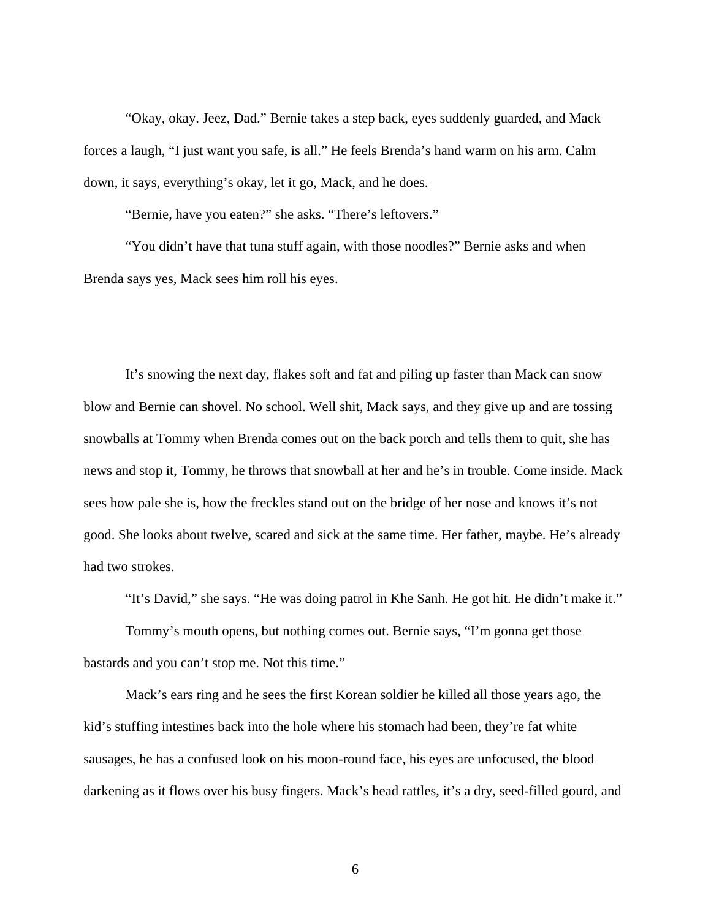"Okay, okay. Jeez, Dad." Bernie takes a step back, eyes suddenly guarded, and Mack forces a laugh, "I just want you safe, is all." He feels Brenda's hand warm on his arm. Calm down, it says, everything's okay, let it go, Mack, and he does.

"Bernie, have you eaten?" she asks. "There's leftovers."

"You didn't have that tuna stuff again, with those noodles?" Bernie asks and when Brenda says yes, Mack sees him roll his eyes.

It's snowing the next day, flakes soft and fat and piling up faster than Mack can snow blow and Bernie can shovel. No school. Well shit, Mack says, and they give up and are tossing snowballs at Tommy when Brenda comes out on the back porch and tells them to quit, she has news and stop it, Tommy, he throws that snowball at her and he's in trouble. Come inside. Mack sees how pale she is, how the freckles stand out on the bridge of her nose and knows it's not good. She looks about twelve, scared and sick at the same time. Her father, maybe. He's already had two strokes.

"It's David," she says. "He was doing patrol in Khe Sanh. He got hit. He didn't make it."

Tommy's mouth opens, but nothing comes out. Bernie says, "I'm gonna get those bastards and you can't stop me. Not this time."

Mack's ears ring and he sees the first Korean soldier he killed all those years ago, the kid's stuffing intestines back into the hole where his stomach had been, they're fat white sausages, he has a confused look on his moon-round face, his eyes are unfocused, the blood darkening as it flows over his busy fingers. Mack's head rattles, it's a dry, seed-filled gourd, and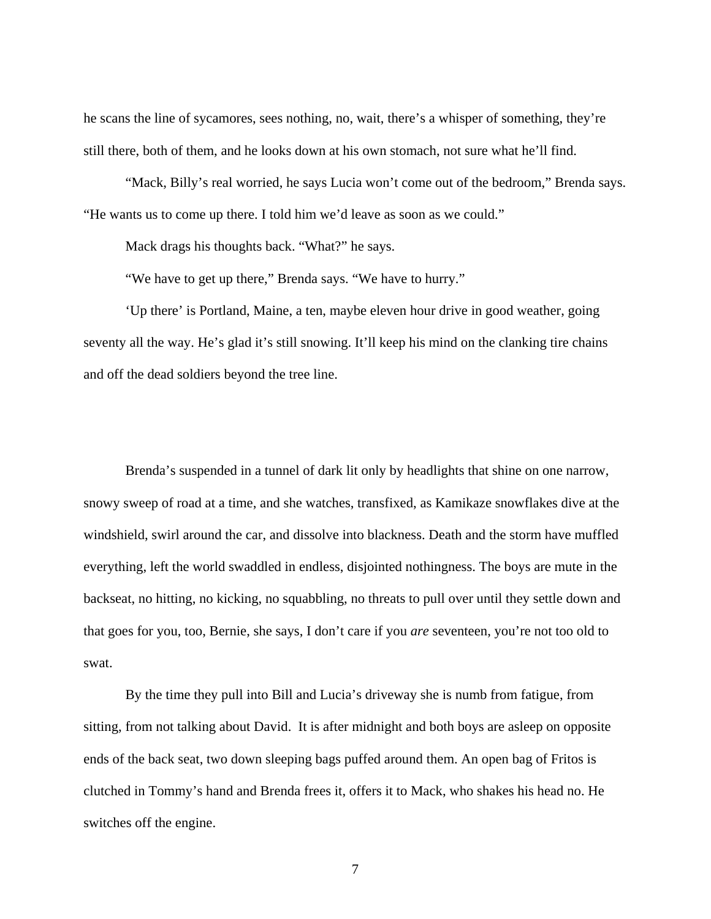he scans the line of sycamores, sees nothing, no, wait, there's a whisper of something, they're still there, both of them, and he looks down at his own stomach, not sure what he'll find.

"Mack, Billy's real worried, he says Lucia won't come out of the bedroom," Brenda says. "He wants us to come up there. I told him we'd leave as soon as we could."

Mack drags his thoughts back. "What?" he says.

"We have to get up there," Brenda says. "We have to hurry."

'Up there' is Portland, Maine, a ten, maybe eleven hour drive in good weather, going seventy all the way. He's glad it's still snowing. It'll keep his mind on the clanking tire chains and off the dead soldiers beyond the tree line.

Brenda's suspended in a tunnel of dark lit only by headlights that shine on one narrow, snowy sweep of road at a time, and she watches, transfixed, as Kamikaze snowflakes dive at the windshield, swirl around the car, and dissolve into blackness. Death and the storm have muffled everything, left the world swaddled in endless, disjointed nothingness. The boys are mute in the backseat, no hitting, no kicking, no squabbling, no threats to pull over until they settle down and that goes for you, too, Bernie, she says, I don't care if you *are* seventeen, you're not too old to swat.

By the time they pull into Bill and Lucia's driveway she is numb from fatigue, from sitting, from not talking about David. It is after midnight and both boys are asleep on opposite ends of the back seat, two down sleeping bags puffed around them. An open bag of Fritos is clutched in Tommy's hand and Brenda frees it, offers it to Mack, who shakes his head no. He switches off the engine.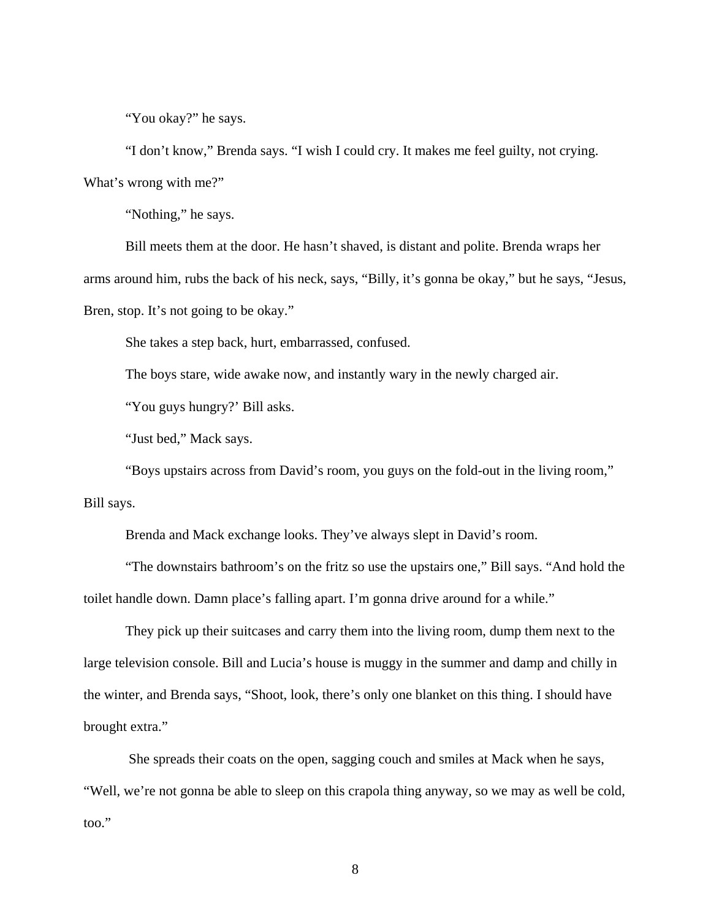"You okay?" he says.

"I don't know," Brenda says. "I wish I could cry. It makes me feel guilty, not crying. What's wrong with me?"

"Nothing," he says.

Bill meets them at the door. He hasn't shaved, is distant and polite. Brenda wraps her arms around him, rubs the back of his neck, says, "Billy, it's gonna be okay," but he says, "Jesus, Bren, stop. It's not going to be okay."

She takes a step back, hurt, embarrassed, confused.

The boys stare, wide awake now, and instantly wary in the newly charged air.

"You guys hungry?' Bill asks.

"Just bed," Mack says.

"Boys upstairs across from David's room, you guys on the fold-out in the living room," Bill says.

Brenda and Mack exchange looks. They've always slept in David's room.

"The downstairs bathroom's on the fritz so use the upstairs one," Bill says. "And hold the toilet handle down. Damn place's falling apart. I'm gonna drive around for a while."

They pick up their suitcases and carry them into the living room, dump them next to the large television console. Bill and Lucia's house is muggy in the summer and damp and chilly in the winter, and Brenda says, "Shoot, look, there's only one blanket on this thing. I should have brought extra."

 She spreads their coats on the open, sagging couch and smiles at Mack when he says, "Well, we're not gonna be able to sleep on this crapola thing anyway, so we may as well be cold, too."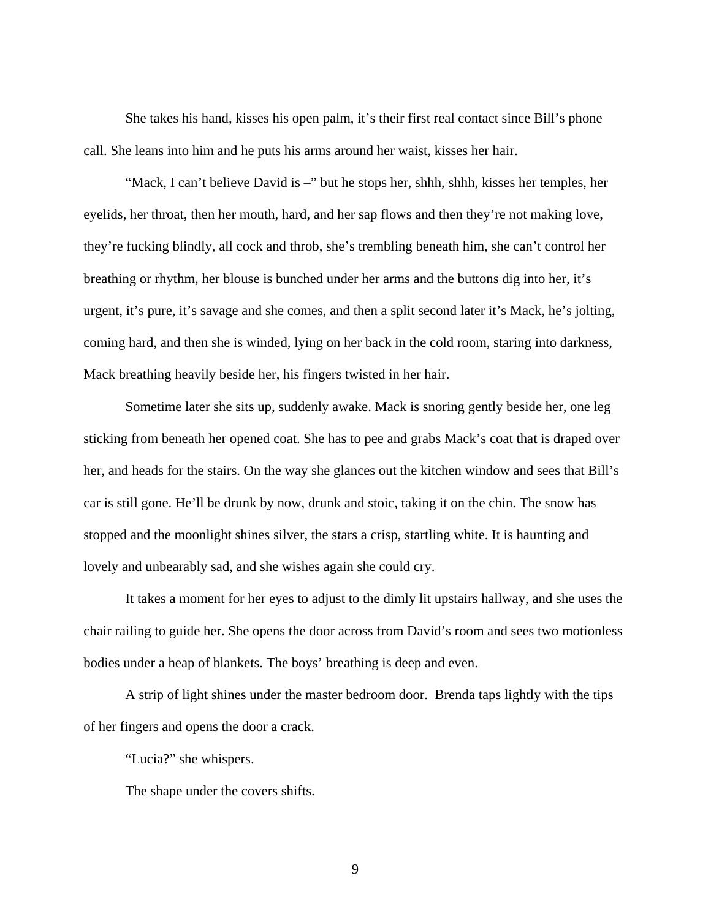She takes his hand, kisses his open palm, it's their first real contact since Bill's phone call. She leans into him and he puts his arms around her waist, kisses her hair.

"Mack, I can't believe David is –" but he stops her, shhh, shhh, kisses her temples, her eyelids, her throat, then her mouth, hard, and her sap flows and then they're not making love, they're fucking blindly, all cock and throb, she's trembling beneath him, she can't control her breathing or rhythm, her blouse is bunched under her arms and the buttons dig into her, it's urgent, it's pure, it's savage and she comes, and then a split second later it's Mack, he's jolting, coming hard, and then she is winded, lying on her back in the cold room, staring into darkness, Mack breathing heavily beside her, his fingers twisted in her hair.

Sometime later she sits up, suddenly awake. Mack is snoring gently beside her, one leg sticking from beneath her opened coat. She has to pee and grabs Mack's coat that is draped over her, and heads for the stairs. On the way she glances out the kitchen window and sees that Bill's car is still gone. He'll be drunk by now, drunk and stoic, taking it on the chin. The snow has stopped and the moonlight shines silver, the stars a crisp, startling white. It is haunting and lovely and unbearably sad, and she wishes again she could cry.

It takes a moment for her eyes to adjust to the dimly lit upstairs hallway, and she uses the chair railing to guide her. She opens the door across from David's room and sees two motionless bodies under a heap of blankets. The boys' breathing is deep and even.

A strip of light shines under the master bedroom door. Brenda taps lightly with the tips of her fingers and opens the door a crack.

"Lucia?" she whispers.

The shape under the covers shifts.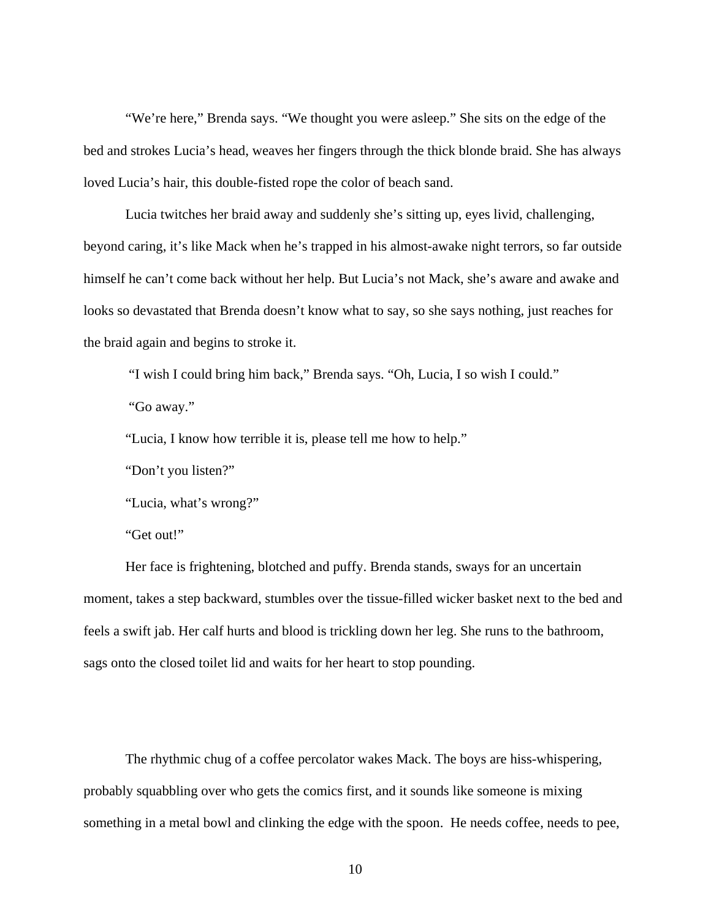"We're here," Brenda says. "We thought you were asleep." She sits on the edge of the bed and strokes Lucia's head, weaves her fingers through the thick blonde braid. She has always loved Lucia's hair, this double-fisted rope the color of beach sand.

Lucia twitches her braid away and suddenly she's sitting up, eyes livid, challenging, beyond caring, it's like Mack when he's trapped in his almost-awake night terrors, so far outside himself he can't come back without her help. But Lucia's not Mack, she's aware and awake and looks so devastated that Brenda doesn't know what to say, so she says nothing, just reaches for the braid again and begins to stroke it.

"I wish I could bring him back," Brenda says. "Oh, Lucia, I so wish I could."

"Go away."

"Lucia, I know how terrible it is, please tell me how to help."

"Don't you listen?"

"Lucia, what's wrong?"

"Get out!"

Her face is frightening, blotched and puffy. Brenda stands, sways for an uncertain moment, takes a step backward, stumbles over the tissue-filled wicker basket next to the bed and feels a swift jab. Her calf hurts and blood is trickling down her leg. She runs to the bathroom, sags onto the closed toilet lid and waits for her heart to stop pounding.

The rhythmic chug of a coffee percolator wakes Mack. The boys are hiss-whispering, probably squabbling over who gets the comics first, and it sounds like someone is mixing something in a metal bowl and clinking the edge with the spoon. He needs coffee, needs to pee,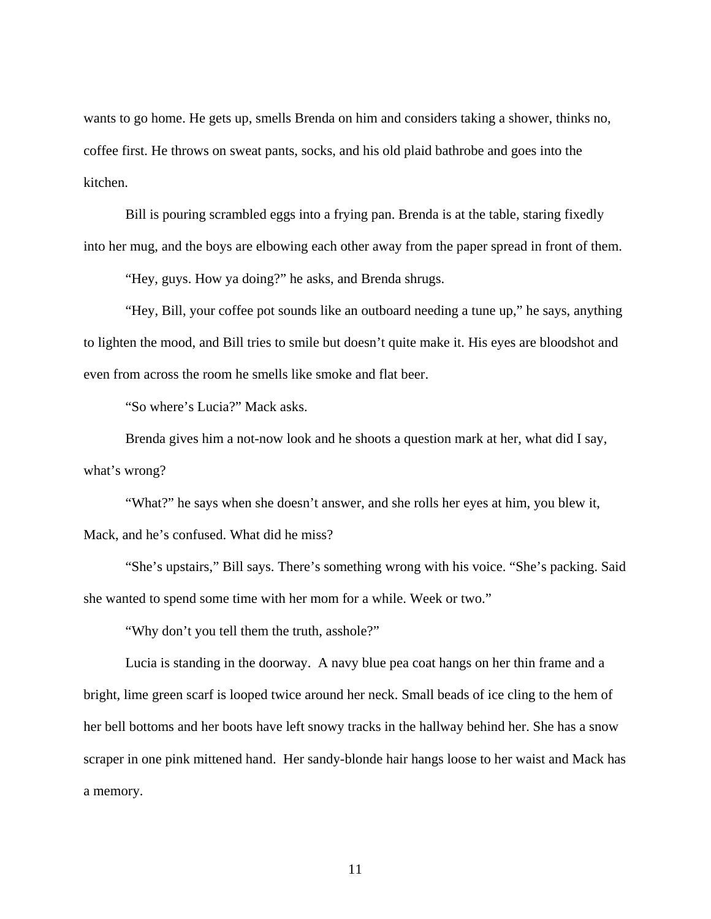wants to go home. He gets up, smells Brenda on him and considers taking a shower, thinks no, coffee first. He throws on sweat pants, socks, and his old plaid bathrobe and goes into the kitchen.

Bill is pouring scrambled eggs into a frying pan. Brenda is at the table, staring fixedly into her mug, and the boys are elbowing each other away from the paper spread in front of them.

"Hey, guys. How ya doing?" he asks, and Brenda shrugs.

"Hey, Bill, your coffee pot sounds like an outboard needing a tune up," he says, anything to lighten the mood, and Bill tries to smile but doesn't quite make it. His eyes are bloodshot and even from across the room he smells like smoke and flat beer.

"So where's Lucia?" Mack asks.

Brenda gives him a not-now look and he shoots a question mark at her, what did I say, what's wrong?

"What?" he says when she doesn't answer, and she rolls her eyes at him, you blew it, Mack, and he's confused. What did he miss?

"She's upstairs," Bill says. There's something wrong with his voice. "She's packing. Said she wanted to spend some time with her mom for a while. Week or two."

"Why don't you tell them the truth, asshole?"

Lucia is standing in the doorway. A navy blue pea coat hangs on her thin frame and a bright, lime green scarf is looped twice around her neck. Small beads of ice cling to the hem of her bell bottoms and her boots have left snowy tracks in the hallway behind her. She has a snow scraper in one pink mittened hand. Her sandy-blonde hair hangs loose to her waist and Mack has a memory.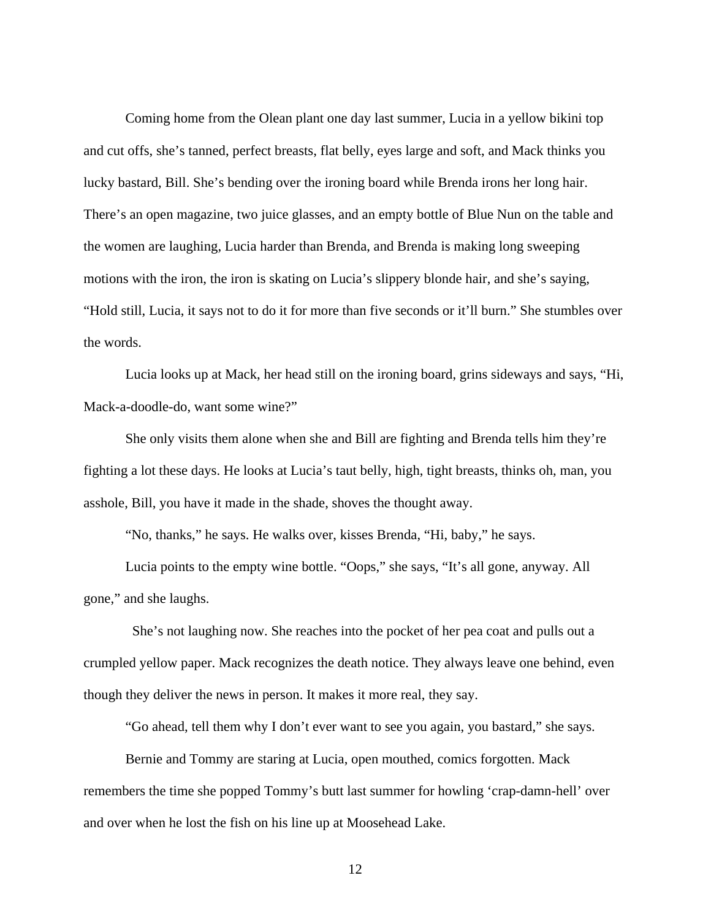Coming home from the Olean plant one day last summer, Lucia in a yellow bikini top and cut offs, she's tanned, perfect breasts, flat belly, eyes large and soft, and Mack thinks you lucky bastard, Bill. She's bending over the ironing board while Brenda irons her long hair. There's an open magazine, two juice glasses, and an empty bottle of Blue Nun on the table and the women are laughing, Lucia harder than Brenda, and Brenda is making long sweeping motions with the iron, the iron is skating on Lucia's slippery blonde hair, and she's saying, "Hold still, Lucia, it says not to do it for more than five seconds or it'll burn." She stumbles over the words.

Lucia looks up at Mack, her head still on the ironing board, grins sideways and says, "Hi, Mack-a-doodle-do, want some wine?"

She only visits them alone when she and Bill are fighting and Brenda tells him they're fighting a lot these days. He looks at Lucia's taut belly, high, tight breasts, thinks oh, man, you asshole, Bill, you have it made in the shade, shoves the thought away.

"No, thanks," he says. He walks over, kisses Brenda, "Hi, baby," he says.

Lucia points to the empty wine bottle. "Oops," she says, "It's all gone, anyway. All gone," and she laughs.

 She's not laughing now. She reaches into the pocket of her pea coat and pulls out a crumpled yellow paper. Mack recognizes the death notice. They always leave one behind, even though they deliver the news in person. It makes it more real, they say.

"Go ahead, tell them why I don't ever want to see you again, you bastard," she says.

Bernie and Tommy are staring at Lucia, open mouthed, comics forgotten. Mack remembers the time she popped Tommy's butt last summer for howling 'crap-damn-hell' over and over when he lost the fish on his line up at Moosehead Lake.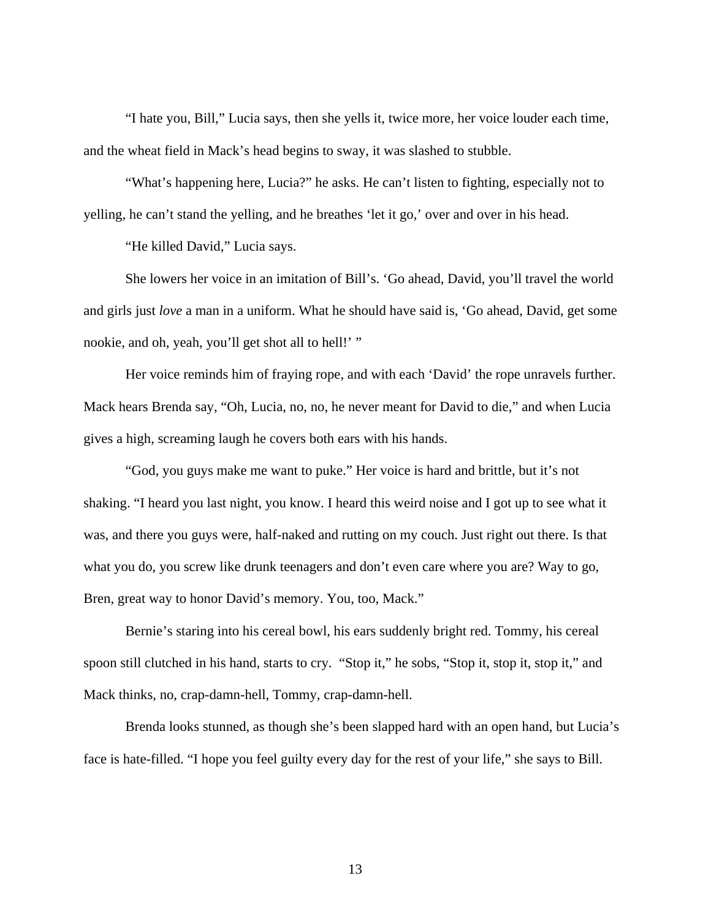"I hate you, Bill," Lucia says, then she yells it, twice more, her voice louder each time, and the wheat field in Mack's head begins to sway, it was slashed to stubble.

"What's happening here, Lucia?" he asks. He can't listen to fighting, especially not to yelling, he can't stand the yelling, and he breathes 'let it go,' over and over in his head.

"He killed David," Lucia says.

She lowers her voice in an imitation of Bill's. 'Go ahead, David, you'll travel the world and girls just *love* a man in a uniform. What he should have said is, 'Go ahead, David, get some nookie, and oh, yeah, you'll get shot all to hell!' "

Her voice reminds him of fraying rope, and with each 'David' the rope unravels further. Mack hears Brenda say, "Oh, Lucia, no, no, he never meant for David to die," and when Lucia gives a high, screaming laugh he covers both ears with his hands.

"God, you guys make me want to puke." Her voice is hard and brittle, but it's not shaking. "I heard you last night, you know. I heard this weird noise and I got up to see what it was, and there you guys were, half-naked and rutting on my couch. Just right out there. Is that what you do, you screw like drunk teenagers and don't even care where you are? Way to go, Bren, great way to honor David's memory. You, too, Mack."

Bernie's staring into his cereal bowl, his ears suddenly bright red. Tommy, his cereal spoon still clutched in his hand, starts to cry. "Stop it," he sobs, "Stop it, stop it, stop it," and Mack thinks, no, crap-damn-hell, Tommy, crap-damn-hell.

Brenda looks stunned, as though she's been slapped hard with an open hand, but Lucia's face is hate-filled. "I hope you feel guilty every day for the rest of your life," she says to Bill.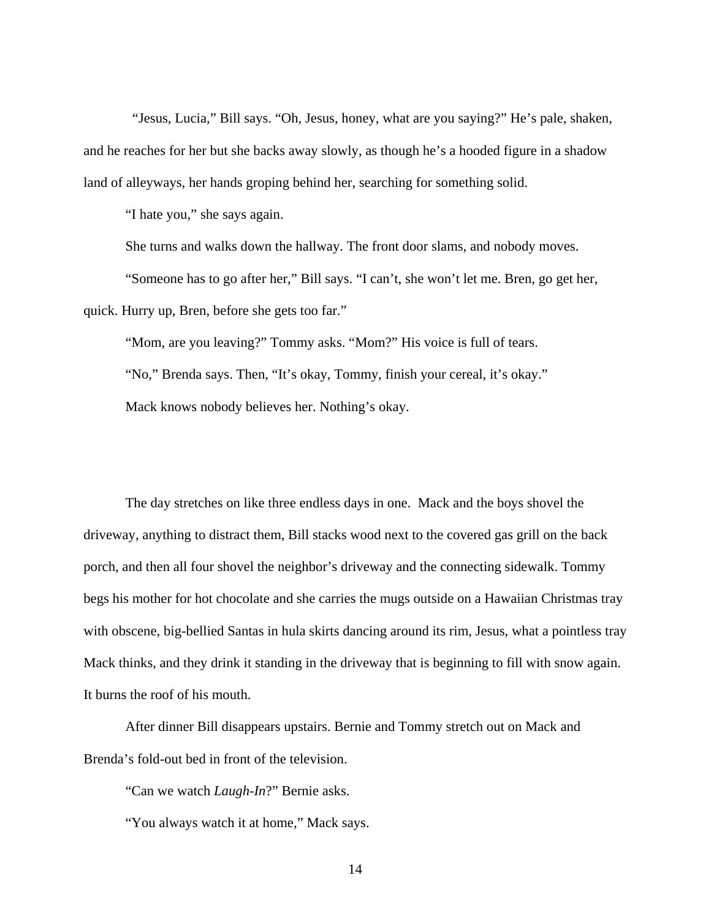"Jesus, Lucia," Bill says. "Oh, Jesus, honey, what are you saying?" He's pale, shaken, and he reaches for her but she backs away slowly, as though he's a hooded figure in a shadow land of alleyways, her hands groping behind her, searching for something solid.

"I hate you," she says again.

She turns and walks down the hallway. The front door slams, and nobody moves. "Someone has to go after her," Bill says. "I can't, she won't let me. Bren, go get her, quick. Hurry up, Bren, before she gets too far."

"Mom, are you leaving?" Tommy asks. "Mom?" His voice is full of tears. "No," Brenda says. Then, "It's okay, Tommy, finish your cereal, it's okay." Mack knows nobody believes her. Nothing's okay.

The day stretches on like three endless days in one. Mack and the boys shovel the driveway, anything to distract them, Bill stacks wood next to the covered gas grill on the back porch, and then all four shovel the neighbor's driveway and the connecting sidewalk. Tommy begs his mother for hot chocolate and she carries the mugs outside on a Hawaiian Christmas tray with obscene, big-bellied Santas in hula skirts dancing around its rim, Jesus, what a pointless tray Mack thinks, and they drink it standing in the driveway that is beginning to fill with snow again. It burns the roof of his mouth.

After dinner Bill disappears upstairs. Bernie and Tommy stretch out on Mack and Brenda's fold-out bed in front of the television.

"Can we watch *Laugh-In*?" Bernie asks.

"You always watch it at home," Mack says.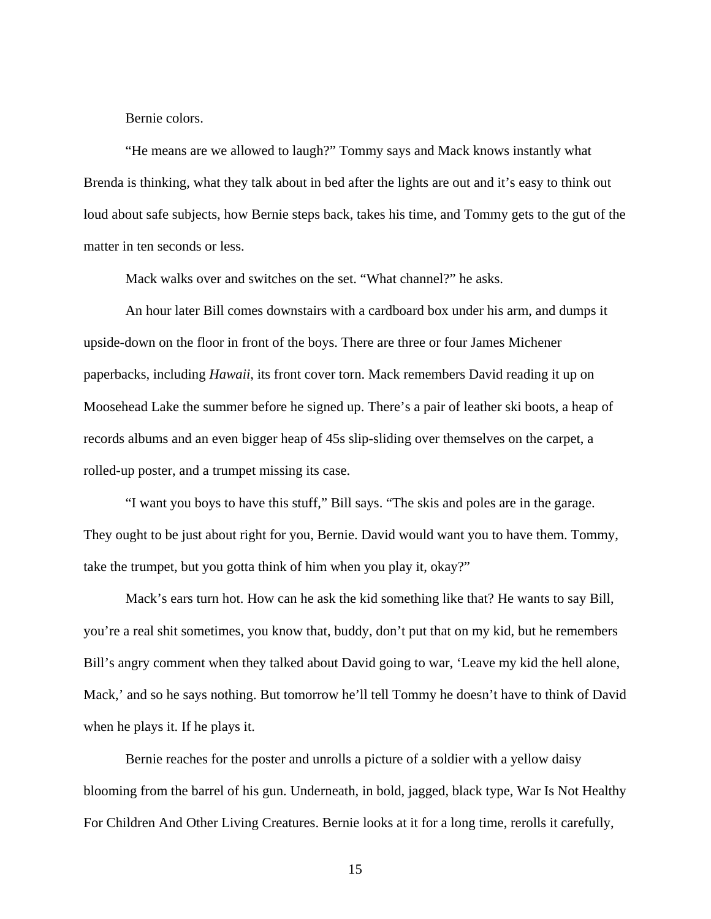Bernie colors.

"He means are we allowed to laugh?" Tommy says and Mack knows instantly what Brenda is thinking, what they talk about in bed after the lights are out and it's easy to think out loud about safe subjects, how Bernie steps back, takes his time, and Tommy gets to the gut of the matter in ten seconds or less.

Mack walks over and switches on the set. "What channel?" he asks.

An hour later Bill comes downstairs with a cardboard box under his arm, and dumps it upside-down on the floor in front of the boys. There are three or four James Michener paperbacks, including *Hawaii*, its front cover torn. Mack remembers David reading it up on Moosehead Lake the summer before he signed up. There's a pair of leather ski boots, a heap of records albums and an even bigger heap of 45s slip-sliding over themselves on the carpet, a rolled-up poster, and a trumpet missing its case.

"I want you boys to have this stuff," Bill says. "The skis and poles are in the garage. They ought to be just about right for you, Bernie. David would want you to have them. Tommy, take the trumpet, but you gotta think of him when you play it, okay?"

Mack's ears turn hot. How can he ask the kid something like that? He wants to say Bill, you're a real shit sometimes, you know that, buddy, don't put that on my kid, but he remembers Bill's angry comment when they talked about David going to war, 'Leave my kid the hell alone, Mack,' and so he says nothing. But tomorrow he'll tell Tommy he doesn't have to think of David when he plays it. If he plays it.

 Bernie reaches for the poster and unrolls a picture of a soldier with a yellow daisy blooming from the barrel of his gun. Underneath, in bold, jagged, black type, War Is Not Healthy For Children And Other Living Creatures. Bernie looks at it for a long time, rerolls it carefully,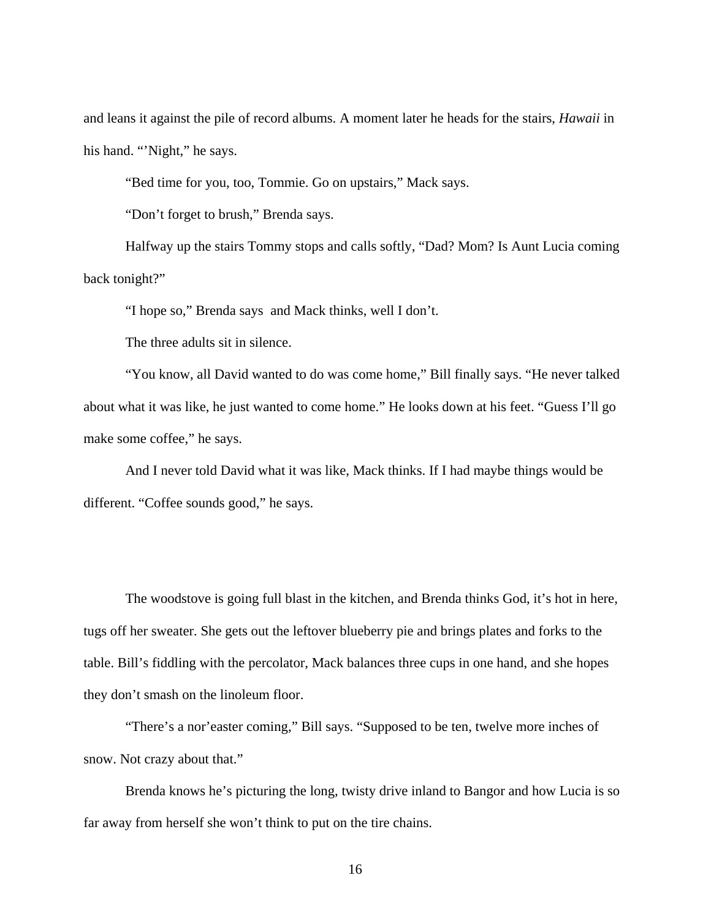and leans it against the pile of record albums. A moment later he heads for the stairs, *Hawaii* in his hand. "'Night," he says.

"Bed time for you, too, Tommie. Go on upstairs," Mack says.

"Don't forget to brush," Brenda says.

Halfway up the stairs Tommy stops and calls softly, "Dad? Mom? Is Aunt Lucia coming back tonight?"

"I hope so," Brenda says and Mack thinks, well I don't.

The three adults sit in silence.

"You know, all David wanted to do was come home," Bill finally says. "He never talked about what it was like, he just wanted to come home." He looks down at his feet. "Guess I'll go make some coffee," he says.

 And I never told David what it was like, Mack thinks. If I had maybe things would be different. "Coffee sounds good," he says.

The woodstove is going full blast in the kitchen, and Brenda thinks God, it's hot in here, tugs off her sweater. She gets out the leftover blueberry pie and brings plates and forks to the table. Bill's fiddling with the percolator, Mack balances three cups in one hand, and she hopes they don't smash on the linoleum floor.

"There's a nor'easter coming," Bill says. "Supposed to be ten, twelve more inches of snow. Not crazy about that."

Brenda knows he's picturing the long, twisty drive inland to Bangor and how Lucia is so far away from herself she won't think to put on the tire chains.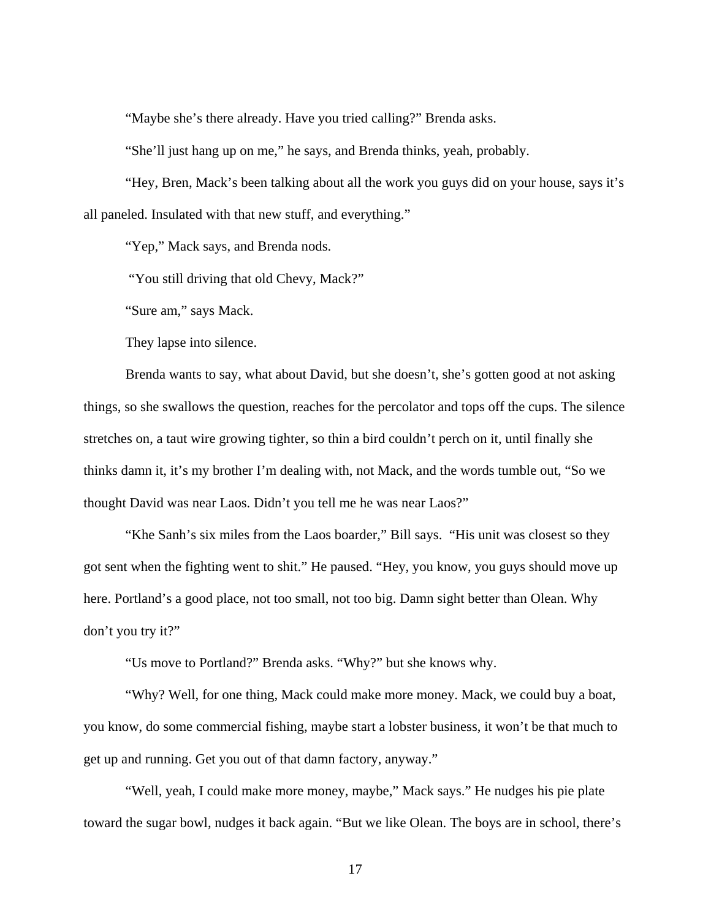"Maybe she's there already. Have you tried calling?" Brenda asks.

"She'll just hang up on me," he says, and Brenda thinks, yeah, probably.

"Hey, Bren, Mack's been talking about all the work you guys did on your house, says it's all paneled. Insulated with that new stuff, and everything."

"Yep," Mack says, and Brenda nods.

"You still driving that old Chevy, Mack?"

"Sure am," says Mack.

They lapse into silence.

Brenda wants to say, what about David, but she doesn't, she's gotten good at not asking things, so she swallows the question, reaches for the percolator and tops off the cups. The silence stretches on, a taut wire growing tighter, so thin a bird couldn't perch on it, until finally she thinks damn it, it's my brother I'm dealing with, not Mack, and the words tumble out, "So we thought David was near Laos. Didn't you tell me he was near Laos?"

"Khe Sanh's six miles from the Laos boarder," Bill says. "His unit was closest so they got sent when the fighting went to shit." He paused. "Hey, you know, you guys should move up here. Portland's a good place, not too small, not too big. Damn sight better than Olean. Why don't you try it?"

"Us move to Portland?" Brenda asks. "Why?" but she knows why.

"Why? Well, for one thing, Mack could make more money. Mack, we could buy a boat, you know, do some commercial fishing, maybe start a lobster business, it won't be that much to get up and running. Get you out of that damn factory, anyway."

"Well, yeah, I could make more money, maybe," Mack says." He nudges his pie plate toward the sugar bowl, nudges it back again. "But we like Olean. The boys are in school, there's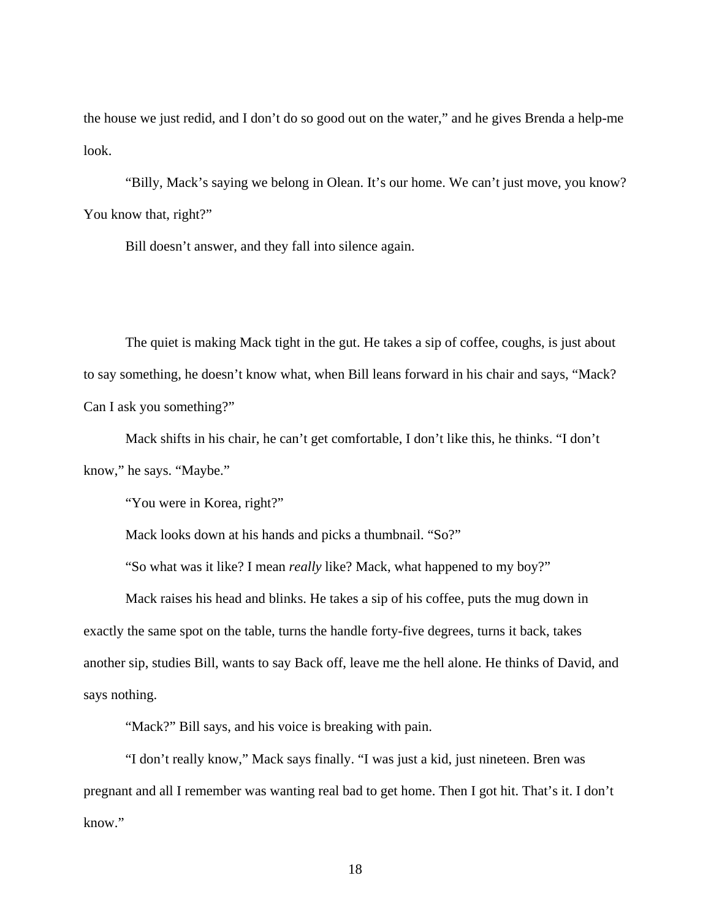the house we just redid, and I don't do so good out on the water," and he gives Brenda a help-me look.

"Billy, Mack's saying we belong in Olean. It's our home. We can't just move, you know? You know that, right?"

Bill doesn't answer, and they fall into silence again.

The quiet is making Mack tight in the gut. He takes a sip of coffee, coughs, is just about to say something, he doesn't know what, when Bill leans forward in his chair and says, "Mack? Can I ask you something?"

Mack shifts in his chair, he can't get comfortable, I don't like this, he thinks. "I don't know," he says. "Maybe."

"You were in Korea, right?"

Mack looks down at his hands and picks a thumbnail. "So?"

"So what was it like? I mean *really* like? Mack, what happened to my boy?"

Mack raises his head and blinks. He takes a sip of his coffee, puts the mug down in exactly the same spot on the table, turns the handle forty-five degrees, turns it back, takes another sip, studies Bill, wants to say Back off, leave me the hell alone. He thinks of David, and says nothing.

"Mack?" Bill says, and his voice is breaking with pain.

"I don't really know," Mack says finally. "I was just a kid, just nineteen. Bren was pregnant and all I remember was wanting real bad to get home. Then I got hit. That's it. I don't know."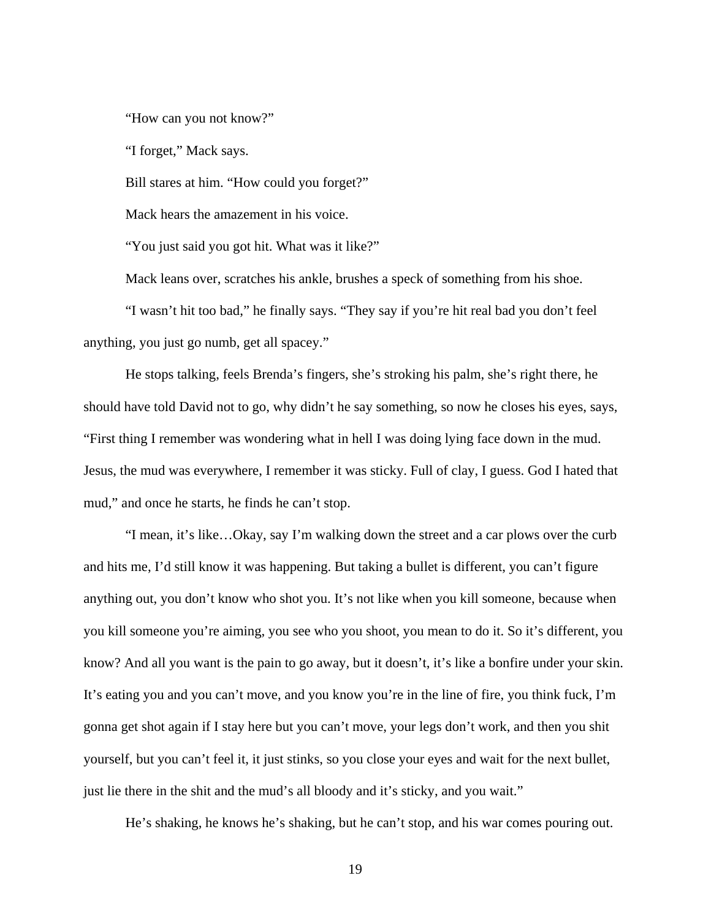"How can you not know?"

"I forget," Mack says.

Bill stares at him. "How could you forget?"

Mack hears the amazement in his voice.

"You just said you got hit. What was it like?"

Mack leans over, scratches his ankle, brushes a speck of something from his shoe.

"I wasn't hit too bad," he finally says. "They say if you're hit real bad you don't feel anything, you just go numb, get all spacey."

He stops talking, feels Brenda's fingers, she's stroking his palm, she's right there, he should have told David not to go, why didn't he say something, so now he closes his eyes, says, "First thing I remember was wondering what in hell I was doing lying face down in the mud. Jesus, the mud was everywhere, I remember it was sticky. Full of clay, I guess. God I hated that mud," and once he starts, he finds he can't stop.

"I mean, it's like…Okay, say I'm walking down the street and a car plows over the curb and hits me, I'd still know it was happening. But taking a bullet is different, you can't figure anything out, you don't know who shot you. It's not like when you kill someone, because when you kill someone you're aiming, you see who you shoot, you mean to do it. So it's different, you know? And all you want is the pain to go away, but it doesn't, it's like a bonfire under your skin. It's eating you and you can't move, and you know you're in the line of fire, you think fuck, I'm gonna get shot again if I stay here but you can't move, your legs don't work, and then you shit yourself, but you can't feel it, it just stinks, so you close your eyes and wait for the next bullet, just lie there in the shit and the mud's all bloody and it's sticky, and you wait."

He's shaking, he knows he's shaking, but he can't stop, and his war comes pouring out.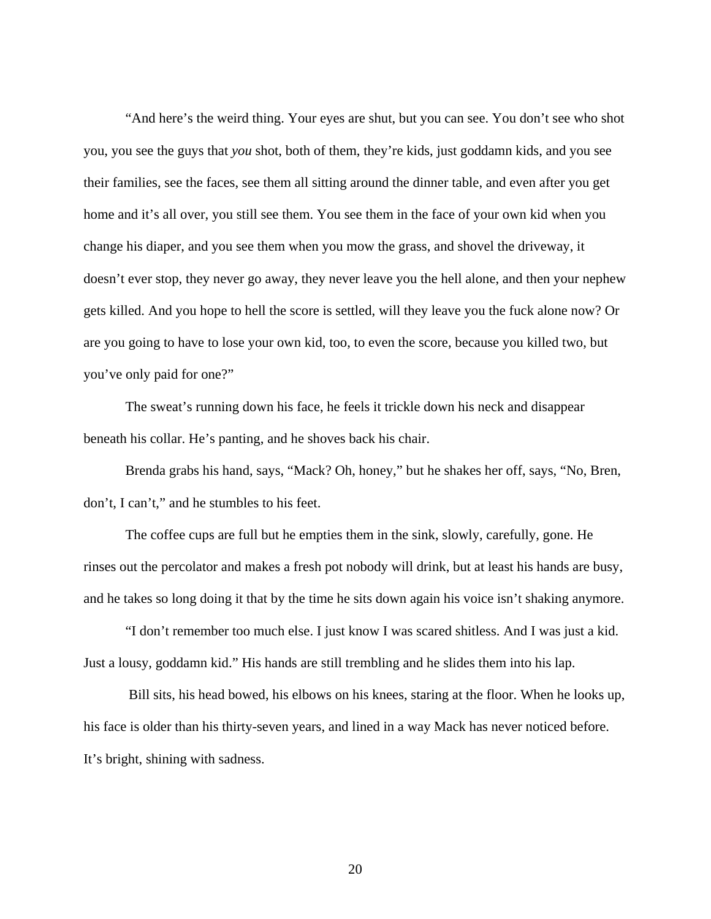"And here's the weird thing. Your eyes are shut, but you can see. You don't see who shot you, you see the guys that *you* shot, both of them, they're kids, just goddamn kids, and you see their families, see the faces, see them all sitting around the dinner table, and even after you get home and it's all over, you still see them. You see them in the face of your own kid when you change his diaper, and you see them when you mow the grass, and shovel the driveway, it doesn't ever stop, they never go away, they never leave you the hell alone, and then your nephew gets killed. And you hope to hell the score is settled, will they leave you the fuck alone now? Or are you going to have to lose your own kid, too, to even the score, because you killed two, but you've only paid for one?"

The sweat's running down his face, he feels it trickle down his neck and disappear beneath his collar. He's panting, and he shoves back his chair.

Brenda grabs his hand, says, "Mack? Oh, honey," but he shakes her off, says, "No, Bren, don't, I can't," and he stumbles to his feet.

The coffee cups are full but he empties them in the sink, slowly, carefully, gone. He rinses out the percolator and makes a fresh pot nobody will drink, but at least his hands are busy, and he takes so long doing it that by the time he sits down again his voice isn't shaking anymore.

"I don't remember too much else. I just know I was scared shitless. And I was just a kid. Just a lousy, goddamn kid." His hands are still trembling and he slides them into his lap.

 Bill sits, his head bowed, his elbows on his knees, staring at the floor. When he looks up, his face is older than his thirty-seven years, and lined in a way Mack has never noticed before. It's bright, shining with sadness.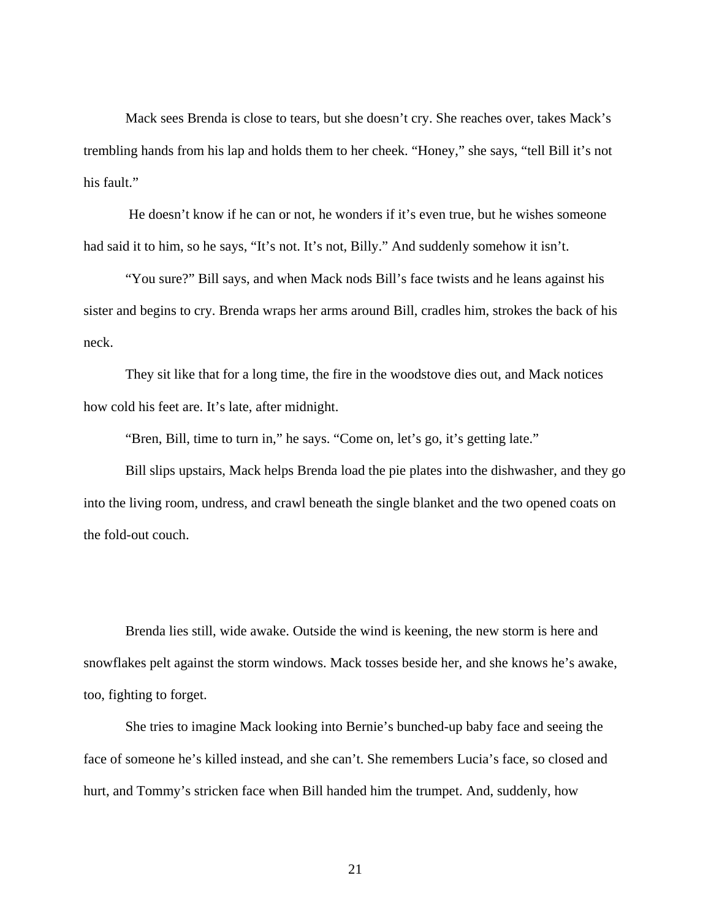Mack sees Brenda is close to tears, but she doesn't cry. She reaches over, takes Mack's trembling hands from his lap and holds them to her cheek. "Honey," she says, "tell Bill it's not his fault."

 He doesn't know if he can or not, he wonders if it's even true, but he wishes someone had said it to him, so he says, "It's not. It's not, Billy." And suddenly somehow it isn't.

"You sure?" Bill says, and when Mack nods Bill's face twists and he leans against his sister and begins to cry. Brenda wraps her arms around Bill, cradles him, strokes the back of his neck.

They sit like that for a long time, the fire in the woodstove dies out, and Mack notices how cold his feet are. It's late, after midnight.

"Bren, Bill, time to turn in," he says. "Come on, let's go, it's getting late."

Bill slips upstairs, Mack helps Brenda load the pie plates into the dishwasher, and they go into the living room, undress, and crawl beneath the single blanket and the two opened coats on the fold-out couch.

Brenda lies still, wide awake. Outside the wind is keening, the new storm is here and snowflakes pelt against the storm windows. Mack tosses beside her, and she knows he's awake, too, fighting to forget.

She tries to imagine Mack looking into Bernie's bunched-up baby face and seeing the face of someone he's killed instead, and she can't. She remembers Lucia's face, so closed and hurt, and Tommy's stricken face when Bill handed him the trumpet. And, suddenly, how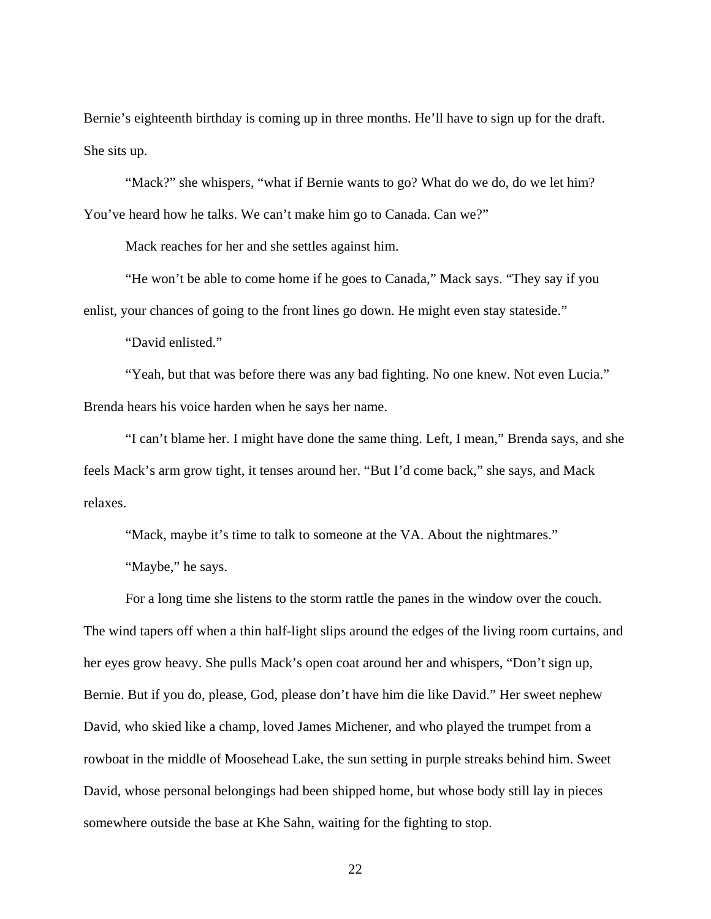Bernie's eighteenth birthday is coming up in three months. He'll have to sign up for the draft. She sits up.

"Mack?" she whispers, "what if Bernie wants to go? What do we do, do we let him? You've heard how he talks. We can't make him go to Canada. Can we?"

Mack reaches for her and she settles against him.

"He won't be able to come home if he goes to Canada," Mack says. "They say if you enlist, your chances of going to the front lines go down. He might even stay stateside."

"David enlisted."

"Yeah, but that was before there was any bad fighting. No one knew. Not even Lucia." Brenda hears his voice harden when he says her name.

"I can't blame her. I might have done the same thing. Left, I mean," Brenda says, and she feels Mack's arm grow tight, it tenses around her. "But I'd come back," she says, and Mack relaxes.

"Mack, maybe it's time to talk to someone at the VA. About the nightmares."

"Maybe," he says.

For a long time she listens to the storm rattle the panes in the window over the couch. The wind tapers off when a thin half-light slips around the edges of the living room curtains, and her eyes grow heavy. She pulls Mack's open coat around her and whispers, "Don't sign up, Bernie. But if you do, please, God, please don't have him die like David." Her sweet nephew David, who skied like a champ, loved James Michener, and who played the trumpet from a rowboat in the middle of Moosehead Lake, the sun setting in purple streaks behind him. Sweet David, whose personal belongings had been shipped home, but whose body still lay in pieces somewhere outside the base at Khe Sahn, waiting for the fighting to stop.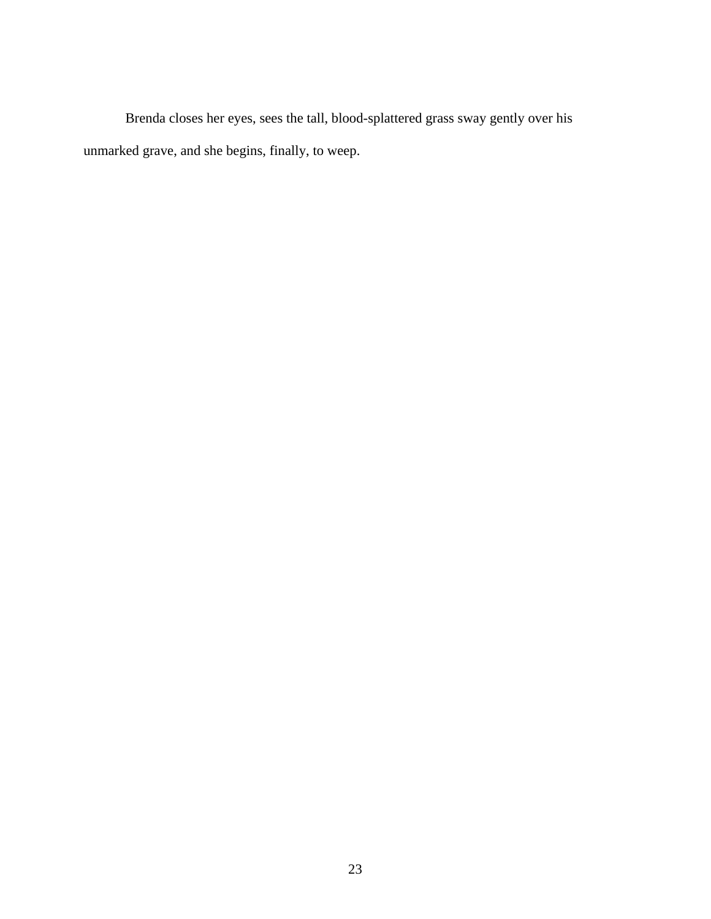Brenda closes her eyes, sees the tall, blood-splattered grass sway gently over his unmarked grave, and she begins, finally, to weep.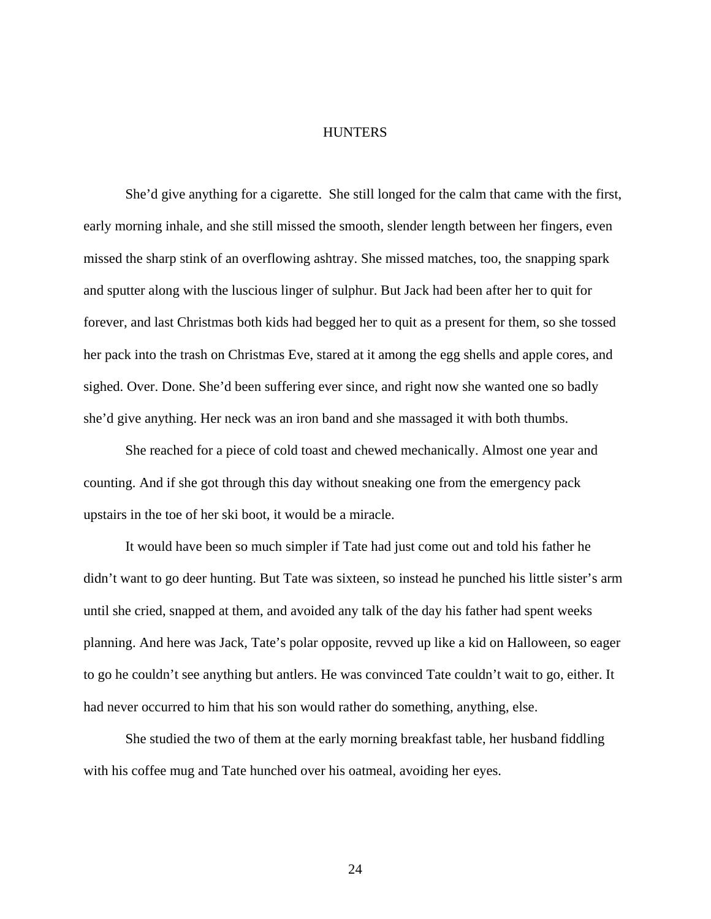#### <span id="page-30-0"></span>**HUNTERS**

She'd give anything for a cigarette. She still longed for the calm that came with the first, early morning inhale, and she still missed the smooth, slender length between her fingers, even missed the sharp stink of an overflowing ashtray. She missed matches, too, the snapping spark and sputter along with the luscious linger of sulphur. But Jack had been after her to quit for forever, and last Christmas both kids had begged her to quit as a present for them, so she tossed her pack into the trash on Christmas Eve, stared at it among the egg shells and apple cores, and sighed. Over. Done. She'd been suffering ever since, and right now she wanted one so badly she'd give anything. Her neck was an iron band and she massaged it with both thumbs.

She reached for a piece of cold toast and chewed mechanically. Almost one year and counting. And if she got through this day without sneaking one from the emergency pack upstairs in the toe of her ski boot, it would be a miracle.

It would have been so much simpler if Tate had just come out and told his father he didn't want to go deer hunting. But Tate was sixteen, so instead he punched his little sister's arm until she cried, snapped at them, and avoided any talk of the day his father had spent weeks planning. And here was Jack, Tate's polar opposite, revved up like a kid on Halloween, so eager to go he couldn't see anything but antlers. He was convinced Tate couldn't wait to go, either. It had never occurred to him that his son would rather do something, anything, else.

She studied the two of them at the early morning breakfast table, her husband fiddling with his coffee mug and Tate hunched over his oatmeal, avoiding her eyes.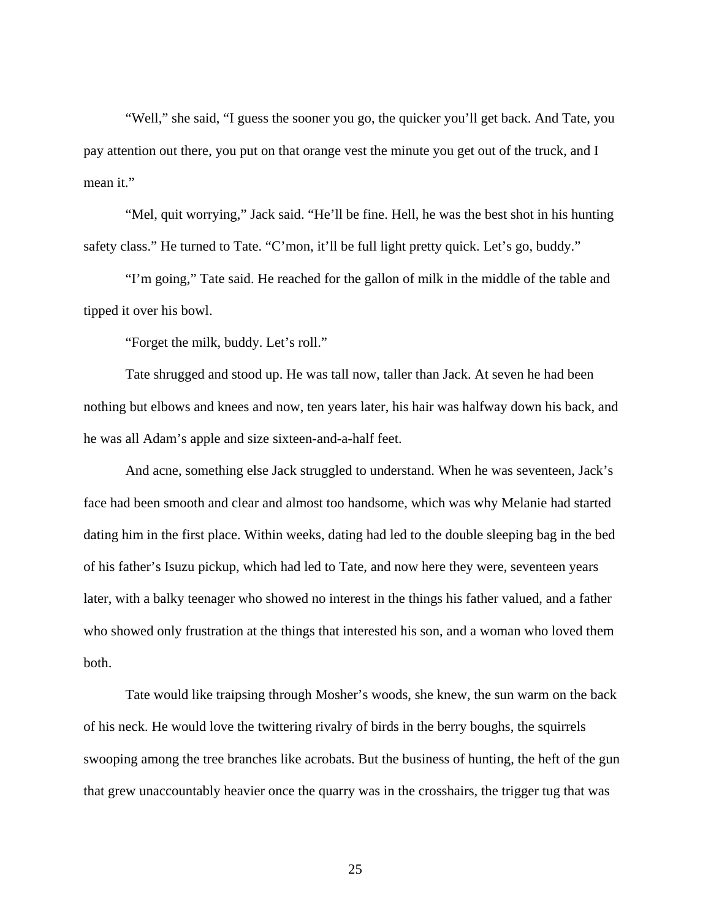"Well," she said, "I guess the sooner you go, the quicker you'll get back. And Tate, you pay attention out there, you put on that orange vest the minute you get out of the truck, and I mean it."

"Mel, quit worrying," Jack said. "He'll be fine. Hell, he was the best shot in his hunting safety class." He turned to Tate. "C'mon, it'll be full light pretty quick. Let's go, buddy."

"I'm going," Tate said. He reached for the gallon of milk in the middle of the table and tipped it over his bowl.

"Forget the milk, buddy. Let's roll."

Tate shrugged and stood up. He was tall now, taller than Jack. At seven he had been nothing but elbows and knees and now, ten years later, his hair was halfway down his back, and he was all Adam's apple and size sixteen-and-a-half feet.

And acne, something else Jack struggled to understand. When he was seventeen, Jack's face had been smooth and clear and almost too handsome, which was why Melanie had started dating him in the first place. Within weeks, dating had led to the double sleeping bag in the bed of his father's Isuzu pickup, which had led to Tate, and now here they were, seventeen years later, with a balky teenager who showed no interest in the things his father valued, and a father who showed only frustration at the things that interested his son, and a woman who loved them both.

Tate would like traipsing through Mosher's woods, she knew, the sun warm on the back of his neck. He would love the twittering rivalry of birds in the berry boughs, the squirrels swooping among the tree branches like acrobats. But the business of hunting, the heft of the gun that grew unaccountably heavier once the quarry was in the crosshairs, the trigger tug that was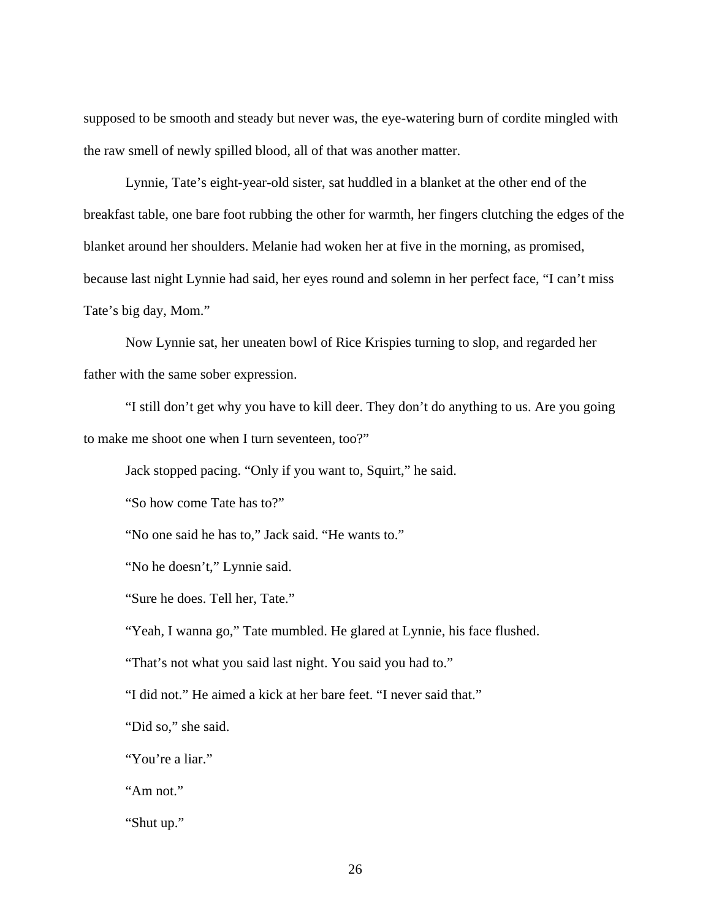supposed to be smooth and steady but never was, the eye-watering burn of cordite mingled with the raw smell of newly spilled blood, all of that was another matter.

Lynnie, Tate's eight-year-old sister, sat huddled in a blanket at the other end of the breakfast table, one bare foot rubbing the other for warmth, her fingers clutching the edges of the blanket around her shoulders. Melanie had woken her at five in the morning, as promised, because last night Lynnie had said, her eyes round and solemn in her perfect face, "I can't miss Tate's big day, Mom."

Now Lynnie sat, her uneaten bowl of Rice Krispies turning to slop, and regarded her father with the same sober expression.

"I still don't get why you have to kill deer. They don't do anything to us. Are you going to make me shoot one when I turn seventeen, too?"

Jack stopped pacing. "Only if you want to, Squirt," he said.

"So how come Tate has to?"

"No one said he has to," Jack said. "He wants to."

"No he doesn't," Lynnie said.

"Sure he does. Tell her, Tate."

"Yeah, I wanna go," Tate mumbled. He glared at Lynnie, his face flushed.

"That's not what you said last night. You said you had to."

"I did not." He aimed a kick at her bare feet. "I never said that."

"Did so," she said.

"You're a liar."

"Am not."

"Shut up."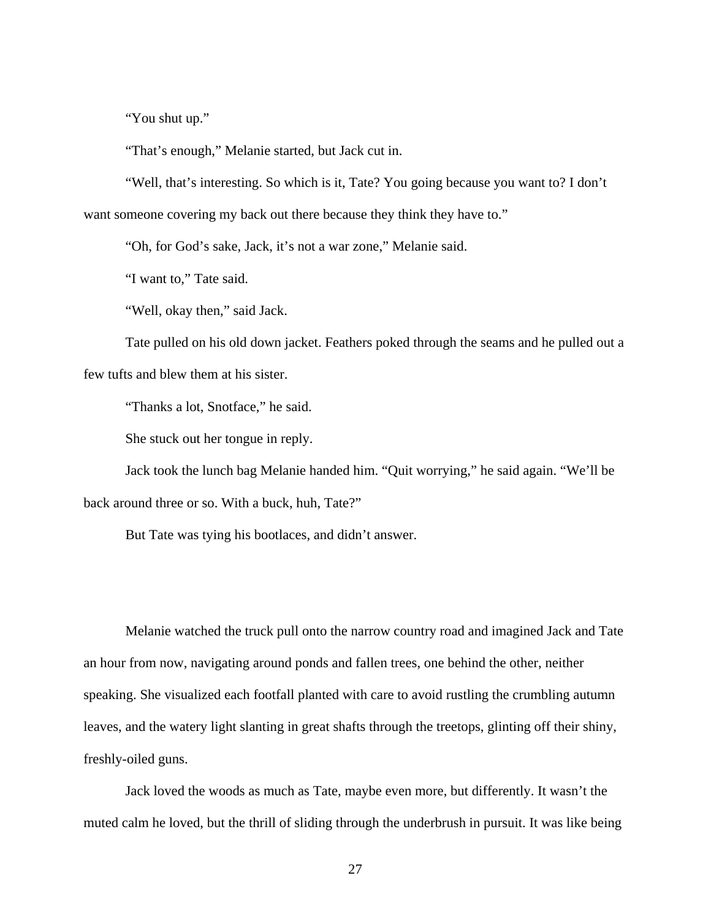"You shut up."

"That's enough," Melanie started, but Jack cut in.

"Well, that's interesting. So which is it, Tate? You going because you want to? I don't want someone covering my back out there because they think they have to."

"Oh, for God's sake, Jack, it's not a war zone," Melanie said.

"I want to," Tate said.

"Well, okay then," said Jack.

Tate pulled on his old down jacket. Feathers poked through the seams and he pulled out a few tufts and blew them at his sister.

"Thanks a lot, Snotface," he said.

She stuck out her tongue in reply.

 Jack took the lunch bag Melanie handed him. "Quit worrying," he said again. "We'll be back around three or so. With a buck, huh, Tate?"

But Tate was tying his bootlaces, and didn't answer.

Melanie watched the truck pull onto the narrow country road and imagined Jack and Tate an hour from now, navigating around ponds and fallen trees, one behind the other, neither speaking. She visualized each footfall planted with care to avoid rustling the crumbling autumn leaves, and the watery light slanting in great shafts through the treetops, glinting off their shiny, freshly-oiled guns.

Jack loved the woods as much as Tate, maybe even more, but differently. It wasn't the muted calm he loved, but the thrill of sliding through the underbrush in pursuit. It was like being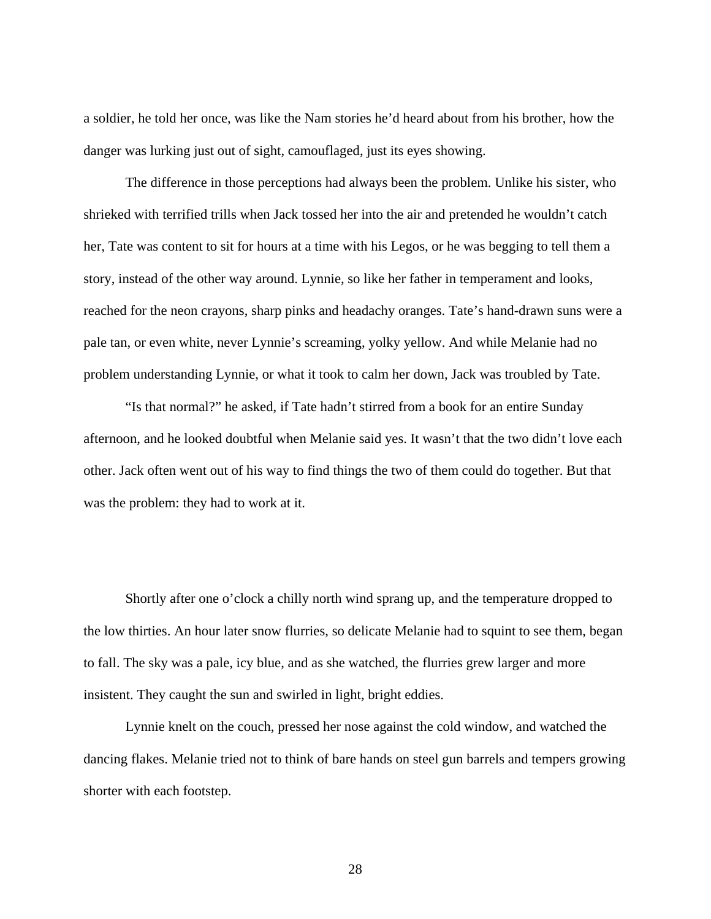a soldier, he told her once, was like the Nam stories he'd heard about from his brother, how the danger was lurking just out of sight, camouflaged, just its eyes showing.

The difference in those perceptions had always been the problem. Unlike his sister, who shrieked with terrified trills when Jack tossed her into the air and pretended he wouldn't catch her, Tate was content to sit for hours at a time with his Legos, or he was begging to tell them a story, instead of the other way around. Lynnie, so like her father in temperament and looks, reached for the neon crayons, sharp pinks and headachy oranges. Tate's hand-drawn suns were a pale tan, or even white, never Lynnie's screaming, yolky yellow. And while Melanie had no problem understanding Lynnie, or what it took to calm her down, Jack was troubled by Tate.

"Is that normal?" he asked, if Tate hadn't stirred from a book for an entire Sunday afternoon, and he looked doubtful when Melanie said yes. It wasn't that the two didn't love each other. Jack often went out of his way to find things the two of them could do together. But that was the problem: they had to work at it.

Shortly after one o'clock a chilly north wind sprang up, and the temperature dropped to the low thirties. An hour later snow flurries, so delicate Melanie had to squint to see them, began to fall. The sky was a pale, icy blue, and as she watched, the flurries grew larger and more insistent. They caught the sun and swirled in light, bright eddies.

Lynnie knelt on the couch, pressed her nose against the cold window, and watched the dancing flakes. Melanie tried not to think of bare hands on steel gun barrels and tempers growing shorter with each footstep.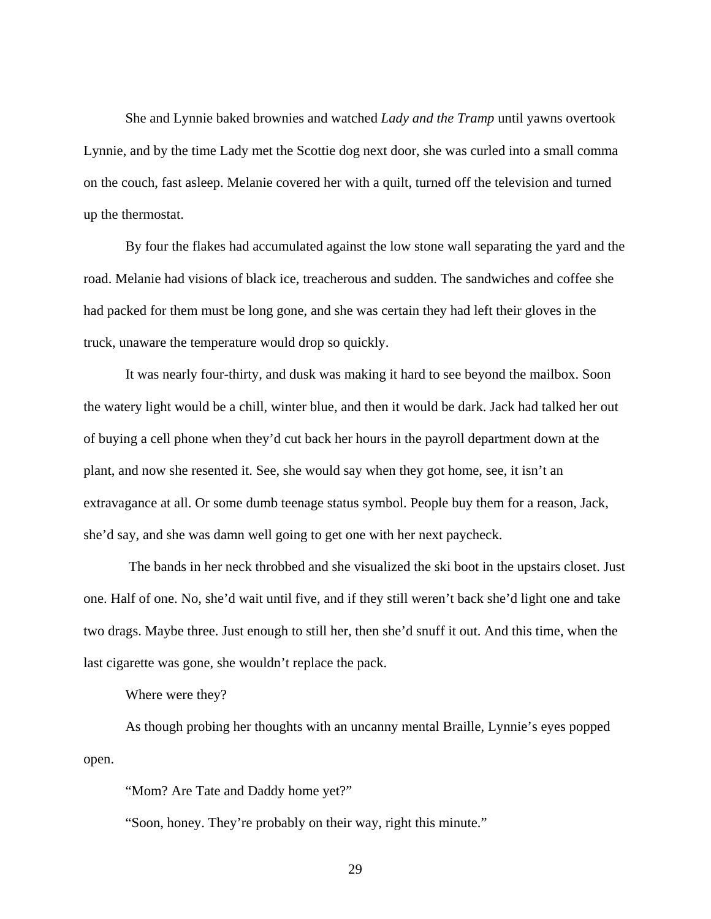She and Lynnie baked brownies and watched *Lady and the Tramp* until yawns overtook Lynnie, and by the time Lady met the Scottie dog next door, she was curled into a small comma on the couch, fast asleep. Melanie covered her with a quilt, turned off the television and turned up the thermostat.

By four the flakes had accumulated against the low stone wall separating the yard and the road. Melanie had visions of black ice, treacherous and sudden. The sandwiches and coffee she had packed for them must be long gone, and she was certain they had left their gloves in the truck, unaware the temperature would drop so quickly.

It was nearly four-thirty, and dusk was making it hard to see beyond the mailbox. Soon the watery light would be a chill, winter blue, and then it would be dark. Jack had talked her out of buying a cell phone when they'd cut back her hours in the payroll department down at the plant, and now she resented it. See, she would say when they got home, see, it isn't an extravagance at all. Or some dumb teenage status symbol. People buy them for a reason, Jack, she'd say, and she was damn well going to get one with her next paycheck.

 The bands in her neck throbbed and she visualized the ski boot in the upstairs closet. Just one. Half of one. No, she'd wait until five, and if they still weren't back she'd light one and take two drags. Maybe three. Just enough to still her, then she'd snuff it out. And this time, when the last cigarette was gone, she wouldn't replace the pack.

Where were they?

As though probing her thoughts with an uncanny mental Braille, Lynnie's eyes popped open.

"Mom? Are Tate and Daddy home yet?"

"Soon, honey. They're probably on their way, right this minute."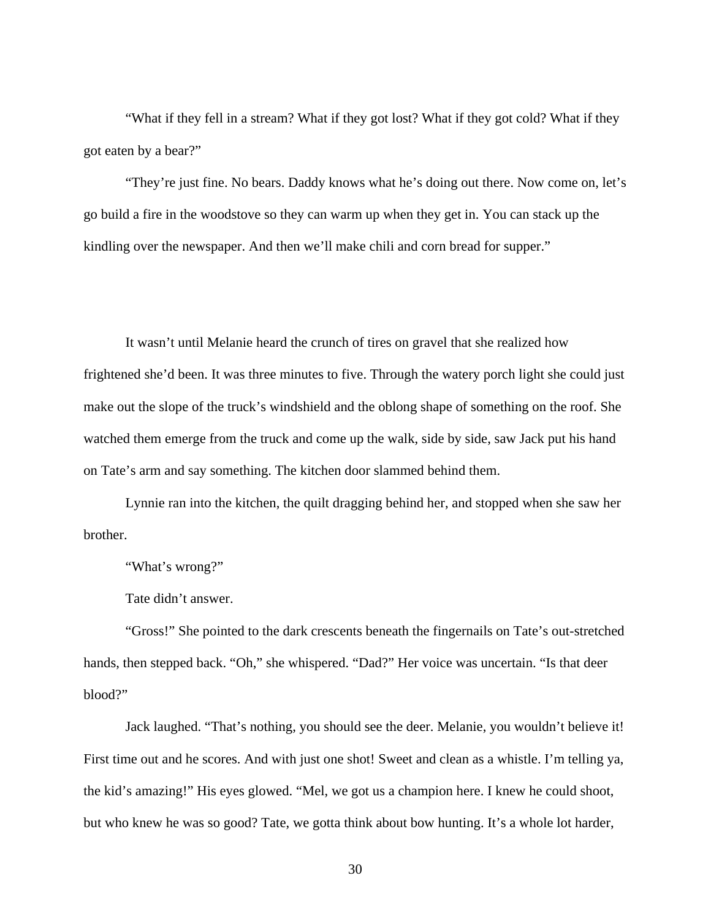"What if they fell in a stream? What if they got lost? What if they got cold? What if they got eaten by a bear?"

"They're just fine. No bears. Daddy knows what he's doing out there. Now come on, let's go build a fire in the woodstove so they can warm up when they get in. You can stack up the kindling over the newspaper. And then we'll make chili and corn bread for supper."

It wasn't until Melanie heard the crunch of tires on gravel that she realized how frightened she'd been. It was three minutes to five. Through the watery porch light she could just make out the slope of the truck's windshield and the oblong shape of something on the roof. She watched them emerge from the truck and come up the walk, side by side, saw Jack put his hand on Tate's arm and say something. The kitchen door slammed behind them.

Lynnie ran into the kitchen, the quilt dragging behind her, and stopped when she saw her brother.

"What's wrong?"

Tate didn't answer.

"Gross!" She pointed to the dark crescents beneath the fingernails on Tate's out-stretched hands, then stepped back. "Oh," she whispered. "Dad?" Her voice was uncertain. "Is that deer blood?"

Jack laughed. "That's nothing, you should see the deer. Melanie, you wouldn't believe it! First time out and he scores. And with just one shot! Sweet and clean as a whistle. I'm telling ya, the kid's amazing!" His eyes glowed. "Mel, we got us a champion here. I knew he could shoot, but who knew he was so good? Tate, we gotta think about bow hunting. It's a whole lot harder,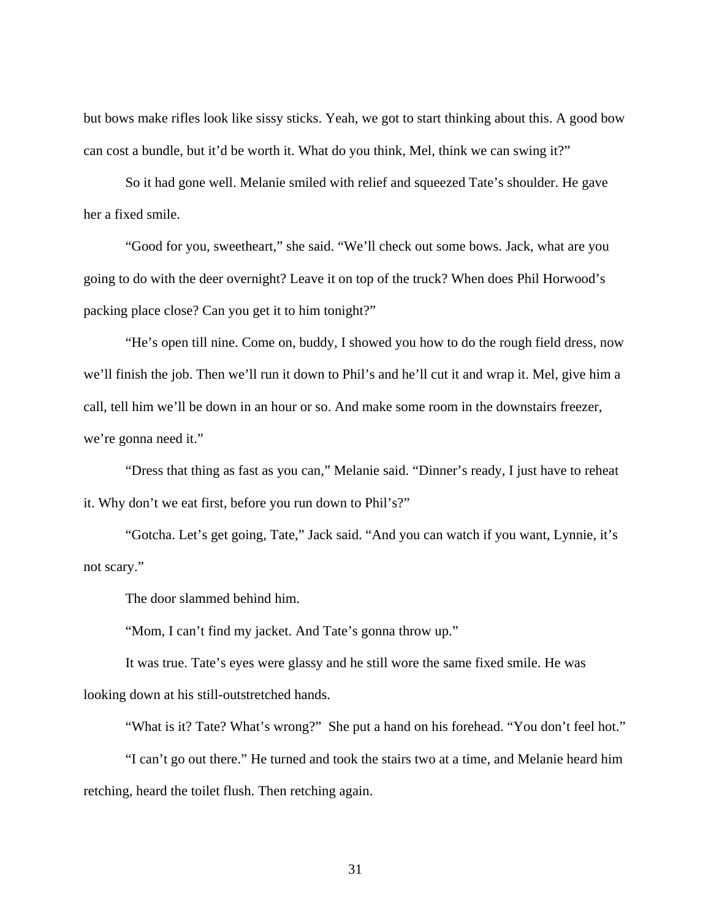but bows make rifles look like sissy sticks. Yeah, we got to start thinking about this. A good bow can cost a bundle, but it'd be worth it. What do you think, Mel, think we can swing it?"

So it had gone well. Melanie smiled with relief and squeezed Tate's shoulder. He gave her a fixed smile.

"Good for you, sweetheart," she said. "We'll check out some bows. Jack, what are you going to do with the deer overnight? Leave it on top of the truck? When does Phil Horwood's packing place close? Can you get it to him tonight?"

"He's open till nine. Come on, buddy, I showed you how to do the rough field dress, now we'll finish the job. Then we'll run it down to Phil's and he'll cut it and wrap it. Mel, give him a call, tell him we'll be down in an hour or so. And make some room in the downstairs freezer, we're gonna need it."

"Dress that thing as fast as you can," Melanie said. "Dinner's ready, I just have to reheat it. Why don't we eat first, before you run down to Phil's?"

"Gotcha. Let's get going, Tate," Jack said. "And you can watch if you want, Lynnie, it's not scary."

The door slammed behind him.

"Mom, I can't find my jacket. And Tate's gonna throw up."

It was true. Tate's eyes were glassy and he still wore the same fixed smile. He was looking down at his still-outstretched hands.

"What is it? Tate? What's wrong?" She put a hand on his forehead. "You don't feel hot."

"I can't go out there." He turned and took the stairs two at a time, and Melanie heard him retching, heard the toilet flush. Then retching again.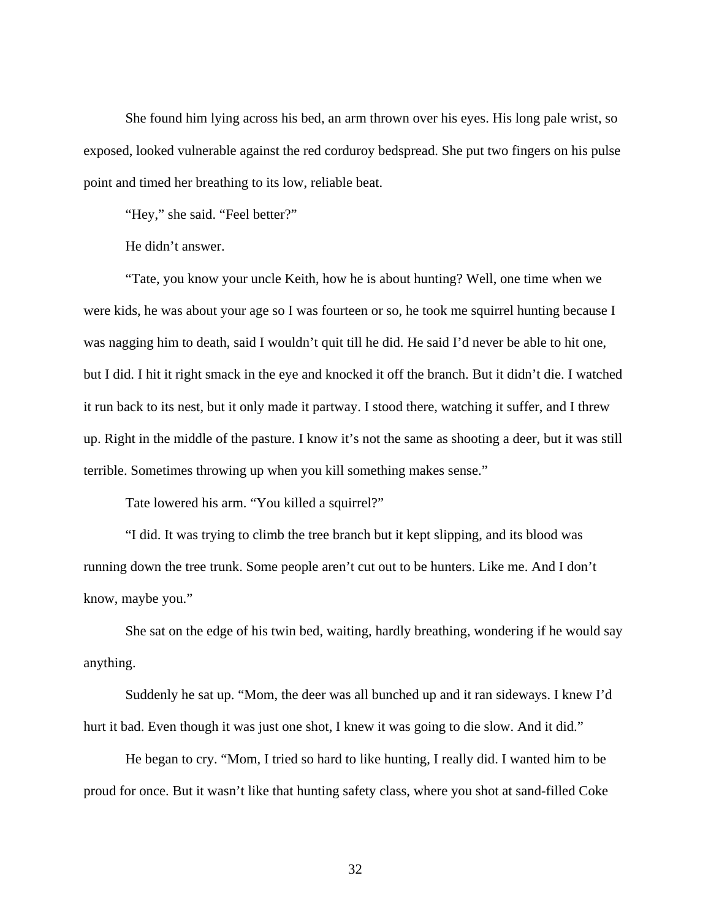She found him lying across his bed, an arm thrown over his eyes. His long pale wrist, so exposed, looked vulnerable against the red corduroy bedspread. She put two fingers on his pulse point and timed her breathing to its low, reliable beat.

"Hey," she said. "Feel better?"

He didn't answer.

"Tate, you know your uncle Keith, how he is about hunting? Well, one time when we were kids, he was about your age so I was fourteen or so, he took me squirrel hunting because I was nagging him to death, said I wouldn't quit till he did. He said I'd never be able to hit one, but I did. I hit it right smack in the eye and knocked it off the branch. But it didn't die. I watched it run back to its nest, but it only made it partway. I stood there, watching it suffer, and I threw up. Right in the middle of the pasture. I know it's not the same as shooting a deer, but it was still terrible. Sometimes throwing up when you kill something makes sense."

Tate lowered his arm. "You killed a squirrel?"

"I did. It was trying to climb the tree branch but it kept slipping, and its blood was running down the tree trunk. Some people aren't cut out to be hunters. Like me. And I don't know, maybe you."

She sat on the edge of his twin bed, waiting, hardly breathing, wondering if he would say anything.

Suddenly he sat up. "Mom, the deer was all bunched up and it ran sideways. I knew I'd hurt it bad. Even though it was just one shot, I knew it was going to die slow. And it did."

He began to cry. "Mom, I tried so hard to like hunting, I really did. I wanted him to be proud for once. But it wasn't like that hunting safety class, where you shot at sand-filled Coke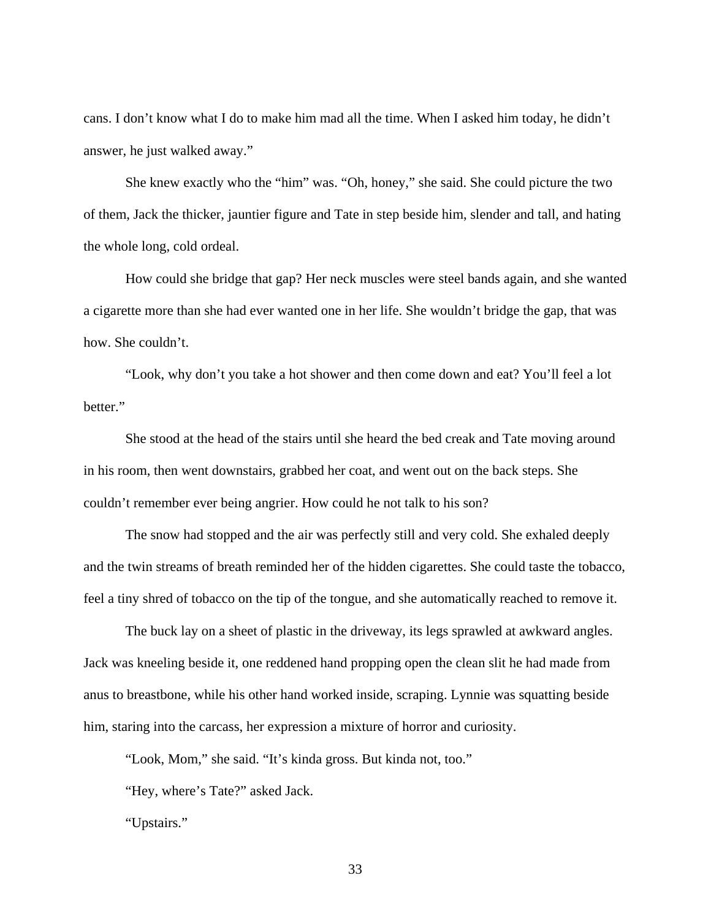cans. I don't know what I do to make him mad all the time. When I asked him today, he didn't answer, he just walked away."

She knew exactly who the "him" was. "Oh, honey," she said. She could picture the two of them, Jack the thicker, jauntier figure and Tate in step beside him, slender and tall, and hating the whole long, cold ordeal.

How could she bridge that gap? Her neck muscles were steel bands again, and she wanted a cigarette more than she had ever wanted one in her life. She wouldn't bridge the gap, that was how. She couldn't.

"Look, why don't you take a hot shower and then come down and eat? You'll feel a lot better."

She stood at the head of the stairs until she heard the bed creak and Tate moving around in his room, then went downstairs, grabbed her coat, and went out on the back steps. She couldn't remember ever being angrier. How could he not talk to his son?

The snow had stopped and the air was perfectly still and very cold. She exhaled deeply and the twin streams of breath reminded her of the hidden cigarettes. She could taste the tobacco, feel a tiny shred of tobacco on the tip of the tongue, and she automatically reached to remove it.

The buck lay on a sheet of plastic in the driveway, its legs sprawled at awkward angles. Jack was kneeling beside it, one reddened hand propping open the clean slit he had made from anus to breastbone, while his other hand worked inside, scraping. Lynnie was squatting beside him, staring into the carcass, her expression a mixture of horror and curiosity.

"Look, Mom," she said. "It's kinda gross. But kinda not, too."

"Hey, where's Tate?" asked Jack.

"Upstairs."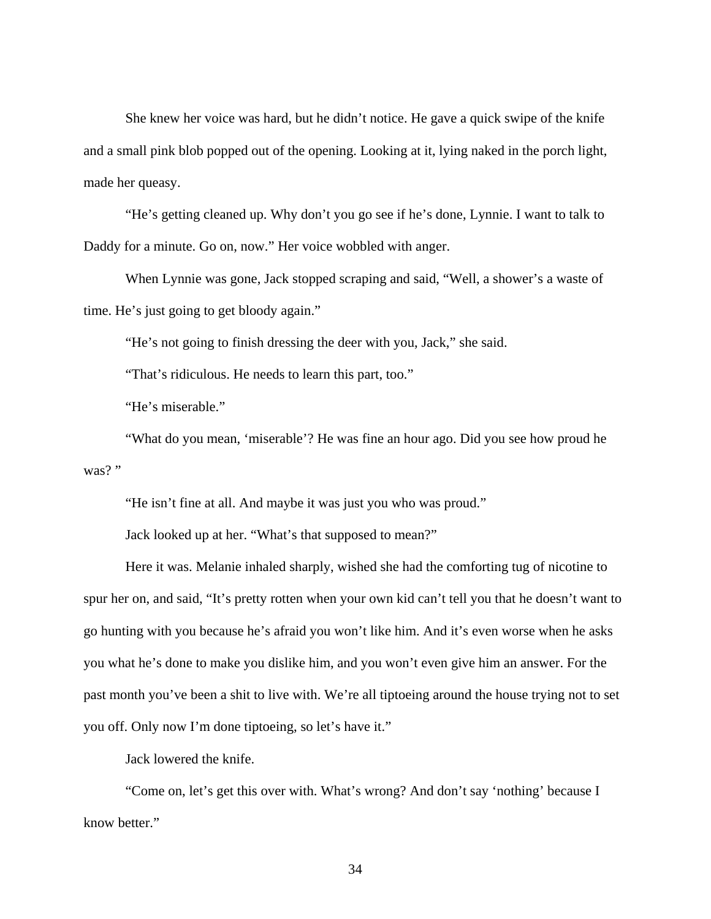She knew her voice was hard, but he didn't notice. He gave a quick swipe of the knife and a small pink blob popped out of the opening. Looking at it, lying naked in the porch light, made her queasy.

"He's getting cleaned up. Why don't you go see if he's done, Lynnie. I want to talk to Daddy for a minute. Go on, now." Her voice wobbled with anger.

When Lynnie was gone, Jack stopped scraping and said, "Well, a shower's a waste of time. He's just going to get bloody again."

"He's not going to finish dressing the deer with you, Jack," she said.

"That's ridiculous. He needs to learn this part, too."

"He's miserable."

"What do you mean, 'miserable'? He was fine an hour ago. Did you see how proud he was?"

"He isn't fine at all. And maybe it was just you who was proud."

Jack looked up at her. "What's that supposed to mean?"

Here it was. Melanie inhaled sharply, wished she had the comforting tug of nicotine to spur her on, and said, "It's pretty rotten when your own kid can't tell you that he doesn't want to go hunting with you because he's afraid you won't like him. And it's even worse when he asks you what he's done to make you dislike him, and you won't even give him an answer. For the past month you've been a shit to live with. We're all tiptoeing around the house trying not to set you off. Only now I'm done tiptoeing, so let's have it."

Jack lowered the knife.

"Come on, let's get this over with. What's wrong? And don't say 'nothing' because I know better."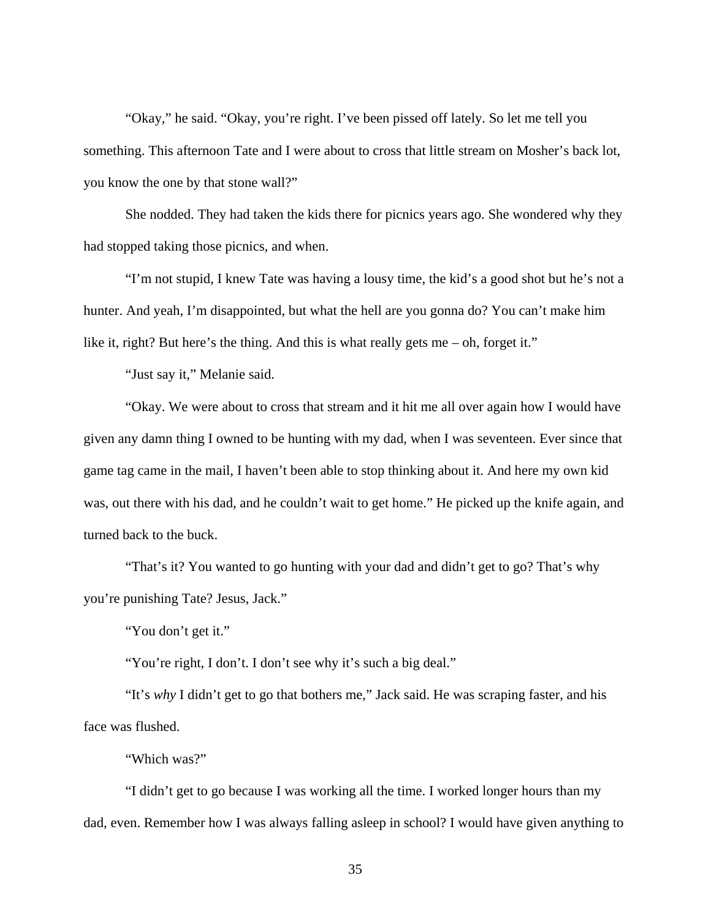"Okay," he said. "Okay, you're right. I've been pissed off lately. So let me tell you something. This afternoon Tate and I were about to cross that little stream on Mosher's back lot, you know the one by that stone wall?"

She nodded. They had taken the kids there for picnics years ago. She wondered why they had stopped taking those picnics, and when.

"I'm not stupid, I knew Tate was having a lousy time, the kid's a good shot but he's not a hunter. And yeah, I'm disappointed, but what the hell are you gonna do? You can't make him like it, right? But here's the thing. And this is what really gets me – oh, forget it."

"Just say it," Melanie said.

"Okay. We were about to cross that stream and it hit me all over again how I would have given any damn thing I owned to be hunting with my dad, when I was seventeen. Ever since that game tag came in the mail, I haven't been able to stop thinking about it. And here my own kid was, out there with his dad, and he couldn't wait to get home." He picked up the knife again, and turned back to the buck.

"That's it? You wanted to go hunting with your dad and didn't get to go? That's why you're punishing Tate? Jesus, Jack."

"You don't get it."

"You're right, I don't. I don't see why it's such a big deal."

"It's *why* I didn't get to go that bothers me," Jack said. He was scraping faster, and his face was flushed.

"Which was?"

"I didn't get to go because I was working all the time. I worked longer hours than my dad, even. Remember how I was always falling asleep in school? I would have given anything to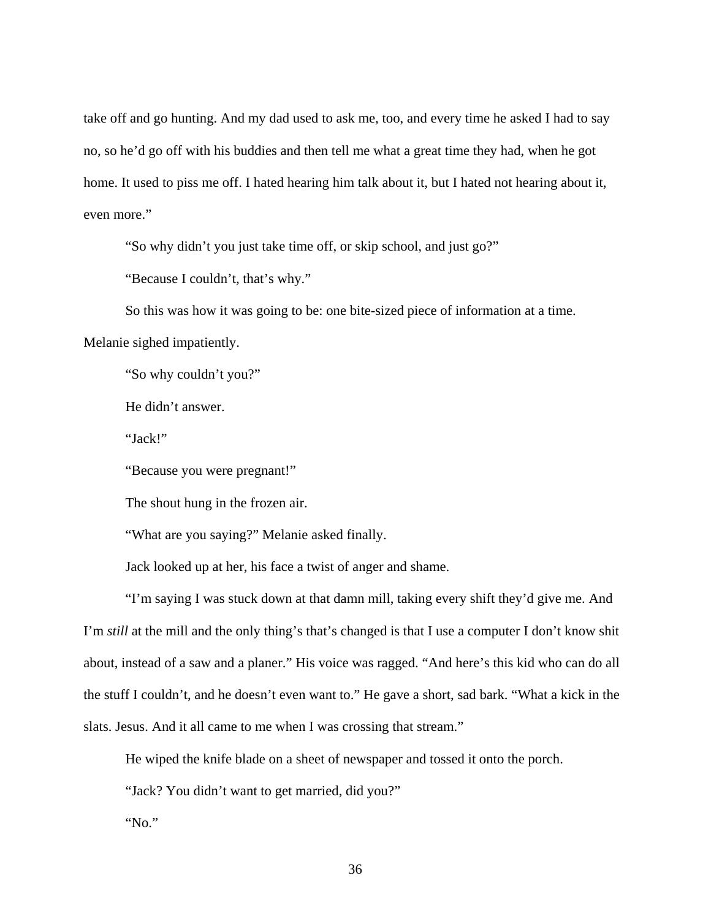take off and go hunting. And my dad used to ask me, too, and every time he asked I had to say no, so he'd go off with his buddies and then tell me what a great time they had, when he got home. It used to piss me off. I hated hearing him talk about it, but I hated not hearing about it, even more."

"So why didn't you just take time off, or skip school, and just go?"

"Because I couldn't, that's why."

So this was how it was going to be: one bite-sized piece of information at a time.

Melanie sighed impatiently.

"So why couldn't you?"

He didn't answer.

"Jack!"

"Because you were pregnant!"

The shout hung in the frozen air.

"What are you saying?" Melanie asked finally.

Jack looked up at her, his face a twist of anger and shame.

"I'm saying I was stuck down at that damn mill, taking every shift they'd give me. And I'm *still* at the mill and the only thing's that's changed is that I use a computer I don't know shit about, instead of a saw and a planer." His voice was ragged. "And here's this kid who can do all the stuff I couldn't, and he doesn't even want to." He gave a short, sad bark. "What a kick in the slats. Jesus. And it all came to me when I was crossing that stream."

He wiped the knife blade on a sheet of newspaper and tossed it onto the porch.

"Jack? You didn't want to get married, did you?"

"No."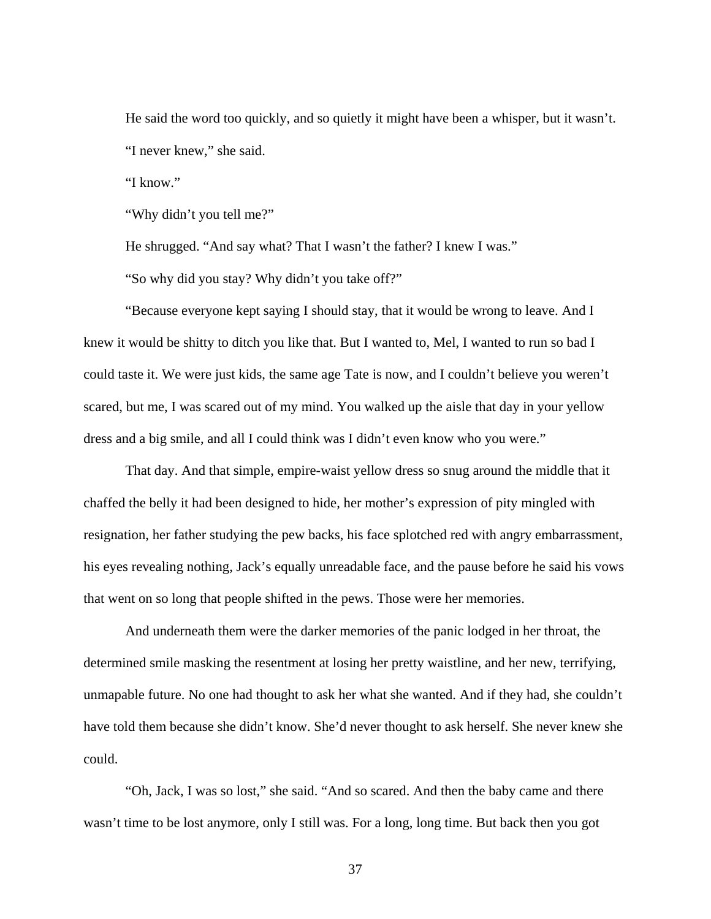He said the word too quickly, and so quietly it might have been a whisper, but it wasn't. "I never knew," she said.

"I know."

"Why didn't you tell me?"

He shrugged. "And say what? That I wasn't the father? I knew I was."

"So why did you stay? Why didn't you take off?"

"Because everyone kept saying I should stay, that it would be wrong to leave. And I knew it would be shitty to ditch you like that. But I wanted to, Mel, I wanted to run so bad I could taste it. We were just kids, the same age Tate is now, and I couldn't believe you weren't scared, but me, I was scared out of my mind. You walked up the aisle that day in your yellow dress and a big smile, and all I could think was I didn't even know who you were."

That day. And that simple, empire-waist yellow dress so snug around the middle that it chaffed the belly it had been designed to hide, her mother's expression of pity mingled with resignation, her father studying the pew backs, his face splotched red with angry embarrassment, his eyes revealing nothing, Jack's equally unreadable face, and the pause before he said his vows that went on so long that people shifted in the pews. Those were her memories.

And underneath them were the darker memories of the panic lodged in her throat, the determined smile masking the resentment at losing her pretty waistline, and her new, terrifying, unmapable future. No one had thought to ask her what she wanted. And if they had, she couldn't have told them because she didn't know. She'd never thought to ask herself. She never knew she could.

"Oh, Jack, I was so lost," she said. "And so scared. And then the baby came and there wasn't time to be lost anymore, only I still was. For a long, long time. But back then you got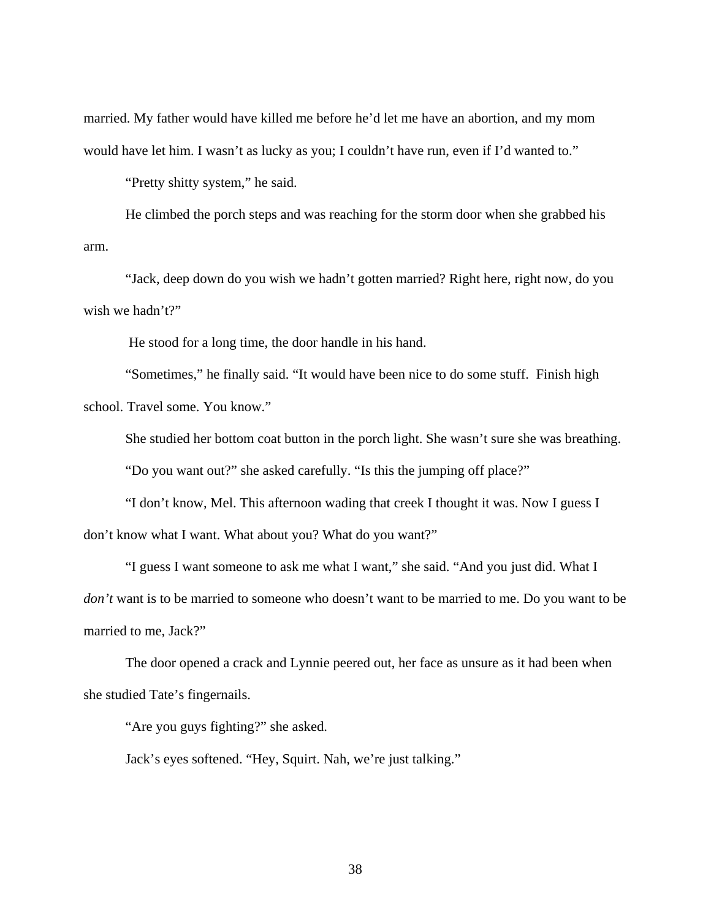married. My father would have killed me before he'd let me have an abortion, and my mom would have let him. I wasn't as lucky as you; I couldn't have run, even if I'd wanted to."

"Pretty shitty system," he said.

He climbed the porch steps and was reaching for the storm door when she grabbed his arm.

"Jack, deep down do you wish we hadn't gotten married? Right here, right now, do you wish we hadn't?"

He stood for a long time, the door handle in his hand.

"Sometimes," he finally said. "It would have been nice to do some stuff. Finish high school. Travel some. You know."

She studied her bottom coat button in the porch light. She wasn't sure she was breathing. "Do you want out?" she asked carefully. "Is this the jumping off place?"

"I don't know, Mel. This afternoon wading that creek I thought it was. Now I guess I don't know what I want. What about you? What do you want?"

"I guess I want someone to ask me what I want," she said. "And you just did. What I *don't* want is to be married to someone who doesn't want to be married to me. Do you want to be married to me, Jack?"

The door opened a crack and Lynnie peered out, her face as unsure as it had been when she studied Tate's fingernails.

"Are you guys fighting?" she asked.

Jack's eyes softened. "Hey, Squirt. Nah, we're just talking."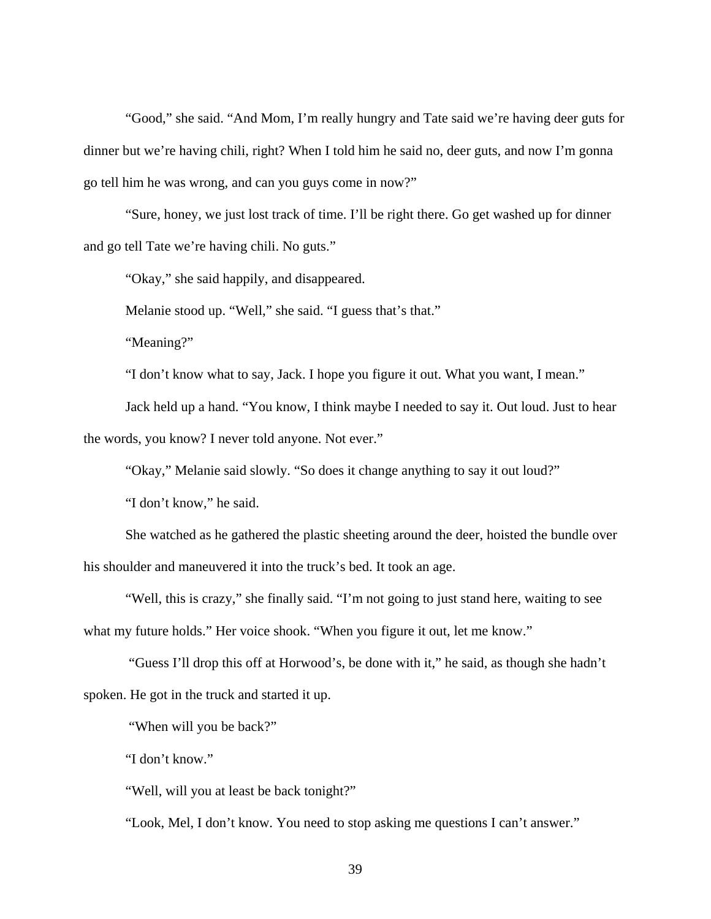"Good," she said. "And Mom, I'm really hungry and Tate said we're having deer guts for dinner but we're having chili, right? When I told him he said no, deer guts, and now I'm gonna go tell him he was wrong, and can you guys come in now?"

"Sure, honey, we just lost track of time. I'll be right there. Go get washed up for dinner and go tell Tate we're having chili. No guts."

"Okay," she said happily, and disappeared.

Melanie stood up. "Well," she said. "I guess that's that."

"Meaning?"

"I don't know what to say, Jack. I hope you figure it out. What you want, I mean."

Jack held up a hand. "You know, I think maybe I needed to say it. Out loud. Just to hear the words, you know? I never told anyone. Not ever."

"Okay," Melanie said slowly. "So does it change anything to say it out loud?"

"I don't know," he said.

She watched as he gathered the plastic sheeting around the deer, hoisted the bundle over his shoulder and maneuvered it into the truck's bed. It took an age.

"Well, this is crazy," she finally said. "I'm not going to just stand here, waiting to see what my future holds." Her voice shook. "When you figure it out, let me know."

 "Guess I'll drop this off at Horwood's, be done with it," he said, as though she hadn't spoken. He got in the truck and started it up.

"When will you be back?"

"I don't know."

"Well, will you at least be back tonight?"

"Look, Mel, I don't know. You need to stop asking me questions I can't answer."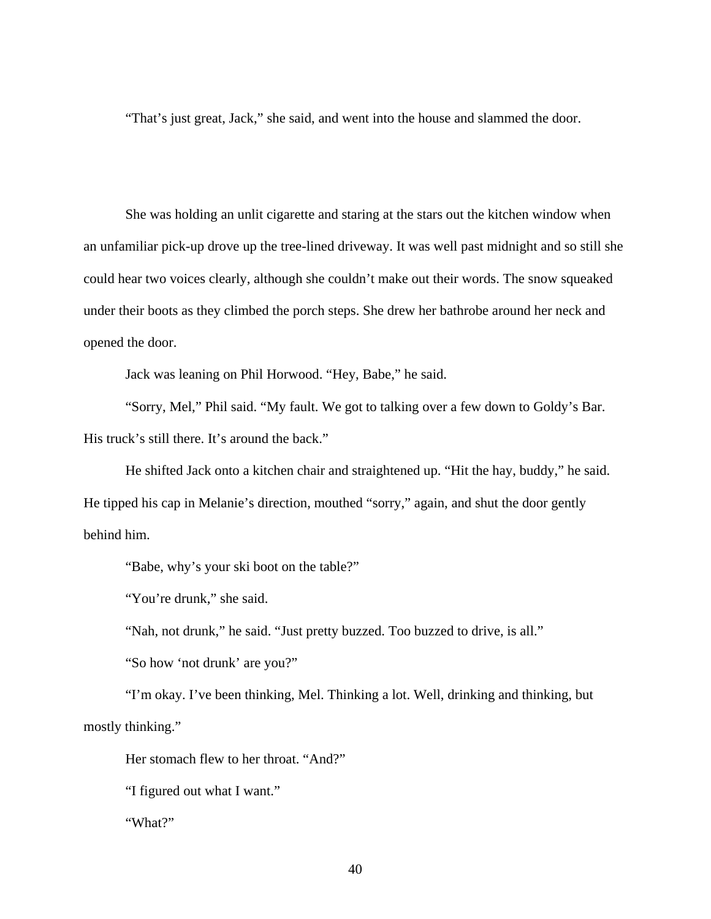"That's just great, Jack," she said, and went into the house and slammed the door.

She was holding an unlit cigarette and staring at the stars out the kitchen window when an unfamiliar pick-up drove up the tree-lined driveway. It was well past midnight and so still she could hear two voices clearly, although she couldn't make out their words. The snow squeaked under their boots as they climbed the porch steps. She drew her bathrobe around her neck and opened the door.

Jack was leaning on Phil Horwood. "Hey, Babe," he said.

"Sorry, Mel," Phil said. "My fault. We got to talking over a few down to Goldy's Bar. His truck's still there. It's around the back."

He shifted Jack onto a kitchen chair and straightened up. "Hit the hay, buddy," he said. He tipped his cap in Melanie's direction, mouthed "sorry," again, and shut the door gently behind him.

"Babe, why's your ski boot on the table?"

"You're drunk," she said.

"Nah, not drunk," he said. "Just pretty buzzed. Too buzzed to drive, is all."

"So how 'not drunk' are you?"

"I'm okay. I've been thinking, Mel. Thinking a lot. Well, drinking and thinking, but mostly thinking."

Her stomach flew to her throat. "And?"

"I figured out what I want."

"What?"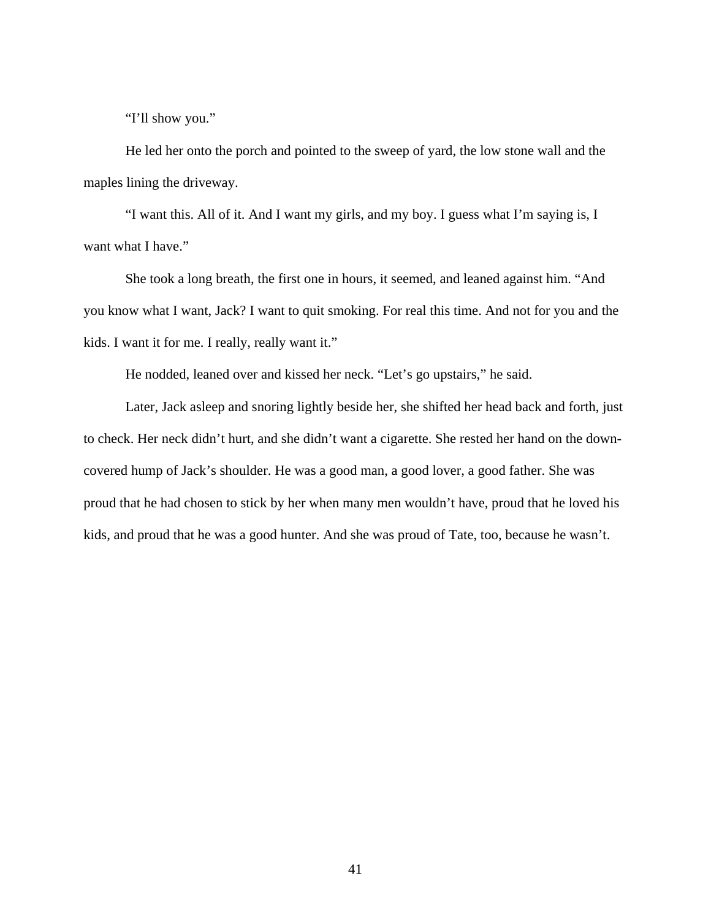"I'll show you."

He led her onto the porch and pointed to the sweep of yard, the low stone wall and the maples lining the driveway.

"I want this. All of it. And I want my girls, and my boy. I guess what I'm saying is, I want what I have."

She took a long breath, the first one in hours, it seemed, and leaned against him. "And you know what I want, Jack? I want to quit smoking. For real this time. And not for you and the kids. I want it for me. I really, really want it."

He nodded, leaned over and kissed her neck. "Let's go upstairs," he said.

Later, Jack asleep and snoring lightly beside her, she shifted her head back and forth, just to check. Her neck didn't hurt, and she didn't want a cigarette. She rested her hand on the downcovered hump of Jack's shoulder. He was a good man, a good lover, a good father. She was proud that he had chosen to stick by her when many men wouldn't have, proud that he loved his kids, and proud that he was a good hunter. And she was proud of Tate, too, because he wasn't.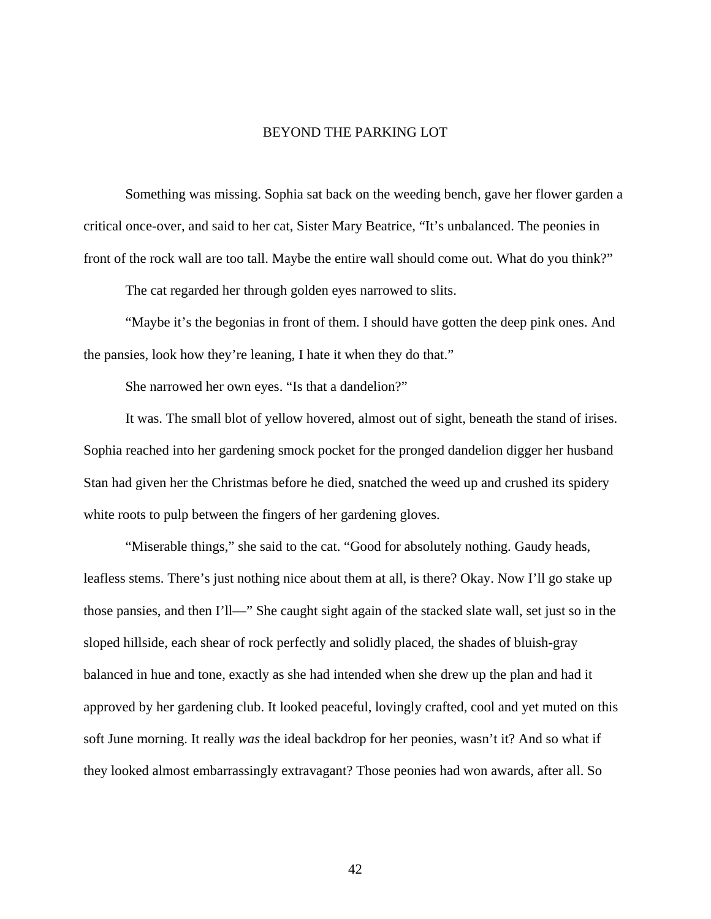## BEYOND THE PARKING LOT

Something was missing. Sophia sat back on the weeding bench, gave her flower garden a critical once-over, and said to her cat, Sister Mary Beatrice, "It's unbalanced. The peonies in front of the rock wall are too tall. Maybe the entire wall should come out. What do you think?"

The cat regarded her through golden eyes narrowed to slits.

"Maybe it's the begonias in front of them. I should have gotten the deep pink ones. And the pansies, look how they're leaning, I hate it when they do that."

She narrowed her own eyes. "Is that a dandelion?"

It was. The small blot of yellow hovered, almost out of sight, beneath the stand of irises. Sophia reached into her gardening smock pocket for the pronged dandelion digger her husband Stan had given her the Christmas before he died, snatched the weed up and crushed its spidery white roots to pulp between the fingers of her gardening gloves.

"Miserable things," she said to the cat. "Good for absolutely nothing. Gaudy heads, leafless stems. There's just nothing nice about them at all, is there? Okay. Now I'll go stake up those pansies, and then I'll—" She caught sight again of the stacked slate wall, set just so in the sloped hillside, each shear of rock perfectly and solidly placed, the shades of bluish-gray balanced in hue and tone, exactly as she had intended when she drew up the plan and had it approved by her gardening club. It looked peaceful, lovingly crafted, cool and yet muted on this soft June morning. It really *was* the ideal backdrop for her peonies, wasn't it? And so what if they looked almost embarrassingly extravagant? Those peonies had won awards, after all. So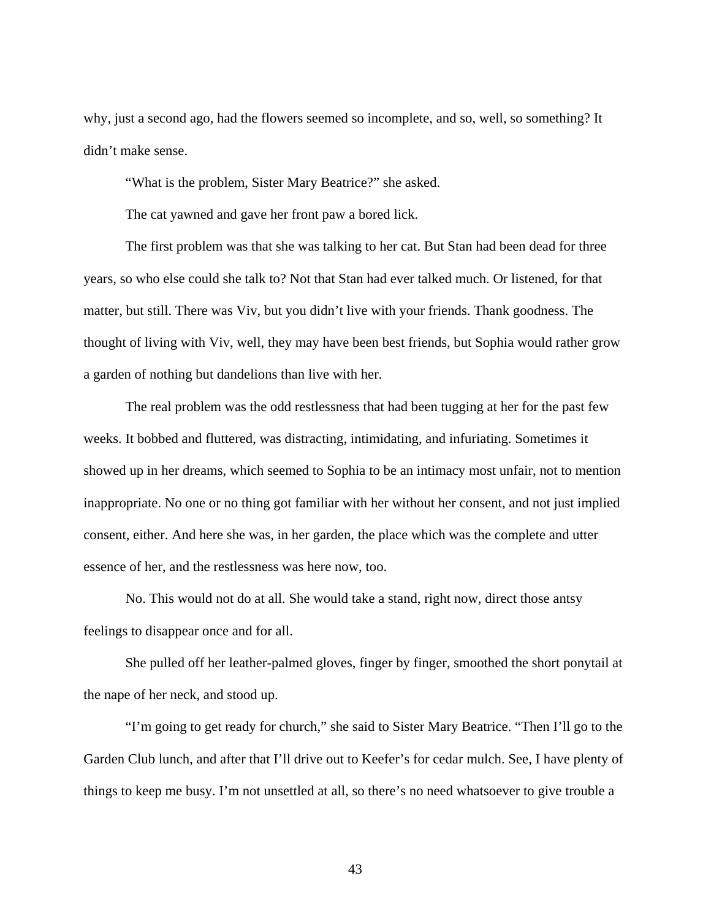why, just a second ago, had the flowers seemed so incomplete, and so, well, so something? It didn't make sense.

"What is the problem, Sister Mary Beatrice?" she asked.

The cat yawned and gave her front paw a bored lick.

The first problem was that she was talking to her cat. But Stan had been dead for three years, so who else could she talk to? Not that Stan had ever talked much. Or listened, for that matter, but still. There was Viv, but you didn't live with your friends. Thank goodness. The thought of living with Viv, well, they may have been best friends, but Sophia would rather grow a garden of nothing but dandelions than live with her.

The real problem was the odd restlessness that had been tugging at her for the past few weeks. It bobbed and fluttered, was distracting, intimidating, and infuriating. Sometimes it showed up in her dreams, which seemed to Sophia to be an intimacy most unfair, not to mention inappropriate. No one or no thing got familiar with her without her consent, and not just implied consent, either. And here she was, in her garden, the place which was the complete and utter essence of her, and the restlessness was here now, too.

No. This would not do at all. She would take a stand, right now, direct those antsy feelings to disappear once and for all.

She pulled off her leather-palmed gloves, finger by finger, smoothed the short ponytail at the nape of her neck, and stood up.

"I'm going to get ready for church," she said to Sister Mary Beatrice. "Then I'll go to the Garden Club lunch, and after that I'll drive out to Keefer's for cedar mulch. See, I have plenty of things to keep me busy. I'm not unsettled at all, so there's no need whatsoever to give trouble a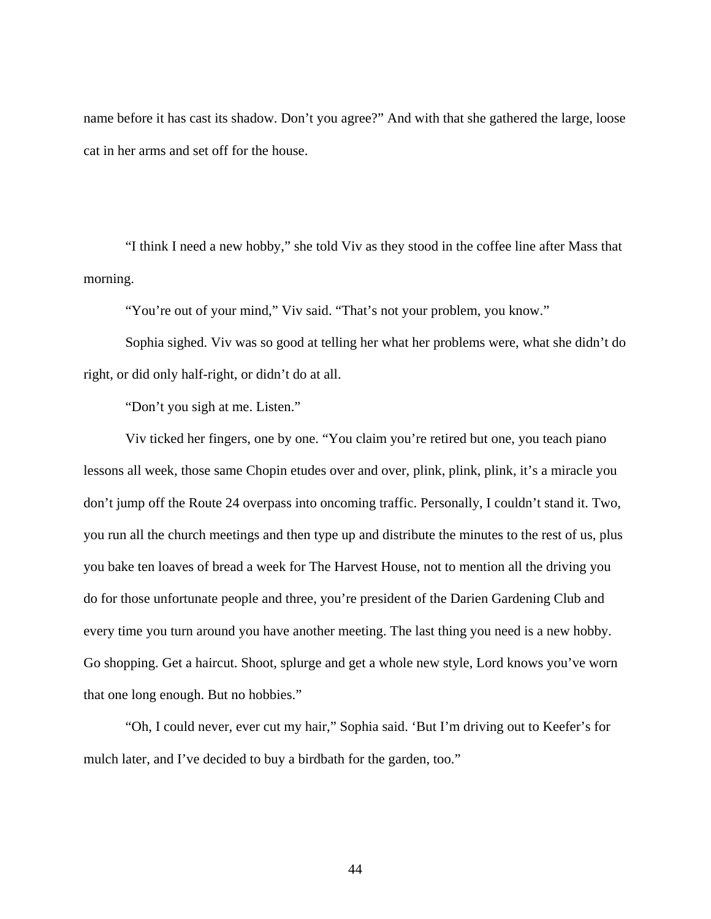name before it has cast its shadow. Don't you agree?" And with that she gathered the large, loose cat in her arms and set off for the house.

"I think I need a new hobby," she told Viv as they stood in the coffee line after Mass that morning.

"You're out of your mind," Viv said. "That's not your problem, you know."

Sophia sighed. Viv was so good at telling her what her problems were, what she didn't do right, or did only half-right, or didn't do at all.

"Don't you sigh at me. Listen."

Viv ticked her fingers, one by one. "You claim you're retired but one, you teach piano lessons all week, those same Chopin etudes over and over, plink, plink, plink, it's a miracle you don't jump off the Route 24 overpass into oncoming traffic. Personally, I couldn't stand it. Two, you run all the church meetings and then type up and distribute the minutes to the rest of us, plus you bake ten loaves of bread a week for The Harvest House, not to mention all the driving you do for those unfortunate people and three, you're president of the Darien Gardening Club and every time you turn around you have another meeting. The last thing you need is a new hobby. Go shopping. Get a haircut. Shoot, splurge and get a whole new style, Lord knows you've worn that one long enough. But no hobbies."

"Oh, I could never, ever cut my hair," Sophia said. 'But I'm driving out to Keefer's for mulch later, and I've decided to buy a birdbath for the garden, too."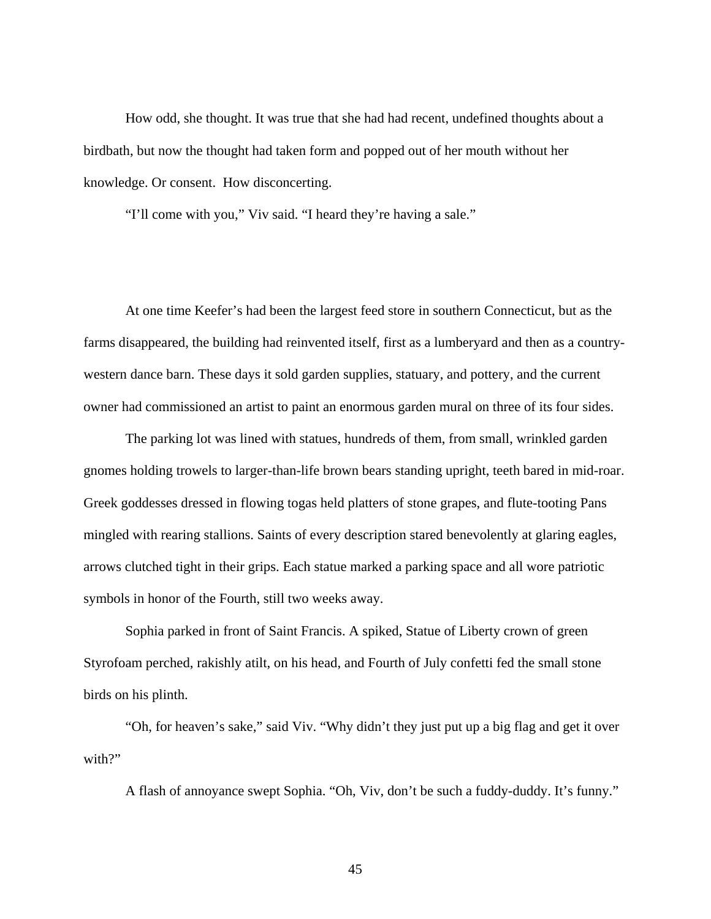How odd, she thought. It was true that she had had recent, undefined thoughts about a birdbath, but now the thought had taken form and popped out of her mouth without her knowledge. Or consent. How disconcerting.

"I'll come with you," Viv said. "I heard they're having a sale."

At one time Keefer's had been the largest feed store in southern Connecticut, but as the farms disappeared, the building had reinvented itself, first as a lumberyard and then as a countrywestern dance barn. These days it sold garden supplies, statuary, and pottery, and the current owner had commissioned an artist to paint an enormous garden mural on three of its four sides.

The parking lot was lined with statues, hundreds of them, from small, wrinkled garden gnomes holding trowels to larger-than-life brown bears standing upright, teeth bared in mid-roar. Greek goddesses dressed in flowing togas held platters of stone grapes, and flute-tooting Pans mingled with rearing stallions. Saints of every description stared benevolently at glaring eagles, arrows clutched tight in their grips. Each statue marked a parking space and all wore patriotic symbols in honor of the Fourth, still two weeks away.

Sophia parked in front of Saint Francis. A spiked, Statue of Liberty crown of green Styrofoam perched, rakishly atilt, on his head, and Fourth of July confetti fed the small stone birds on his plinth.

"Oh, for heaven's sake," said Viv. "Why didn't they just put up a big flag and get it over with?"

A flash of annoyance swept Sophia. "Oh, Viv, don't be such a fuddy-duddy. It's funny."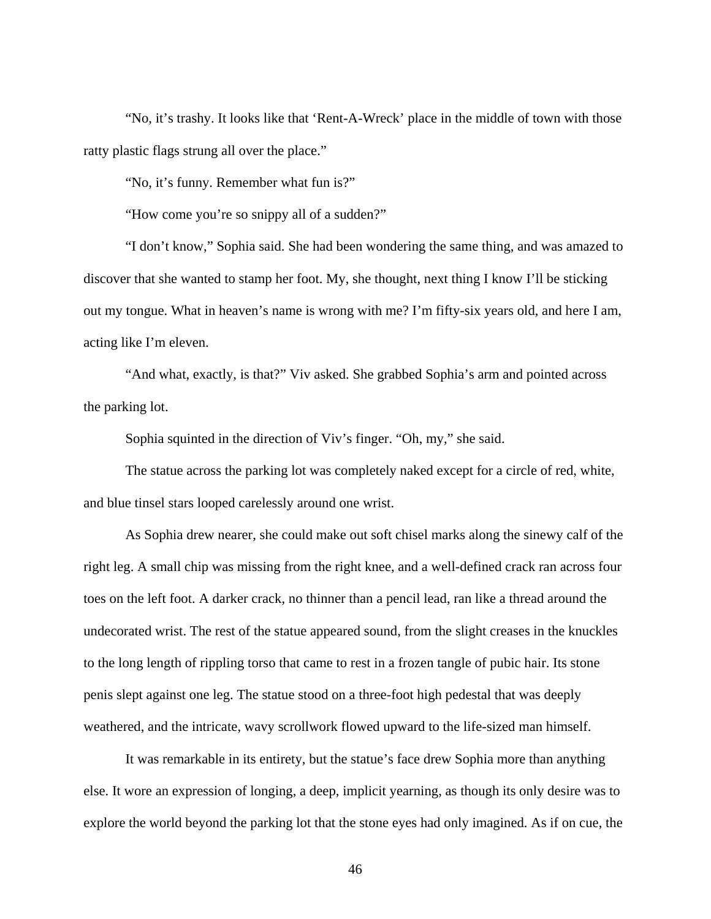"No, it's trashy. It looks like that 'Rent-A-Wreck' place in the middle of town with those ratty plastic flags strung all over the place."

"No, it's funny. Remember what fun is?"

"How come you're so snippy all of a sudden?"

"I don't know," Sophia said. She had been wondering the same thing, and was amazed to discover that she wanted to stamp her foot. My, she thought, next thing I know I'll be sticking out my tongue. What in heaven's name is wrong with me? I'm fifty-six years old, and here I am, acting like I'm eleven.

"And what, exactly, is that?" Viv asked. She grabbed Sophia's arm and pointed across the parking lot.

Sophia squinted in the direction of Viv's finger. "Oh, my," she said.

The statue across the parking lot was completely naked except for a circle of red, white, and blue tinsel stars looped carelessly around one wrist.

As Sophia drew nearer, she could make out soft chisel marks along the sinewy calf of the right leg. A small chip was missing from the right knee, and a well-defined crack ran across four toes on the left foot. A darker crack, no thinner than a pencil lead, ran like a thread around the undecorated wrist. The rest of the statue appeared sound, from the slight creases in the knuckles to the long length of rippling torso that came to rest in a frozen tangle of pubic hair. Its stone penis slept against one leg. The statue stood on a three-foot high pedestal that was deeply weathered, and the intricate, wavy scrollwork flowed upward to the life-sized man himself.

It was remarkable in its entirety, but the statue's face drew Sophia more than anything else. It wore an expression of longing, a deep, implicit yearning, as though its only desire was to explore the world beyond the parking lot that the stone eyes had only imagined. As if on cue, the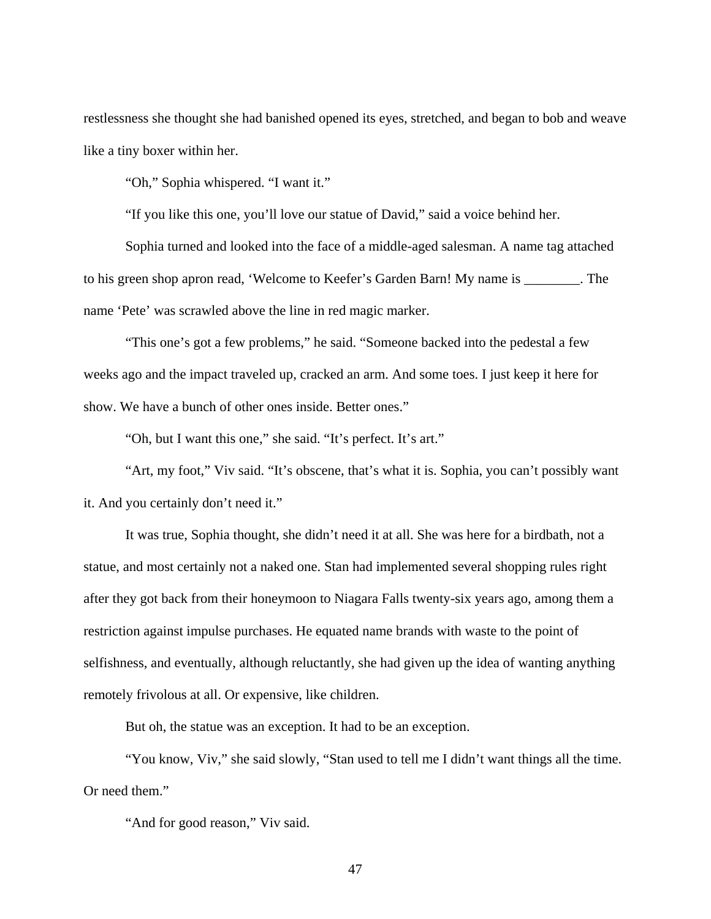restlessness she thought she had banished opened its eyes, stretched, and began to bob and weave like a tiny boxer within her.

"Oh," Sophia whispered. "I want it."

"If you like this one, you'll love our statue of David," said a voice behind her.

Sophia turned and looked into the face of a middle-aged salesman. A name tag attached to his green shop apron read, 'Welcome to Keefer's Garden Barn! My name is \_\_\_\_\_\_\_\_. The name 'Pete' was scrawled above the line in red magic marker.

"This one's got a few problems," he said. "Someone backed into the pedestal a few weeks ago and the impact traveled up, cracked an arm. And some toes. I just keep it here for show. We have a bunch of other ones inside. Better ones."

"Oh, but I want this one," she said. "It's perfect. It's art."

"Art, my foot," Viv said. "It's obscene, that's what it is. Sophia, you can't possibly want it. And you certainly don't need it."

It was true, Sophia thought, she didn't need it at all. She was here for a birdbath, not a statue, and most certainly not a naked one. Stan had implemented several shopping rules right after they got back from their honeymoon to Niagara Falls twenty-six years ago, among them a restriction against impulse purchases. He equated name brands with waste to the point of selfishness, and eventually, although reluctantly, she had given up the idea of wanting anything remotely frivolous at all. Or expensive, like children.

But oh, the statue was an exception. It had to be an exception.

"You know, Viv," she said slowly, "Stan used to tell me I didn't want things all the time. Or need them."

"And for good reason," Viv said.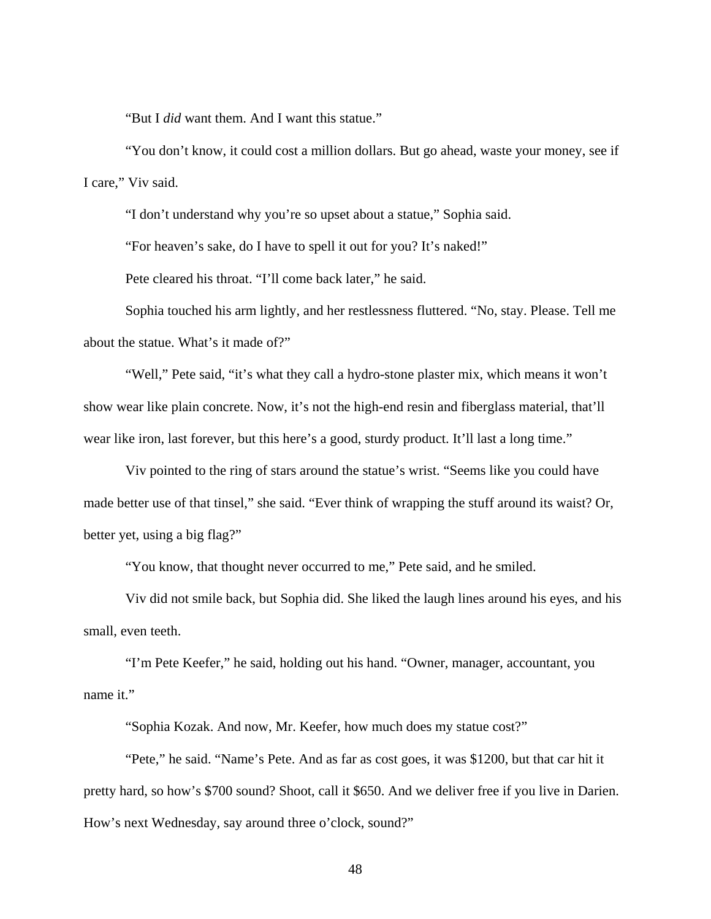"But I *did* want them. And I want this statue."

"You don't know, it could cost a million dollars. But go ahead, waste your money, see if I care," Viv said.

"I don't understand why you're so upset about a statue," Sophia said.

"For heaven's sake, do I have to spell it out for you? It's naked!"

Pete cleared his throat. "I'll come back later," he said.

Sophia touched his arm lightly, and her restlessness fluttered. "No, stay. Please. Tell me about the statue. What's it made of?"

"Well," Pete said, "it's what they call a hydro-stone plaster mix, which means it won't show wear like plain concrete. Now, it's not the high-end resin and fiberglass material, that'll wear like iron, last forever, but this here's a good, sturdy product. It'll last a long time."

Viv pointed to the ring of stars around the statue's wrist. "Seems like you could have made better use of that tinsel," she said. "Ever think of wrapping the stuff around its waist? Or, better yet, using a big flag?"

"You know, that thought never occurred to me," Pete said, and he smiled.

Viv did not smile back, but Sophia did. She liked the laugh lines around his eyes, and his small, even teeth.

"I'm Pete Keefer," he said, holding out his hand. "Owner, manager, accountant, you name it."

"Sophia Kozak. And now, Mr. Keefer, how much does my statue cost?"

"Pete," he said. "Name's Pete. And as far as cost goes, it was \$1200, but that car hit it pretty hard, so how's \$700 sound? Shoot, call it \$650. And we deliver free if you live in Darien. How's next Wednesday, say around three o'clock, sound?"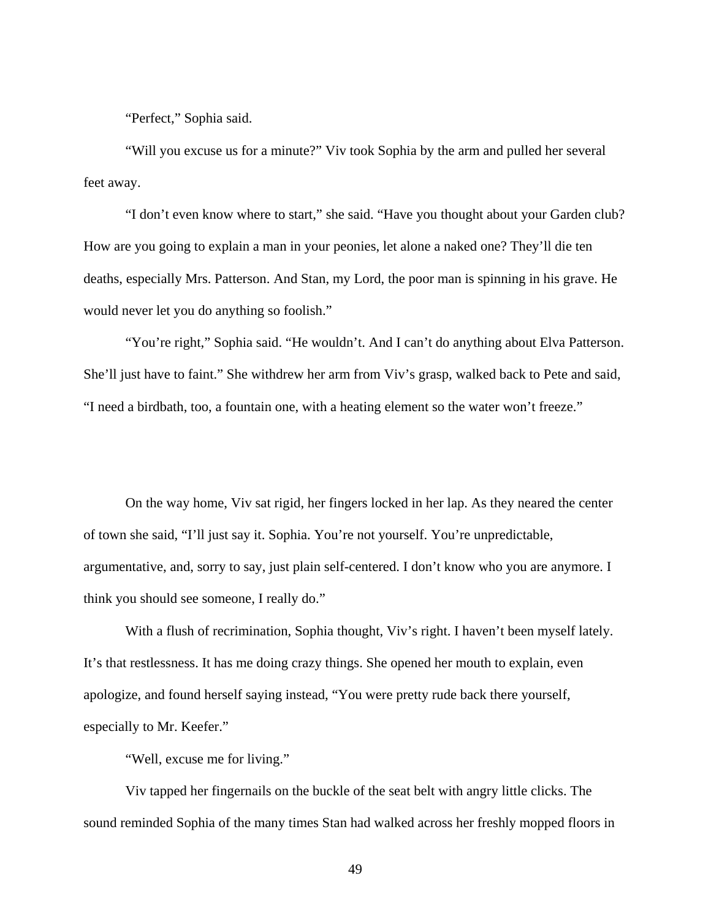"Perfect," Sophia said.

"Will you excuse us for a minute?" Viv took Sophia by the arm and pulled her several feet away.

"I don't even know where to start," she said. "Have you thought about your Garden club? How are you going to explain a man in your peonies, let alone a naked one? They'll die ten deaths, especially Mrs. Patterson. And Stan, my Lord, the poor man is spinning in his grave. He would never let you do anything so foolish."

"You're right," Sophia said. "He wouldn't. And I can't do anything about Elva Patterson. She'll just have to faint." She withdrew her arm from Viv's grasp, walked back to Pete and said, "I need a birdbath, too, a fountain one, with a heating element so the water won't freeze."

On the way home, Viv sat rigid, her fingers locked in her lap. As they neared the center of town she said, "I'll just say it. Sophia. You're not yourself. You're unpredictable, argumentative, and, sorry to say, just plain self-centered. I don't know who you are anymore. I think you should see someone, I really do."

With a flush of recrimination, Sophia thought, Viv's right. I haven't been myself lately. It's that restlessness. It has me doing crazy things. She opened her mouth to explain, even apologize, and found herself saying instead, "You were pretty rude back there yourself, especially to Mr. Keefer."

"Well, excuse me for living."

Viv tapped her fingernails on the buckle of the seat belt with angry little clicks. The sound reminded Sophia of the many times Stan had walked across her freshly mopped floors in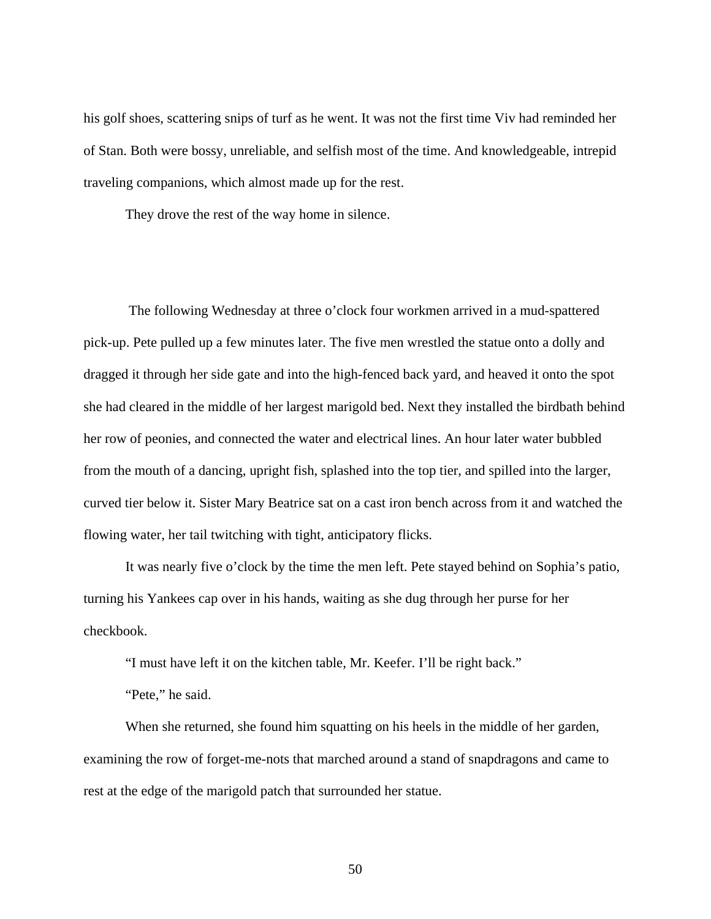his golf shoes, scattering snips of turf as he went. It was not the first time Viv had reminded her of Stan. Both were bossy, unreliable, and selfish most of the time. And knowledgeable, intrepid traveling companions, which almost made up for the rest.

They drove the rest of the way home in silence.

 The following Wednesday at three o'clock four workmen arrived in a mud-spattered pick-up. Pete pulled up a few minutes later. The five men wrestled the statue onto a dolly and dragged it through her side gate and into the high-fenced back yard, and heaved it onto the spot she had cleared in the middle of her largest marigold bed. Next they installed the birdbath behind her row of peonies, and connected the water and electrical lines. An hour later water bubbled from the mouth of a dancing, upright fish, splashed into the top tier, and spilled into the larger, curved tier below it. Sister Mary Beatrice sat on a cast iron bench across from it and watched the flowing water, her tail twitching with tight, anticipatory flicks.

It was nearly five o'clock by the time the men left. Pete stayed behind on Sophia's patio, turning his Yankees cap over in his hands, waiting as she dug through her purse for her checkbook.

"I must have left it on the kitchen table, Mr. Keefer. I'll be right back."

"Pete," he said.

When she returned, she found him squatting on his heels in the middle of her garden, examining the row of forget-me-nots that marched around a stand of snapdragons and came to rest at the edge of the marigold patch that surrounded her statue.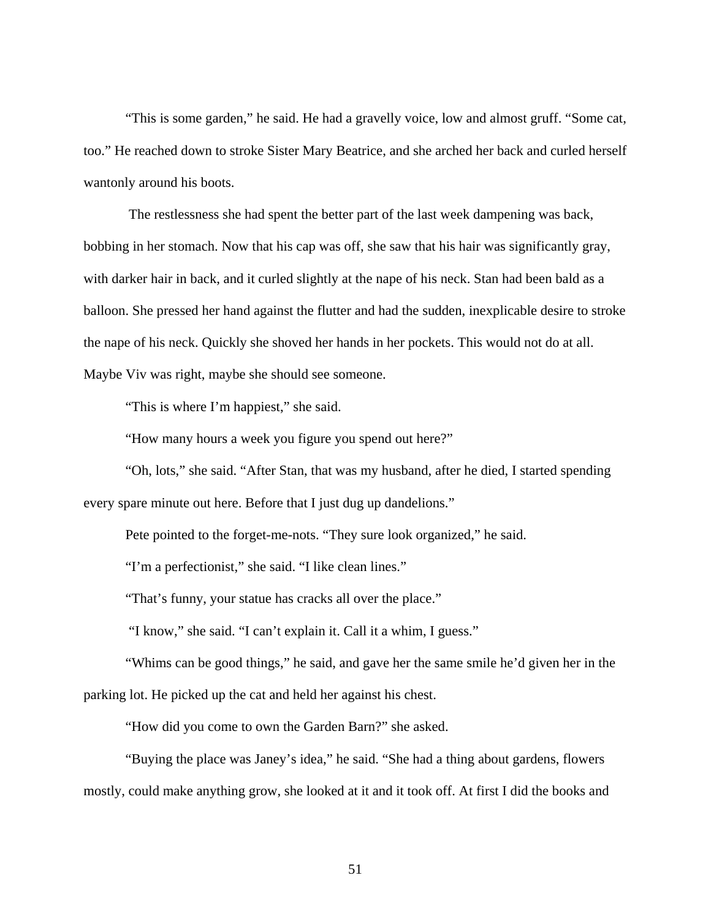"This is some garden," he said. He had a gravelly voice, low and almost gruff. "Some cat, too." He reached down to stroke Sister Mary Beatrice, and she arched her back and curled herself wantonly around his boots.

 The restlessness she had spent the better part of the last week dampening was back, bobbing in her stomach. Now that his cap was off, she saw that his hair was significantly gray, with darker hair in back, and it curled slightly at the nape of his neck. Stan had been bald as a balloon. She pressed her hand against the flutter and had the sudden, inexplicable desire to stroke the nape of his neck. Quickly she shoved her hands in her pockets. This would not do at all. Maybe Viv was right, maybe she should see someone.

"This is where I'm happiest," she said.

"How many hours a week you figure you spend out here?"

"Oh, lots," she said. "After Stan, that was my husband, after he died, I started spending every spare minute out here. Before that I just dug up dandelions."

Pete pointed to the forget-me-nots. "They sure look organized," he said.

"I'm a perfectionist," she said. "I like clean lines."

"That's funny, your statue has cracks all over the place."

"I know," she said. "I can't explain it. Call it a whim, I guess."

"Whims can be good things," he said, and gave her the same smile he'd given her in the parking lot. He picked up the cat and held her against his chest.

"How did you come to own the Garden Barn?" she asked.

"Buying the place was Janey's idea," he said. "She had a thing about gardens, flowers mostly, could make anything grow, she looked at it and it took off. At first I did the books and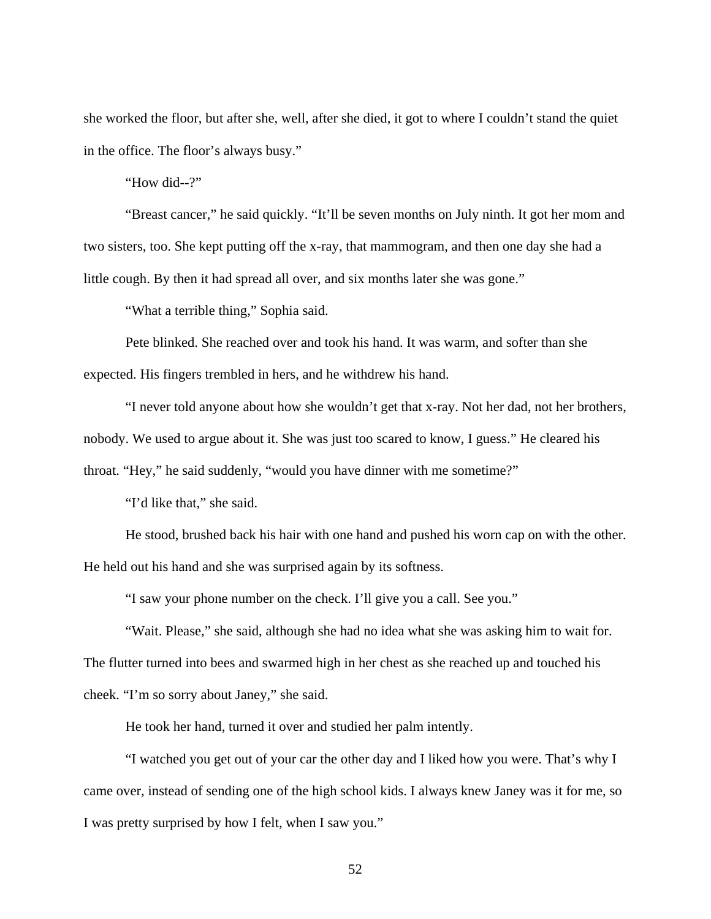she worked the floor, but after she, well, after she died, it got to where I couldn't stand the quiet in the office. The floor's always busy."

"How did--?"

"Breast cancer," he said quickly. "It'll be seven months on July ninth. It got her mom and two sisters, too. She kept putting off the x-ray, that mammogram, and then one day she had a little cough. By then it had spread all over, and six months later she was gone."

"What a terrible thing," Sophia said.

Pete blinked. She reached over and took his hand. It was warm, and softer than she expected. His fingers trembled in hers, and he withdrew his hand.

"I never told anyone about how she wouldn't get that x-ray. Not her dad, not her brothers, nobody. We used to argue about it. She was just too scared to know, I guess." He cleared his throat. "Hey," he said suddenly, "would you have dinner with me sometime?"

"I'd like that," she said.

He stood, brushed back his hair with one hand and pushed his worn cap on with the other. He held out his hand and she was surprised again by its softness.

"I saw your phone number on the check. I'll give you a call. See you."

"Wait. Please," she said, although she had no idea what she was asking him to wait for. The flutter turned into bees and swarmed high in her chest as she reached up and touched his cheek. "I'm so sorry about Janey," she said.

He took her hand, turned it over and studied her palm intently.

"I watched you get out of your car the other day and I liked how you were. That's why I came over, instead of sending one of the high school kids. I always knew Janey was it for me, so I was pretty surprised by how I felt, when I saw you."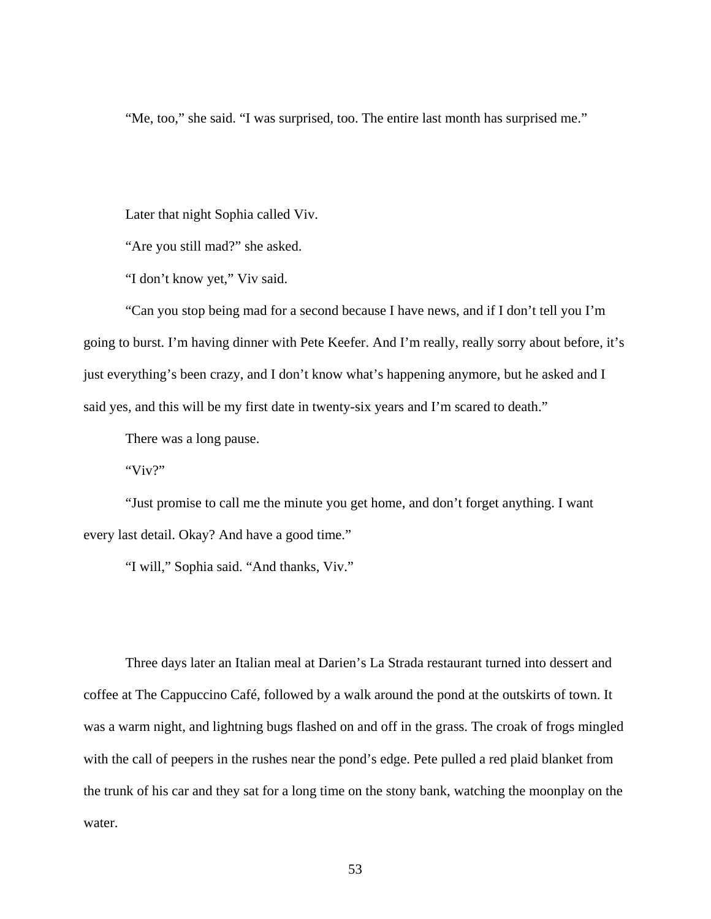"Me, too," she said. "I was surprised, too. The entire last month has surprised me."

Later that night Sophia called Viv.

"Are you still mad?" she asked.

"I don't know yet," Viv said.

"Can you stop being mad for a second because I have news, and if I don't tell you I'm going to burst. I'm having dinner with Pete Keefer. And I'm really, really sorry about before, it's just everything's been crazy, and I don't know what's happening anymore, but he asked and I said yes, and this will be my first date in twenty-six years and I'm scared to death."

There was a long pause.

" $Viv$ 

"Just promise to call me the minute you get home, and don't forget anything. I want every last detail. Okay? And have a good time."

"I will," Sophia said. "And thanks, Viv."

Three days later an Italian meal at Darien's La Strada restaurant turned into dessert and coffee at The Cappuccino Café, followed by a walk around the pond at the outskirts of town. It was a warm night, and lightning bugs flashed on and off in the grass. The croak of frogs mingled with the call of peepers in the rushes near the pond's edge. Pete pulled a red plaid blanket from the trunk of his car and they sat for a long time on the stony bank, watching the moonplay on the water.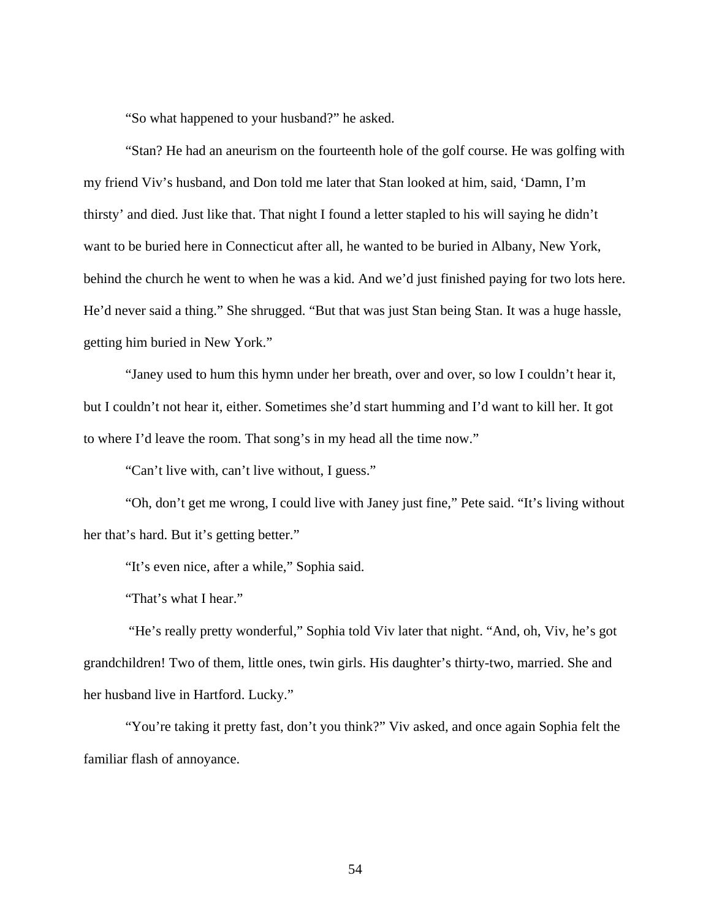"So what happened to your husband?" he asked.

"Stan? He had an aneurism on the fourteenth hole of the golf course. He was golfing with my friend Viv's husband, and Don told me later that Stan looked at him, said, 'Damn, I'm thirsty' and died. Just like that. That night I found a letter stapled to his will saying he didn't want to be buried here in Connecticut after all, he wanted to be buried in Albany, New York, behind the church he went to when he was a kid. And we'd just finished paying for two lots here. He'd never said a thing." She shrugged. "But that was just Stan being Stan. It was a huge hassle, getting him buried in New York."

"Janey used to hum this hymn under her breath, over and over, so low I couldn't hear it, but I couldn't not hear it, either. Sometimes she'd start humming and I'd want to kill her. It got to where I'd leave the room. That song's in my head all the time now."

"Can't live with, can't live without, I guess."

"Oh, don't get me wrong, I could live with Janey just fine," Pete said. "It's living without her that's hard. But it's getting better."

"It's even nice, after a while," Sophia said.

"That's what I hear."

 "He's really pretty wonderful," Sophia told Viv later that night. "And, oh, Viv, he's got grandchildren! Two of them, little ones, twin girls. His daughter's thirty-two, married. She and her husband live in Hartford. Lucky."

"You're taking it pretty fast, don't you think?" Viv asked, and once again Sophia felt the familiar flash of annoyance.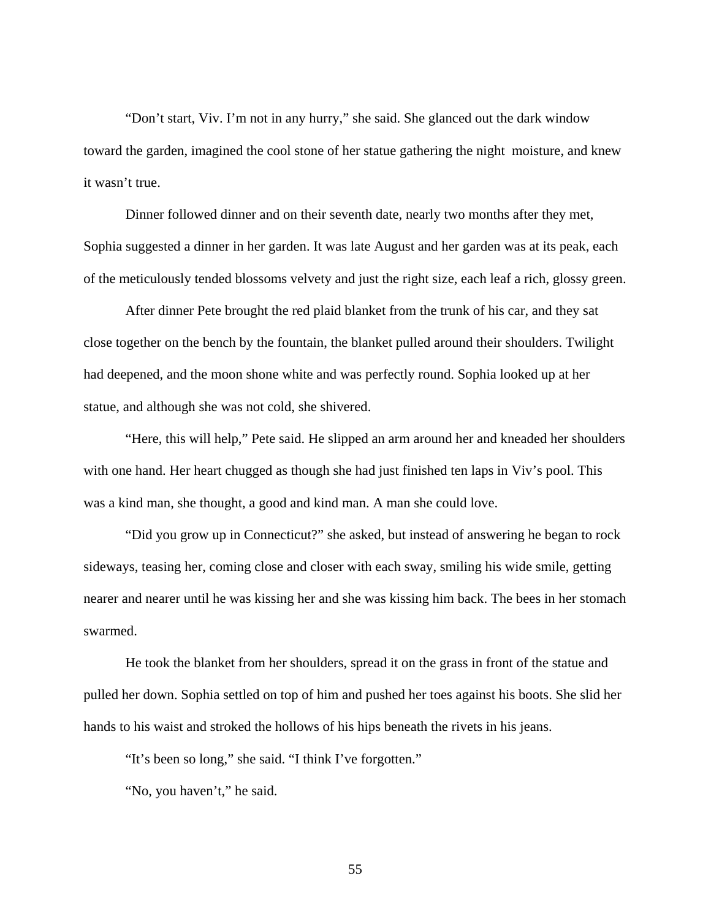"Don't start, Viv. I'm not in any hurry," she said. She glanced out the dark window toward the garden, imagined the cool stone of her statue gathering the night moisture, and knew it wasn't true.

Dinner followed dinner and on their seventh date, nearly two months after they met, Sophia suggested a dinner in her garden. It was late August and her garden was at its peak, each of the meticulously tended blossoms velvety and just the right size, each leaf a rich, glossy green.

After dinner Pete brought the red plaid blanket from the trunk of his car, and they sat close together on the bench by the fountain, the blanket pulled around their shoulders. Twilight had deepened, and the moon shone white and was perfectly round. Sophia looked up at her statue, and although she was not cold, she shivered.

"Here, this will help," Pete said. He slipped an arm around her and kneaded her shoulders with one hand. Her heart chugged as though she had just finished ten laps in Viv's pool. This was a kind man, she thought, a good and kind man. A man she could love.

"Did you grow up in Connecticut?" she asked, but instead of answering he began to rock sideways, teasing her, coming close and closer with each sway, smiling his wide smile, getting nearer and nearer until he was kissing her and she was kissing him back. The bees in her stomach swarmed.

He took the blanket from her shoulders, spread it on the grass in front of the statue and pulled her down. Sophia settled on top of him and pushed her toes against his boots. She slid her hands to his waist and stroked the hollows of his hips beneath the rivets in his jeans.

"It's been so long," she said. "I think I've forgotten."

"No, you haven't," he said.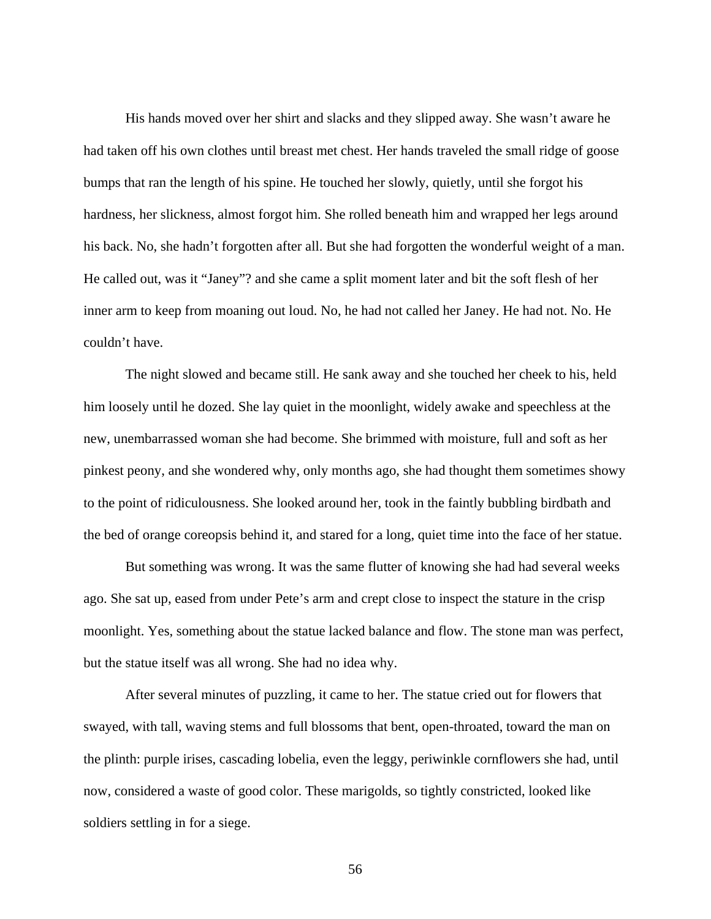His hands moved over her shirt and slacks and they slipped away. She wasn't aware he had taken off his own clothes until breast met chest. Her hands traveled the small ridge of goose bumps that ran the length of his spine. He touched her slowly, quietly, until she forgot his hardness, her slickness, almost forgot him. She rolled beneath him and wrapped her legs around his back. No, she hadn't forgotten after all. But she had forgotten the wonderful weight of a man. He called out, was it "Janey"? and she came a split moment later and bit the soft flesh of her inner arm to keep from moaning out loud. No, he had not called her Janey. He had not. No. He couldn't have.

The night slowed and became still. He sank away and she touched her cheek to his, held him loosely until he dozed. She lay quiet in the moonlight, widely awake and speechless at the new, unembarrassed woman she had become. She brimmed with moisture, full and soft as her pinkest peony, and she wondered why, only months ago, she had thought them sometimes showy to the point of ridiculousness. She looked around her, took in the faintly bubbling birdbath and the bed of orange coreopsis behind it, and stared for a long, quiet time into the face of her statue.

But something was wrong. It was the same flutter of knowing she had had several weeks ago. She sat up, eased from under Pete's arm and crept close to inspect the stature in the crisp moonlight. Yes, something about the statue lacked balance and flow. The stone man was perfect, but the statue itself was all wrong. She had no idea why.

After several minutes of puzzling, it came to her. The statue cried out for flowers that swayed, with tall, waving stems and full blossoms that bent, open-throated, toward the man on the plinth: purple irises, cascading lobelia, even the leggy, periwinkle cornflowers she had, until now, considered a waste of good color. These marigolds, so tightly constricted, looked like soldiers settling in for a siege.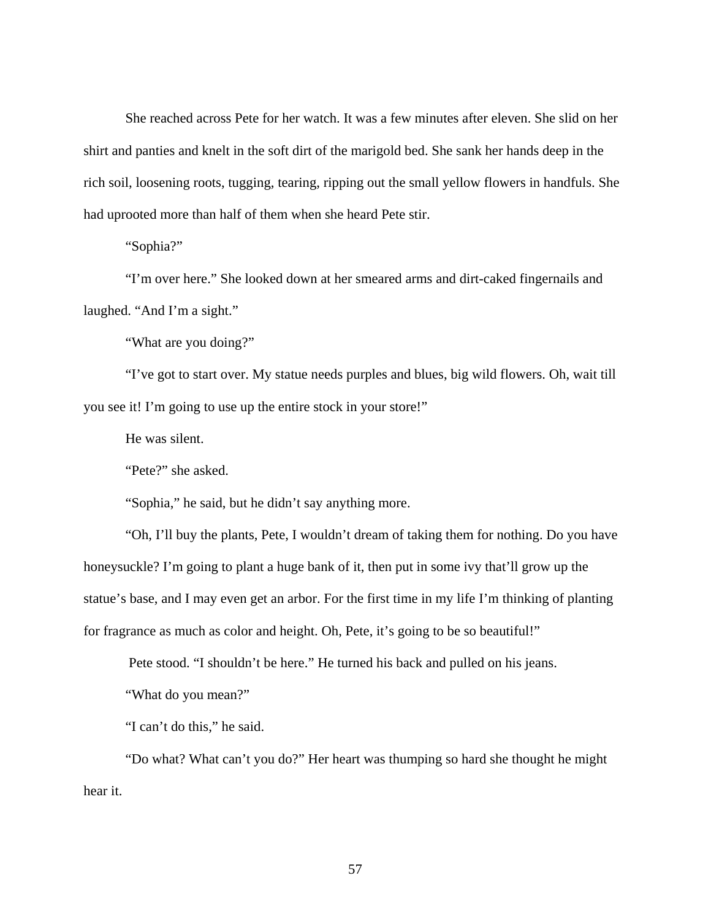She reached across Pete for her watch. It was a few minutes after eleven. She slid on her shirt and panties and knelt in the soft dirt of the marigold bed. She sank her hands deep in the rich soil, loosening roots, tugging, tearing, ripping out the small yellow flowers in handfuls. She had uprooted more than half of them when she heard Pete stir.

"Sophia?"

"I'm over here." She looked down at her smeared arms and dirt-caked fingernails and laughed. "And I'm a sight."

"What are you doing?"

"I've got to start over. My statue needs purples and blues, big wild flowers. Oh, wait till you see it! I'm going to use up the entire stock in your store!"

He was silent.

"Pete?" she asked.

"Sophia," he said, but he didn't say anything more.

"Oh, I'll buy the plants, Pete, I wouldn't dream of taking them for nothing. Do you have honeysuckle? I'm going to plant a huge bank of it, then put in some ivy that'll grow up the statue's base, and I may even get an arbor. For the first time in my life I'm thinking of planting for fragrance as much as color and height. Oh, Pete, it's going to be so beautiful!"

Pete stood. "I shouldn't be here." He turned his back and pulled on his jeans.

"What do you mean?"

"I can't do this," he said.

"Do what? What can't you do?" Her heart was thumping so hard she thought he might hear it.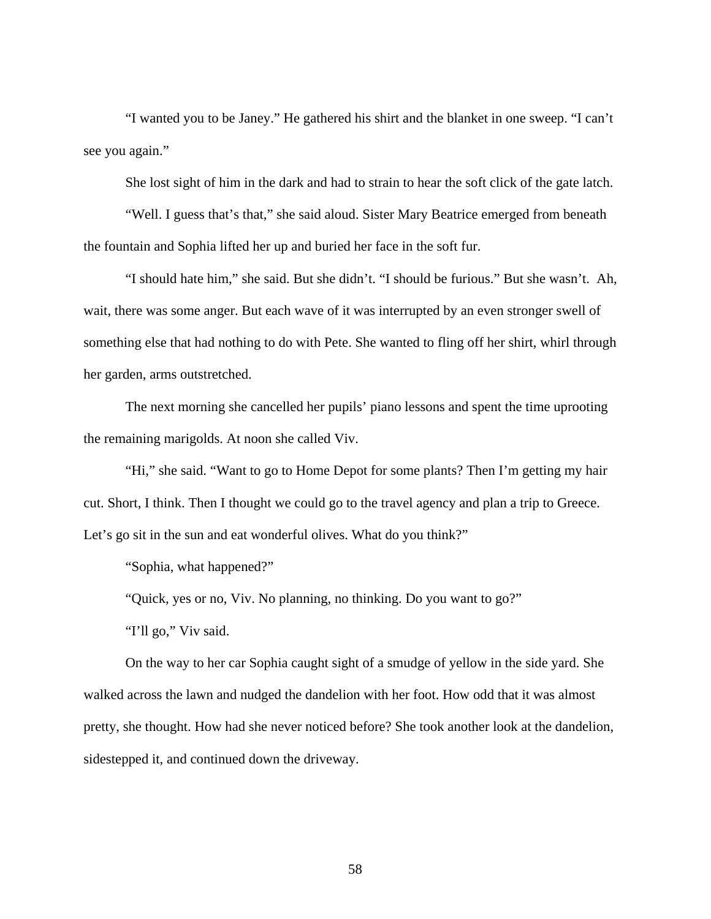"I wanted you to be Janey." He gathered his shirt and the blanket in one sweep. "I can't see you again."

She lost sight of him in the dark and had to strain to hear the soft click of the gate latch.

"Well. I guess that's that," she said aloud. Sister Mary Beatrice emerged from beneath the fountain and Sophia lifted her up and buried her face in the soft fur.

"I should hate him," she said. But she didn't. "I should be furious." But she wasn't. Ah, wait, there was some anger. But each wave of it was interrupted by an even stronger swell of something else that had nothing to do with Pete. She wanted to fling off her shirt, whirl through her garden, arms outstretched.

The next morning she cancelled her pupils' piano lessons and spent the time uprooting the remaining marigolds. At noon she called Viv.

"Hi," she said. "Want to go to Home Depot for some plants? Then I'm getting my hair cut. Short, I think. Then I thought we could go to the travel agency and plan a trip to Greece. Let's go sit in the sun and eat wonderful olives. What do you think?"

"Sophia, what happened?"

"Quick, yes or no, Viv. No planning, no thinking. Do you want to go?"

"I'll go," Viv said.

On the way to her car Sophia caught sight of a smudge of yellow in the side yard. She walked across the lawn and nudged the dandelion with her foot. How odd that it was almost pretty, she thought. How had she never noticed before? She took another look at the dandelion, sidestepped it, and continued down the driveway.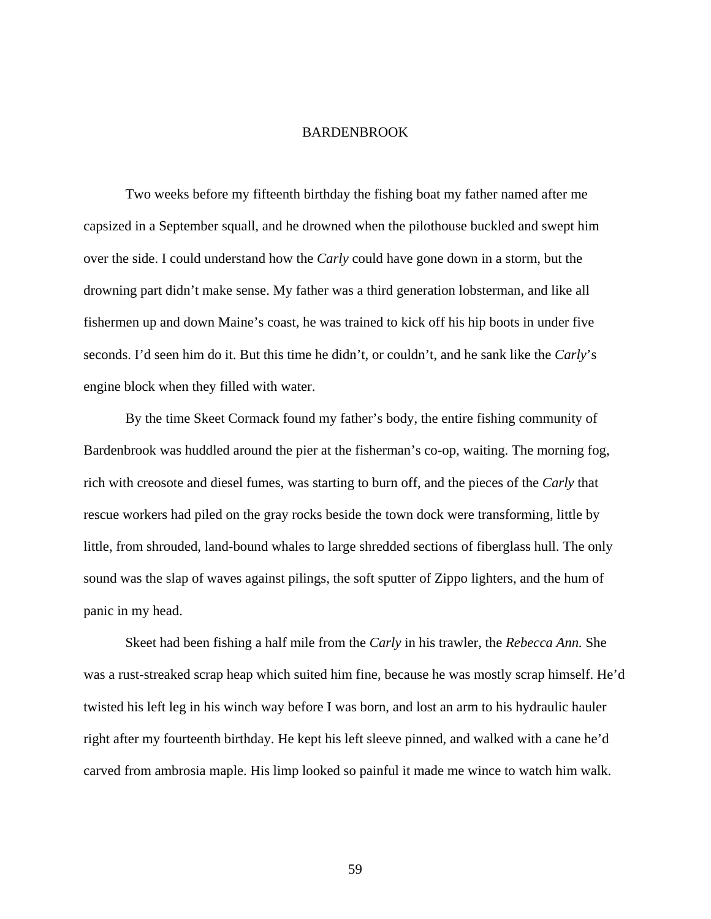## BARDENBROOK

Two weeks before my fifteenth birthday the fishing boat my father named after me capsized in a September squall, and he drowned when the pilothouse buckled and swept him over the side. I could understand how the *Carly* could have gone down in a storm, but the drowning part didn't make sense. My father was a third generation lobsterman, and like all fishermen up and down Maine's coast, he was trained to kick off his hip boots in under five seconds. I'd seen him do it. But this time he didn't, or couldn't, and he sank like the *Carly*'s engine block when they filled with water.

By the time Skeet Cormack found my father's body, the entire fishing community of Bardenbrook was huddled around the pier at the fisherman's co-op, waiting. The morning fog, rich with creosote and diesel fumes, was starting to burn off, and the pieces of the *Carly* that rescue workers had piled on the gray rocks beside the town dock were transforming, little by little, from shrouded, land-bound whales to large shredded sections of fiberglass hull. The only sound was the slap of waves against pilings, the soft sputter of Zippo lighters, and the hum of panic in my head.

Skeet had been fishing a half mile from the *Carly* in his trawler, the *Rebecca Ann.* She was a rust-streaked scrap heap which suited him fine, because he was mostly scrap himself. He'd twisted his left leg in his winch way before I was born, and lost an arm to his hydraulic hauler right after my fourteenth birthday. He kept his left sleeve pinned, and walked with a cane he'd carved from ambrosia maple. His limp looked so painful it made me wince to watch him walk.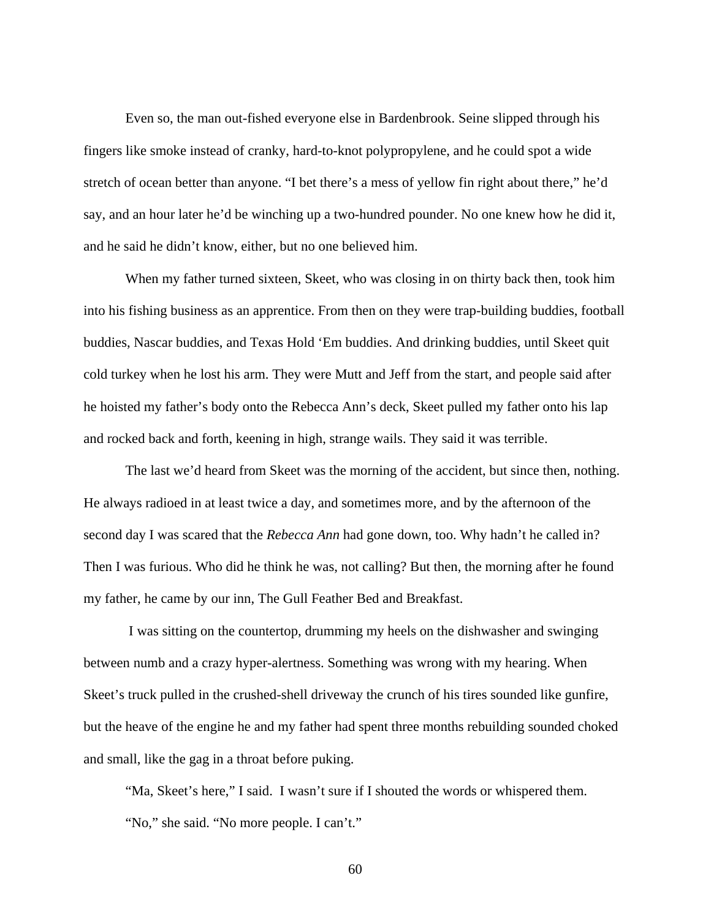Even so, the man out-fished everyone else in Bardenbrook. Seine slipped through his fingers like smoke instead of cranky, hard-to-knot polypropylene, and he could spot a wide stretch of ocean better than anyone. "I bet there's a mess of yellow fin right about there," he'd say, and an hour later he'd be winching up a two-hundred pounder. No one knew how he did it, and he said he didn't know, either, but no one believed him.

When my father turned sixteen, Skeet, who was closing in on thirty back then, took him into his fishing business as an apprentice. From then on they were trap-building buddies, football buddies, Nascar buddies, and Texas Hold 'Em buddies. And drinking buddies, until Skeet quit cold turkey when he lost his arm. They were Mutt and Jeff from the start, and people said after he hoisted my father's body onto the Rebecca Ann's deck, Skeet pulled my father onto his lap and rocked back and forth, keening in high, strange wails. They said it was terrible.

The last we'd heard from Skeet was the morning of the accident, but since then, nothing. He always radioed in at least twice a day, and sometimes more, and by the afternoon of the second day I was scared that the *Rebecca Ann* had gone down, too. Why hadn't he called in? Then I was furious. Who did he think he was, not calling? But then, the morning after he found my father, he came by our inn, The Gull Feather Bed and Breakfast.

 I was sitting on the countertop, drumming my heels on the dishwasher and swinging between numb and a crazy hyper-alertness. Something was wrong with my hearing. When Skeet's truck pulled in the crushed-shell driveway the crunch of his tires sounded like gunfire, but the heave of the engine he and my father had spent three months rebuilding sounded choked and small, like the gag in a throat before puking.

"Ma, Skeet's here," I said. I wasn't sure if I shouted the words or whispered them. "No," she said. "No more people. I can't."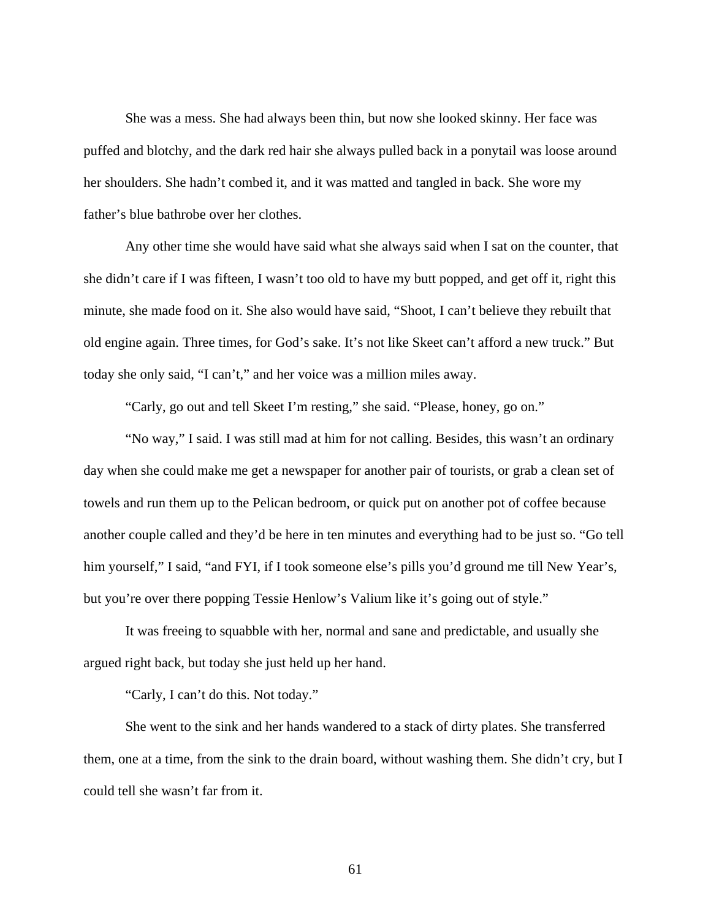She was a mess. She had always been thin, but now she looked skinny. Her face was puffed and blotchy, and the dark red hair she always pulled back in a ponytail was loose around her shoulders. She hadn't combed it, and it was matted and tangled in back. She wore my father's blue bathrobe over her clothes.

Any other time she would have said what she always said when I sat on the counter, that she didn't care if I was fifteen, I wasn't too old to have my butt popped, and get off it, right this minute, she made food on it. She also would have said, "Shoot, I can't believe they rebuilt that old engine again. Three times, for God's sake. It's not like Skeet can't afford a new truck." But today she only said, "I can't," and her voice was a million miles away.

"Carly, go out and tell Skeet I'm resting," she said. "Please, honey, go on."

"No way," I said. I was still mad at him for not calling. Besides, this wasn't an ordinary day when she could make me get a newspaper for another pair of tourists, or grab a clean set of towels and run them up to the Pelican bedroom, or quick put on another pot of coffee because another couple called and they'd be here in ten minutes and everything had to be just so. "Go tell him yourself," I said, "and FYI, if I took someone else's pills you'd ground me till New Year's, but you're over there popping Tessie Henlow's Valium like it's going out of style."

It was freeing to squabble with her, normal and sane and predictable, and usually she argued right back, but today she just held up her hand.

"Carly, I can't do this. Not today."

She went to the sink and her hands wandered to a stack of dirty plates. She transferred them, one at a time, from the sink to the drain board, without washing them. She didn't cry, but I could tell she wasn't far from it.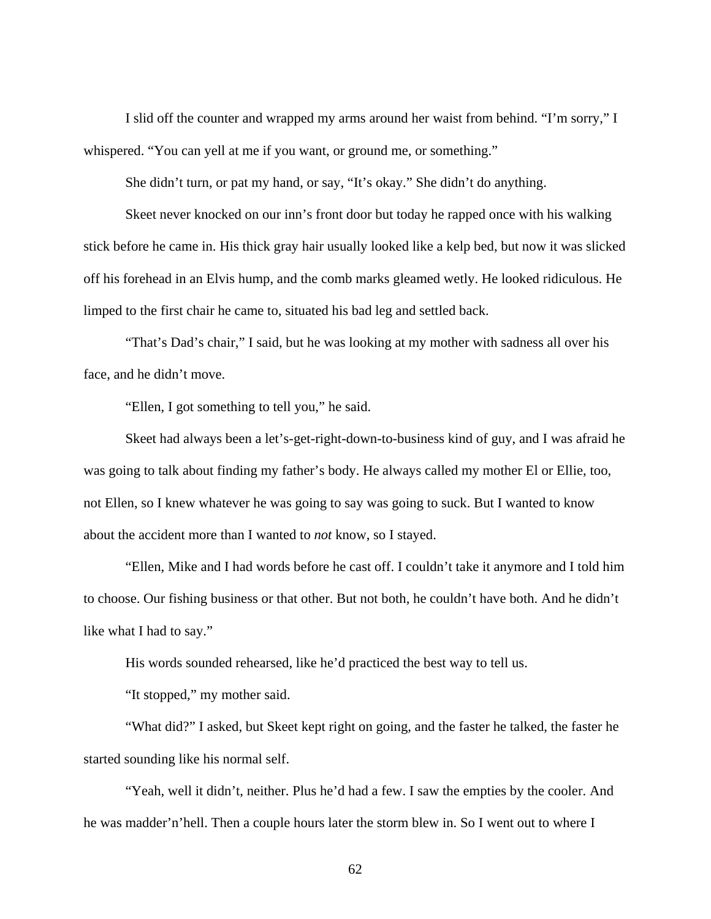I slid off the counter and wrapped my arms around her waist from behind. "I'm sorry," I whispered. "You can yell at me if you want, or ground me, or something."

She didn't turn, or pat my hand, or say, "It's okay." She didn't do anything.

Skeet never knocked on our inn's front door but today he rapped once with his walking stick before he came in. His thick gray hair usually looked like a kelp bed, but now it was slicked off his forehead in an Elvis hump, and the comb marks gleamed wetly. He looked ridiculous. He limped to the first chair he came to, situated his bad leg and settled back.

"That's Dad's chair," I said, but he was looking at my mother with sadness all over his face, and he didn't move.

"Ellen, I got something to tell you," he said.

Skeet had always been a let's-get-right-down-to-business kind of guy, and I was afraid he was going to talk about finding my father's body. He always called my mother El or Ellie, too, not Ellen, so I knew whatever he was going to say was going to suck. But I wanted to know about the accident more than I wanted to *not* know, so I stayed.

"Ellen, Mike and I had words before he cast off. I couldn't take it anymore and I told him to choose. Our fishing business or that other. But not both, he couldn't have both. And he didn't like what I had to say."

His words sounded rehearsed, like he'd practiced the best way to tell us.

"It stopped," my mother said.

"What did?" I asked, but Skeet kept right on going, and the faster he talked, the faster he started sounding like his normal self.

"Yeah, well it didn't, neither. Plus he'd had a few. I saw the empties by the cooler. And he was madder'n'hell. Then a couple hours later the storm blew in. So I went out to where I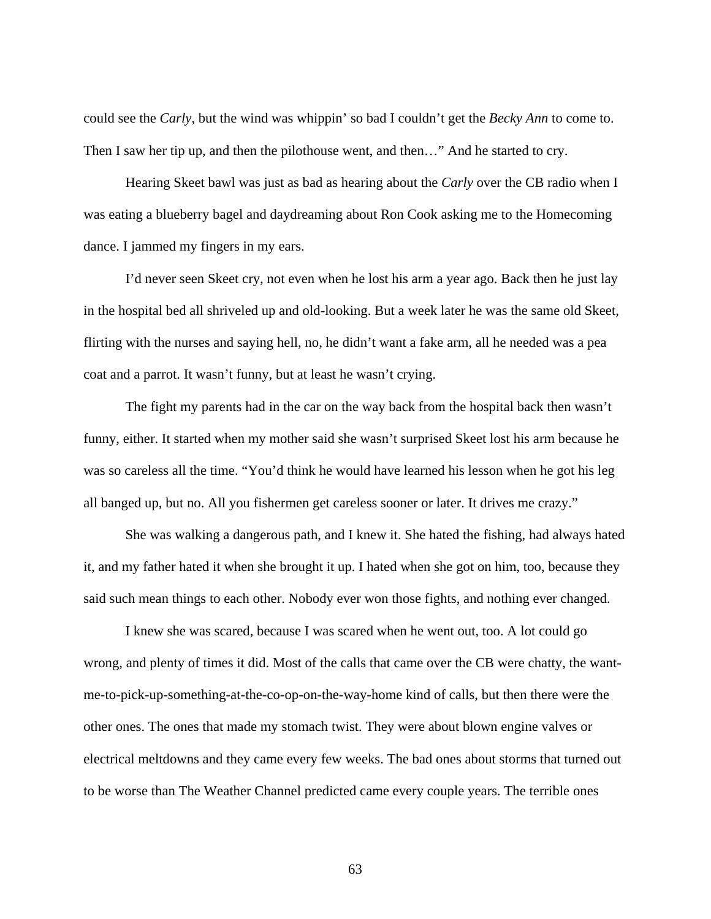could see the *Carly*, but the wind was whippin' so bad I couldn't get the *Becky Ann* to come to. Then I saw her tip up, and then the pilothouse went, and then…" And he started to cry.

Hearing Skeet bawl was just as bad as hearing about the *Carly* over the CB radio when I was eating a blueberry bagel and daydreaming about Ron Cook asking me to the Homecoming dance. I jammed my fingers in my ears.

I'd never seen Skeet cry, not even when he lost his arm a year ago. Back then he just lay in the hospital bed all shriveled up and old-looking. But a week later he was the same old Skeet, flirting with the nurses and saying hell, no, he didn't want a fake arm, all he needed was a pea coat and a parrot. It wasn't funny, but at least he wasn't crying.

The fight my parents had in the car on the way back from the hospital back then wasn't funny, either. It started when my mother said she wasn't surprised Skeet lost his arm because he was so careless all the time. "You'd think he would have learned his lesson when he got his leg all banged up, but no. All you fishermen get careless sooner or later. It drives me crazy."

She was walking a dangerous path, and I knew it. She hated the fishing, had always hated it, and my father hated it when she brought it up. I hated when she got on him, too, because they said such mean things to each other. Nobody ever won those fights, and nothing ever changed.

I knew she was scared, because I was scared when he went out, too. A lot could go wrong, and plenty of times it did. Most of the calls that came over the CB were chatty, the wantme-to-pick-up-something-at-the-co-op-on-the-way-home kind of calls, but then there were the other ones. The ones that made my stomach twist. They were about blown engine valves or electrical meltdowns and they came every few weeks. The bad ones about storms that turned out to be worse than The Weather Channel predicted came every couple years. The terrible ones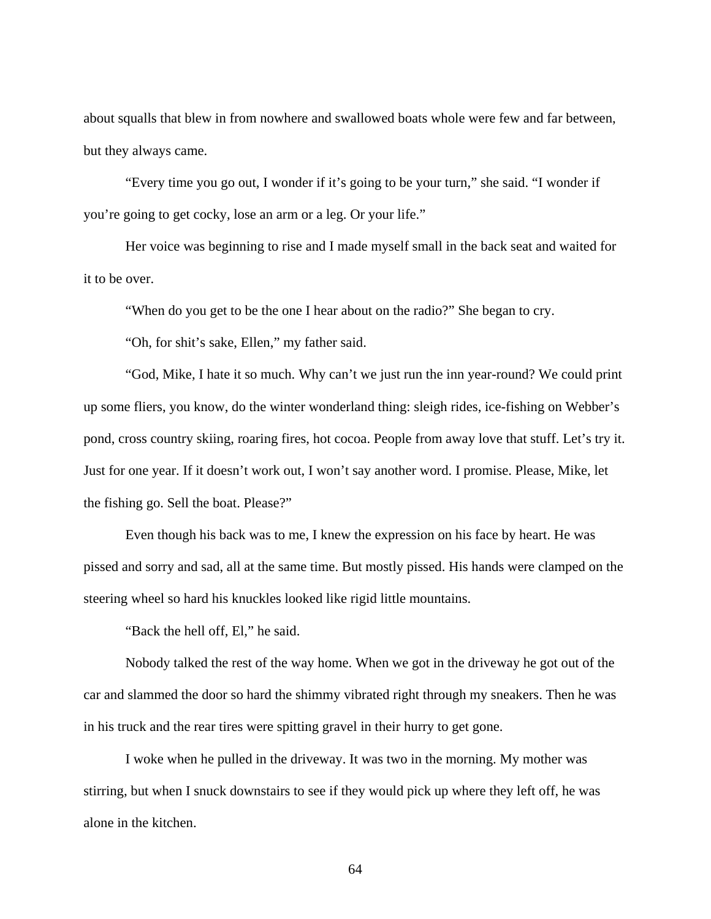about squalls that blew in from nowhere and swallowed boats whole were few and far between, but they always came.

"Every time you go out, I wonder if it's going to be your turn," she said. "I wonder if you're going to get cocky, lose an arm or a leg. Or your life."

Her voice was beginning to rise and I made myself small in the back seat and waited for it to be over.

"When do you get to be the one I hear about on the radio?" She began to cry.

"Oh, for shit's sake, Ellen," my father said.

"God, Mike, I hate it so much. Why can't we just run the inn year-round? We could print up some fliers, you know, do the winter wonderland thing: sleigh rides, ice-fishing on Webber's pond, cross country skiing, roaring fires, hot cocoa. People from away love that stuff. Let's try it. Just for one year. If it doesn't work out, I won't say another word. I promise. Please, Mike, let the fishing go. Sell the boat. Please?"

Even though his back was to me, I knew the expression on his face by heart. He was pissed and sorry and sad, all at the same time. But mostly pissed. His hands were clamped on the steering wheel so hard his knuckles looked like rigid little mountains.

"Back the hell off, El," he said.

Nobody talked the rest of the way home. When we got in the driveway he got out of the car and slammed the door so hard the shimmy vibrated right through my sneakers. Then he was in his truck and the rear tires were spitting gravel in their hurry to get gone.

I woke when he pulled in the driveway. It was two in the morning. My mother was stirring, but when I snuck downstairs to see if they would pick up where they left off, he was alone in the kitchen.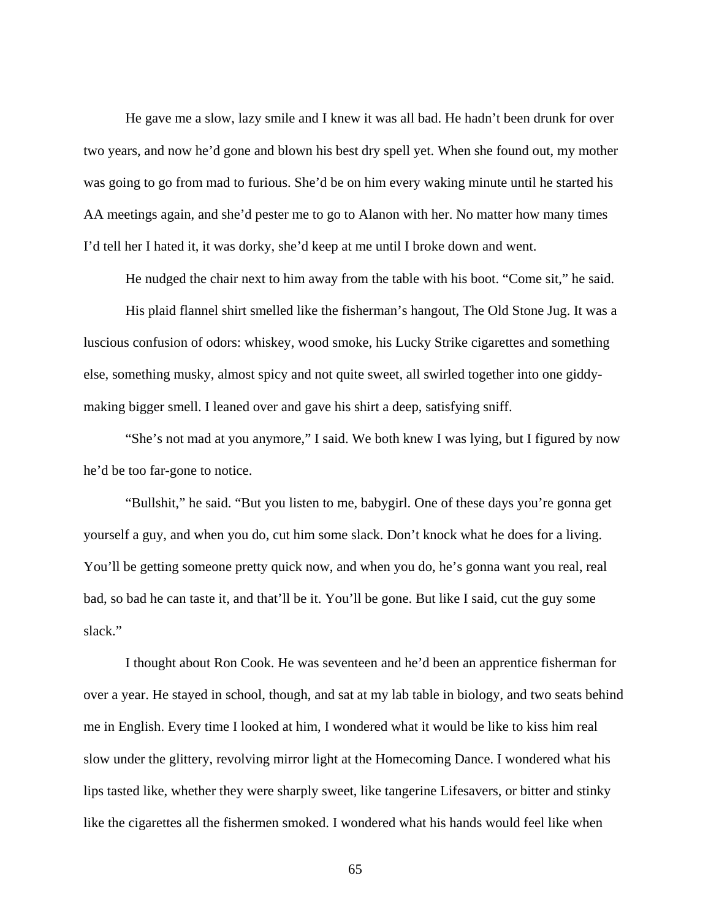He gave me a slow, lazy smile and I knew it was all bad. He hadn't been drunk for over two years, and now he'd gone and blown his best dry spell yet. When she found out, my mother was going to go from mad to furious. She'd be on him every waking minute until he started his AA meetings again, and she'd pester me to go to Alanon with her. No matter how many times I'd tell her I hated it, it was dorky, she'd keep at me until I broke down and went.

He nudged the chair next to him away from the table with his boot. "Come sit," he said.

His plaid flannel shirt smelled like the fisherman's hangout, The Old Stone Jug. It was a luscious confusion of odors: whiskey, wood smoke, his Lucky Strike cigarettes and something else, something musky, almost spicy and not quite sweet, all swirled together into one giddymaking bigger smell. I leaned over and gave his shirt a deep, satisfying sniff.

"She's not mad at you anymore," I said. We both knew I was lying, but I figured by now he'd be too far-gone to notice.

"Bullshit," he said. "But you listen to me, babygirl. One of these days you're gonna get yourself a guy, and when you do, cut him some slack. Don't knock what he does for a living. You'll be getting someone pretty quick now, and when you do, he's gonna want you real, real bad, so bad he can taste it, and that'll be it. You'll be gone. But like I said, cut the guy some slack."

I thought about Ron Cook. He was seventeen and he'd been an apprentice fisherman for over a year. He stayed in school, though, and sat at my lab table in biology, and two seats behind me in English. Every time I looked at him, I wondered what it would be like to kiss him real slow under the glittery, revolving mirror light at the Homecoming Dance. I wondered what his lips tasted like, whether they were sharply sweet, like tangerine Lifesavers, or bitter and stinky like the cigarettes all the fishermen smoked. I wondered what his hands would feel like when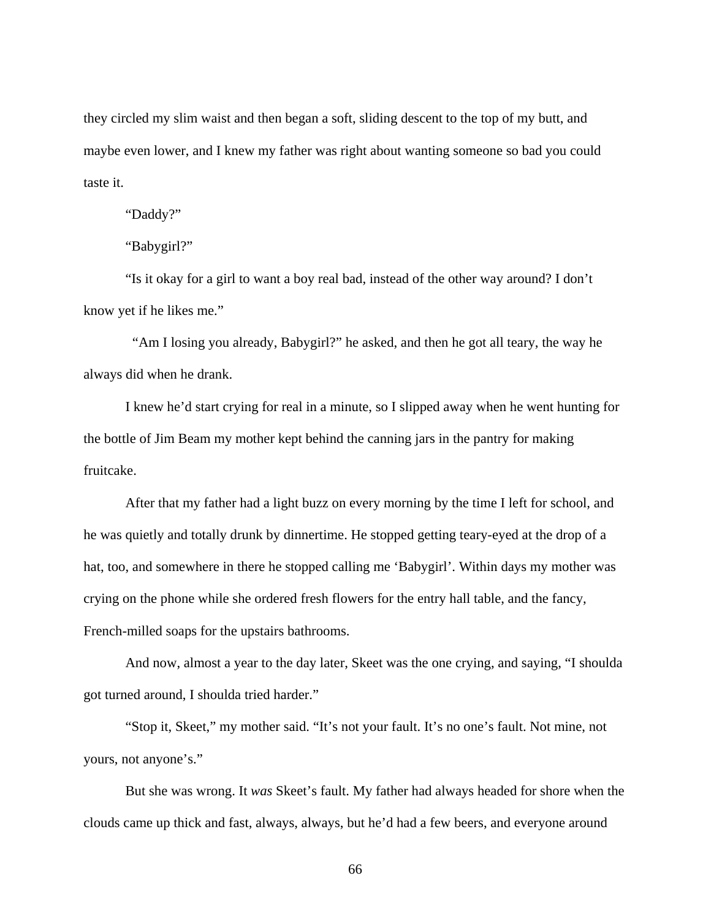they circled my slim waist and then began a soft, sliding descent to the top of my butt, and maybe even lower, and I knew my father was right about wanting someone so bad you could taste it.

"Daddy?"

"Babygirl?"

"Is it okay for a girl to want a boy real bad, instead of the other way around? I don't know yet if he likes me."

 "Am I losing you already, Babygirl?" he asked, and then he got all teary, the way he always did when he drank.

I knew he'd start crying for real in a minute, so I slipped away when he went hunting for the bottle of Jim Beam my mother kept behind the canning jars in the pantry for making fruitcake.

After that my father had a light buzz on every morning by the time I left for school, and he was quietly and totally drunk by dinnertime. He stopped getting teary-eyed at the drop of a hat, too, and somewhere in there he stopped calling me 'Babygirl'. Within days my mother was crying on the phone while she ordered fresh flowers for the entry hall table, and the fancy, French-milled soaps for the upstairs bathrooms.

And now, almost a year to the day later, Skeet was the one crying, and saying, "I shoulda got turned around, I shoulda tried harder."

"Stop it, Skeet," my mother said. "It's not your fault. It's no one's fault. Not mine, not yours, not anyone's."

But she was wrong. It *was* Skeet's fault. My father had always headed for shore when the clouds came up thick and fast, always, always, but he'd had a few beers, and everyone around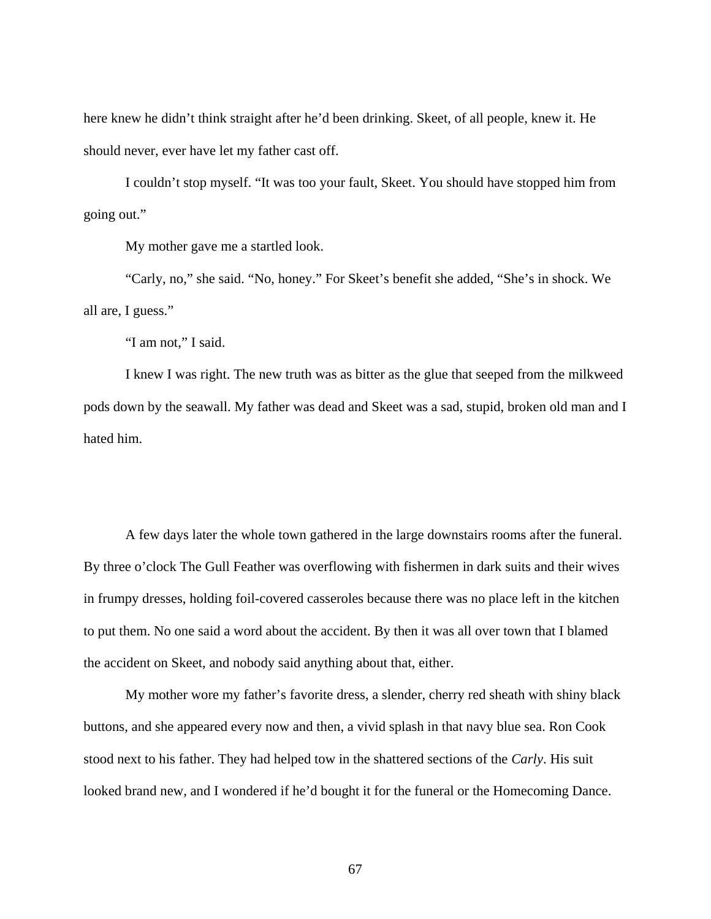here knew he didn't think straight after he'd been drinking. Skeet, of all people, knew it. He should never, ever have let my father cast off.

I couldn't stop myself. "It was too your fault, Skeet. You should have stopped him from going out."

My mother gave me a startled look.

"Carly, no," she said. "No, honey." For Skeet's benefit she added, "She's in shock. We all are, I guess."

"I am not," I said.

I knew I was right. The new truth was as bitter as the glue that seeped from the milkweed pods down by the seawall. My father was dead and Skeet was a sad, stupid, broken old man and I hated him.

A few days later the whole town gathered in the large downstairs rooms after the funeral. By three o'clock The Gull Feather was overflowing with fishermen in dark suits and their wives in frumpy dresses, holding foil-covered casseroles because there was no place left in the kitchen to put them. No one said a word about the accident. By then it was all over town that I blamed the accident on Skeet, and nobody said anything about that, either.

My mother wore my father's favorite dress, a slender, cherry red sheath with shiny black buttons, and she appeared every now and then, a vivid splash in that navy blue sea. Ron Cook stood next to his father. They had helped tow in the shattered sections of the *Carly*. His suit looked brand new, and I wondered if he'd bought it for the funeral or the Homecoming Dance.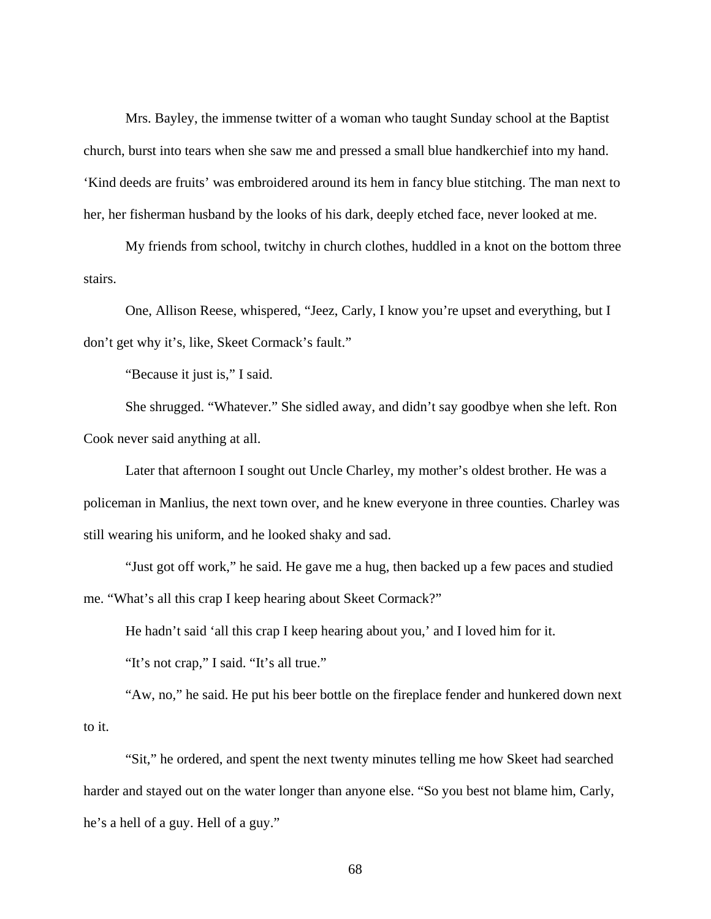Mrs. Bayley, the immense twitter of a woman who taught Sunday school at the Baptist church, burst into tears when she saw me and pressed a small blue handkerchief into my hand. 'Kind deeds are fruits' was embroidered around its hem in fancy blue stitching. The man next to her, her fisherman husband by the looks of his dark, deeply etched face, never looked at me.

My friends from school, twitchy in church clothes, huddled in a knot on the bottom three stairs.

One, Allison Reese, whispered, "Jeez, Carly, I know you're upset and everything, but I don't get why it's, like, Skeet Cormack's fault."

"Because it just is," I said.

She shrugged. "Whatever." She sidled away, and didn't say goodbye when she left. Ron Cook never said anything at all.

Later that afternoon I sought out Uncle Charley, my mother's oldest brother. He was a policeman in Manlius, the next town over, and he knew everyone in three counties. Charley was still wearing his uniform, and he looked shaky and sad.

"Just got off work," he said. He gave me a hug, then backed up a few paces and studied me. "What's all this crap I keep hearing about Skeet Cormack?"

He hadn't said 'all this crap I keep hearing about you,' and I loved him for it.

"It's not crap," I said. "It's all true."

"Aw, no," he said. He put his beer bottle on the fireplace fender and hunkered down next to it.

"Sit," he ordered, and spent the next twenty minutes telling me how Skeet had searched harder and stayed out on the water longer than anyone else. "So you best not blame him, Carly, he's a hell of a guy. Hell of a guy."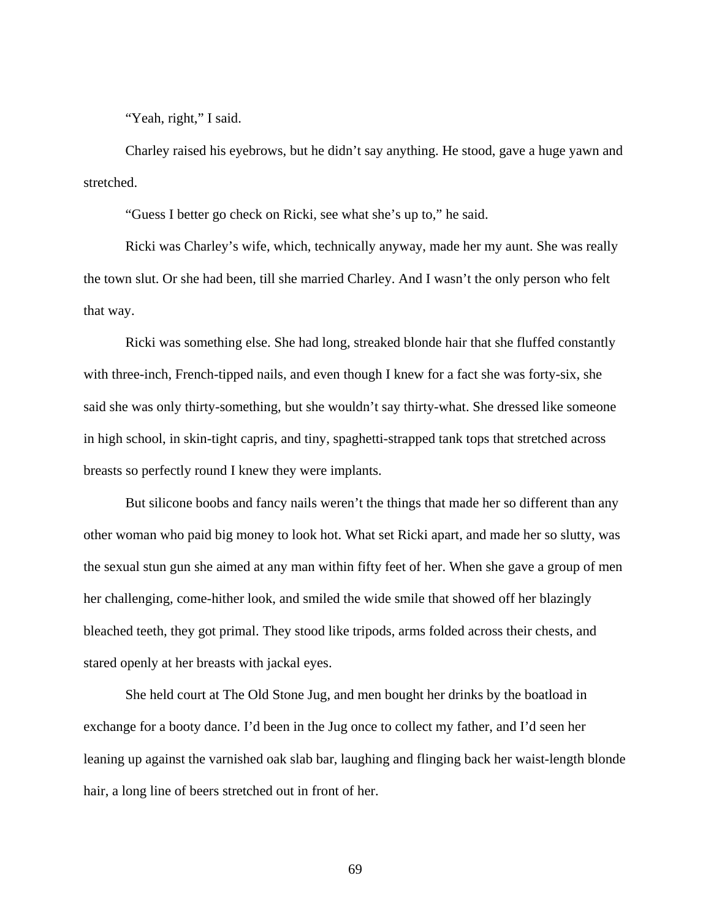"Yeah, right," I said.

Charley raised his eyebrows, but he didn't say anything. He stood, gave a huge yawn and stretched.

"Guess I better go check on Ricki, see what she's up to," he said.

Ricki was Charley's wife, which, technically anyway, made her my aunt. She was really the town slut. Or she had been, till she married Charley. And I wasn't the only person who felt that way.

Ricki was something else. She had long, streaked blonde hair that she fluffed constantly with three-inch, French-tipped nails, and even though I knew for a fact she was forty-six, she said she was only thirty-something, but she wouldn't say thirty-what. She dressed like someone in high school, in skin-tight capris, and tiny, spaghetti-strapped tank tops that stretched across breasts so perfectly round I knew they were implants.

But silicone boobs and fancy nails weren't the things that made her so different than any other woman who paid big money to look hot. What set Ricki apart, and made her so slutty, was the sexual stun gun she aimed at any man within fifty feet of her. When she gave a group of men her challenging, come-hither look, and smiled the wide smile that showed off her blazingly bleached teeth, they got primal. They stood like tripods, arms folded across their chests, and stared openly at her breasts with jackal eyes.

She held court at The Old Stone Jug, and men bought her drinks by the boatload in exchange for a booty dance. I'd been in the Jug once to collect my father, and I'd seen her leaning up against the varnished oak slab bar, laughing and flinging back her waist-length blonde hair, a long line of beers stretched out in front of her.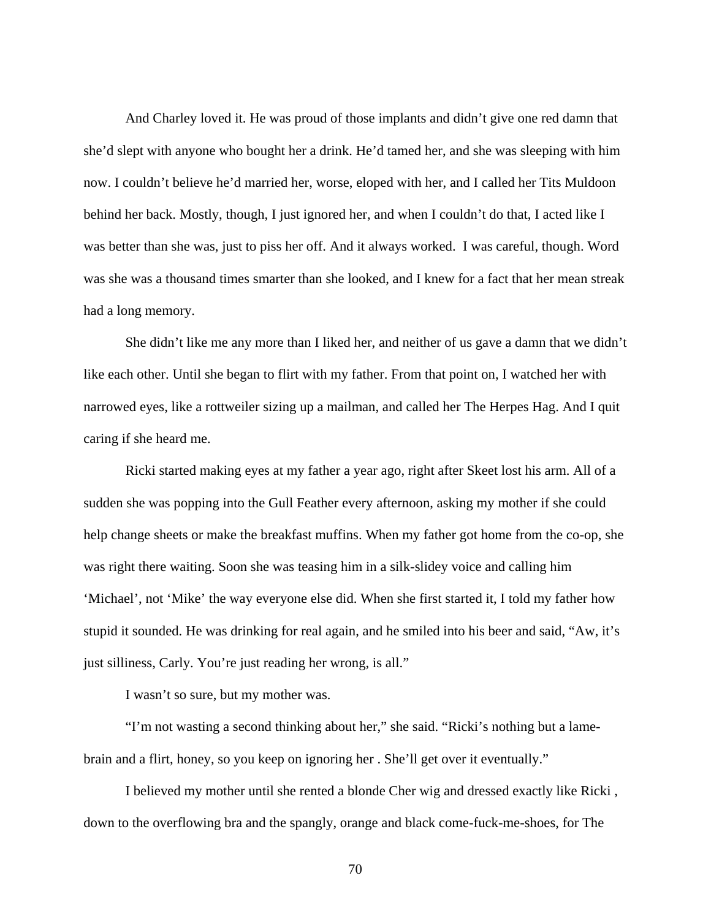And Charley loved it. He was proud of those implants and didn't give one red damn that she'd slept with anyone who bought her a drink. He'd tamed her, and she was sleeping with him now. I couldn't believe he'd married her, worse, eloped with her, and I called her Tits Muldoon behind her back. Mostly, though, I just ignored her, and when I couldn't do that, I acted like I was better than she was, just to piss her off. And it always worked. I was careful, though. Word was she was a thousand times smarter than she looked, and I knew for a fact that her mean streak had a long memory.

She didn't like me any more than I liked her, and neither of us gave a damn that we didn't like each other. Until she began to flirt with my father. From that point on, I watched her with narrowed eyes, like a rottweiler sizing up a mailman, and called her The Herpes Hag. And I quit caring if she heard me.

Ricki started making eyes at my father a year ago, right after Skeet lost his arm. All of a sudden she was popping into the Gull Feather every afternoon, asking my mother if she could help change sheets or make the breakfast muffins. When my father got home from the co-op, she was right there waiting. Soon she was teasing him in a silk-slidey voice and calling him 'Michael', not 'Mike' the way everyone else did. When she first started it, I told my father how stupid it sounded. He was drinking for real again, and he smiled into his beer and said, "Aw, it's just silliness, Carly. You're just reading her wrong, is all."

I wasn't so sure, but my mother was.

"I'm not wasting a second thinking about her," she said. "Ricki's nothing but a lamebrain and a flirt, honey, so you keep on ignoring her . She'll get over it eventually."

I believed my mother until she rented a blonde Cher wig and dressed exactly like Ricki , down to the overflowing bra and the spangly, orange and black come-fuck-me-shoes, for The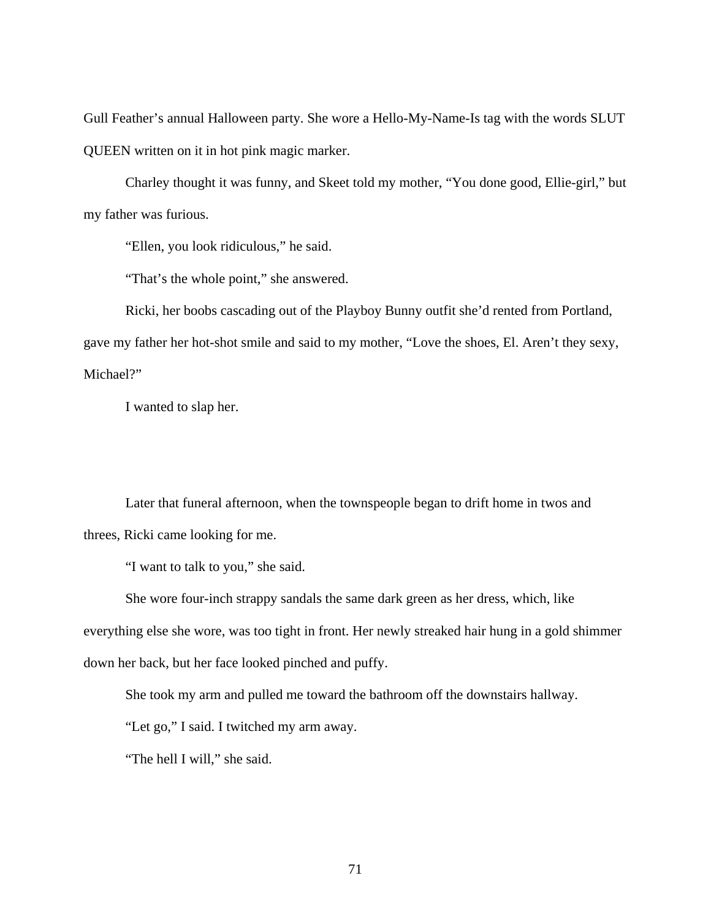Gull Feather's annual Halloween party. She wore a Hello-My-Name-Is tag with the words SLUT QUEEN written on it in hot pink magic marker.

Charley thought it was funny, and Skeet told my mother, "You done good, Ellie-girl," but my father was furious.

"Ellen, you look ridiculous," he said.

"That's the whole point," she answered.

Ricki, her boobs cascading out of the Playboy Bunny outfit she'd rented from Portland,

gave my father her hot-shot smile and said to my mother, "Love the shoes, El. Aren't they sexy, Michael?"

I wanted to slap her.

Later that funeral afternoon, when the townspeople began to drift home in twos and threes, Ricki came looking for me.

"I want to talk to you," she said.

She wore four-inch strappy sandals the same dark green as her dress, which, like everything else she wore, was too tight in front. Her newly streaked hair hung in a gold shimmer down her back, but her face looked pinched and puffy.

She took my arm and pulled me toward the bathroom off the downstairs hallway.

"Let go," I said. I twitched my arm away.

"The hell I will," she said.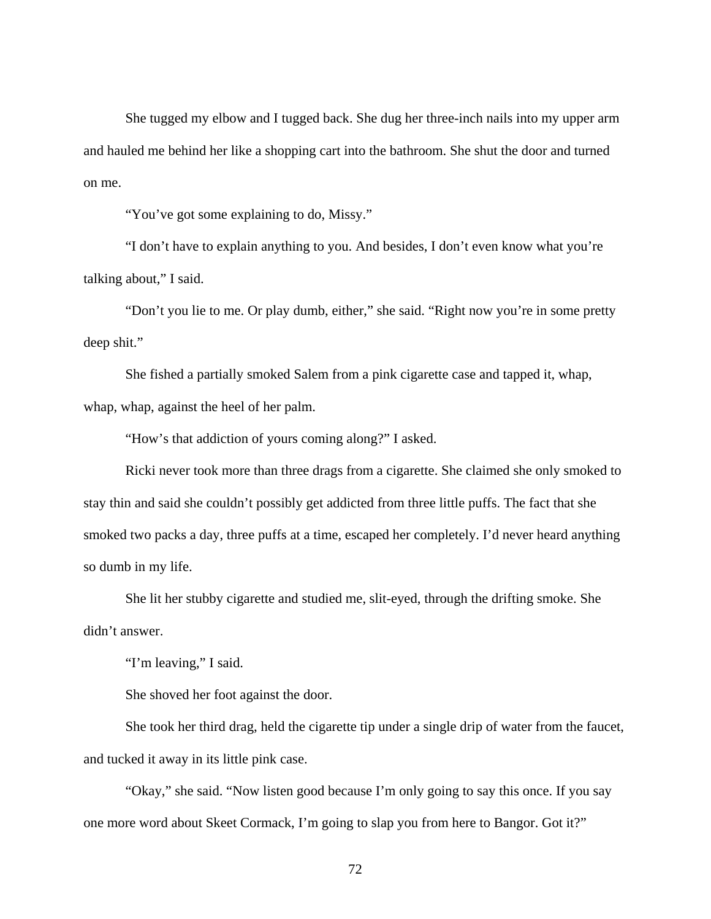She tugged my elbow and I tugged back. She dug her three-inch nails into my upper arm and hauled me behind her like a shopping cart into the bathroom. She shut the door and turned on me.

"You've got some explaining to do, Missy."

"I don't have to explain anything to you. And besides, I don't even know what you're talking about," I said.

"Don't you lie to me. Or play dumb, either," she said. "Right now you're in some pretty deep shit."

She fished a partially smoked Salem from a pink cigarette case and tapped it, whap, whap, whap, against the heel of her palm.

"How's that addiction of yours coming along?" I asked.

Ricki never took more than three drags from a cigarette. She claimed she only smoked to stay thin and said she couldn't possibly get addicted from three little puffs. The fact that she smoked two packs a day, three puffs at a time, escaped her completely. I'd never heard anything so dumb in my life.

She lit her stubby cigarette and studied me, slit-eyed, through the drifting smoke. She didn't answer.

"I'm leaving," I said.

She shoved her foot against the door.

She took her third drag, held the cigarette tip under a single drip of water from the faucet, and tucked it away in its little pink case.

"Okay," she said. "Now listen good because I'm only going to say this once. If you say one more word about Skeet Cormack, I'm going to slap you from here to Bangor. Got it?"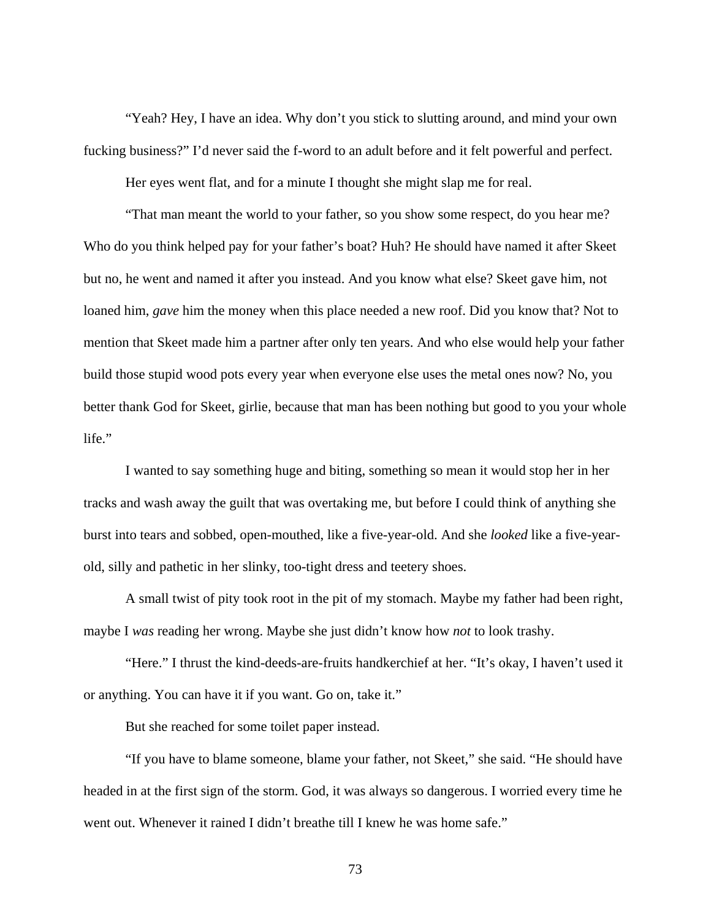"Yeah? Hey, I have an idea. Why don't you stick to slutting around, and mind your own fucking business?" I'd never said the f-word to an adult before and it felt powerful and perfect.

Her eyes went flat, and for a minute I thought she might slap me for real.

"That man meant the world to your father, so you show some respect, do you hear me? Who do you think helped pay for your father's boat? Huh? He should have named it after Skeet but no, he went and named it after you instead. And you know what else? Skeet gave him, not loaned him, *gave* him the money when this place needed a new roof. Did you know that? Not to mention that Skeet made him a partner after only ten years. And who else would help your father build those stupid wood pots every year when everyone else uses the metal ones now? No, you better thank God for Skeet, girlie, because that man has been nothing but good to you your whole life."

I wanted to say something huge and biting, something so mean it would stop her in her tracks and wash away the guilt that was overtaking me, but before I could think of anything she burst into tears and sobbed, open-mouthed, like a five-year-old. And she *looked* like a five-yearold, silly and pathetic in her slinky, too-tight dress and teetery shoes.

A small twist of pity took root in the pit of my stomach. Maybe my father had been right, maybe I *was* reading her wrong. Maybe she just didn't know how *not* to look trashy.

"Here." I thrust the kind-deeds-are-fruits handkerchief at her. "It's okay, I haven't used it or anything. You can have it if you want. Go on, take it."

But she reached for some toilet paper instead.

"If you have to blame someone, blame your father, not Skeet," she said. "He should have headed in at the first sign of the storm. God, it was always so dangerous. I worried every time he went out. Whenever it rained I didn't breathe till I knew he was home safe."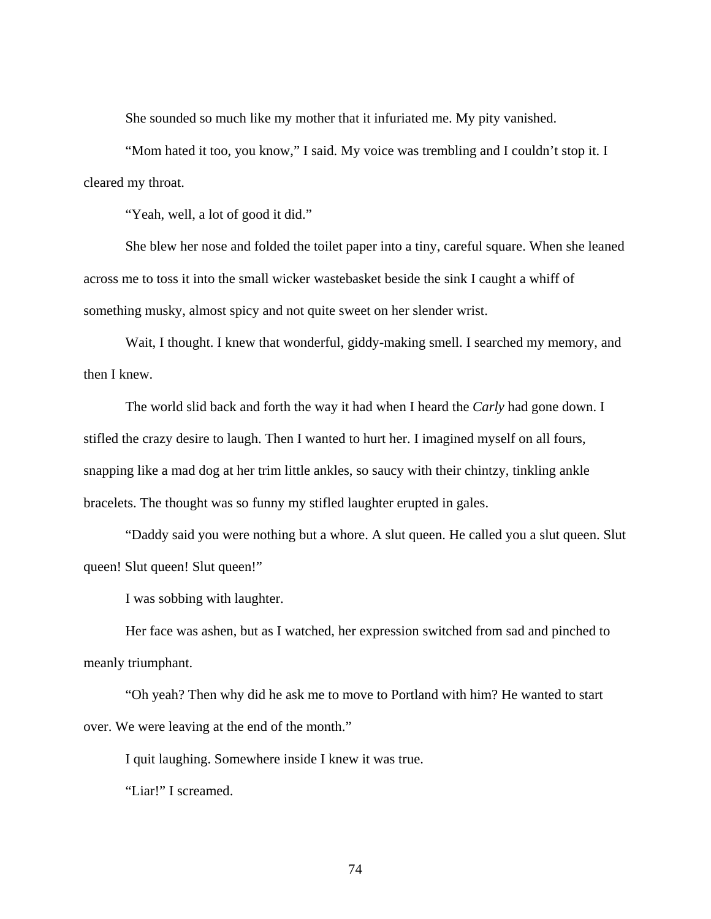She sounded so much like my mother that it infuriated me. My pity vanished.

"Mom hated it too, you know," I said. My voice was trembling and I couldn't stop it. I cleared my throat.

"Yeah, well, a lot of good it did."

She blew her nose and folded the toilet paper into a tiny, careful square. When she leaned across me to toss it into the small wicker wastebasket beside the sink I caught a whiff of something musky, almost spicy and not quite sweet on her slender wrist.

Wait, I thought. I knew that wonderful, giddy-making smell. I searched my memory, and then I knew.

The world slid back and forth the way it had when I heard the *Carly* had gone down. I stifled the crazy desire to laugh. Then I wanted to hurt her. I imagined myself on all fours, snapping like a mad dog at her trim little ankles, so saucy with their chintzy, tinkling ankle bracelets. The thought was so funny my stifled laughter erupted in gales.

"Daddy said you were nothing but a whore. A slut queen. He called you a slut queen. Slut queen! Slut queen! Slut queen!"

I was sobbing with laughter.

Her face was ashen, but as I watched, her expression switched from sad and pinched to meanly triumphant.

"Oh yeah? Then why did he ask me to move to Portland with him? He wanted to start over. We were leaving at the end of the month."

I quit laughing. Somewhere inside I knew it was true.

"Liar!" I screamed.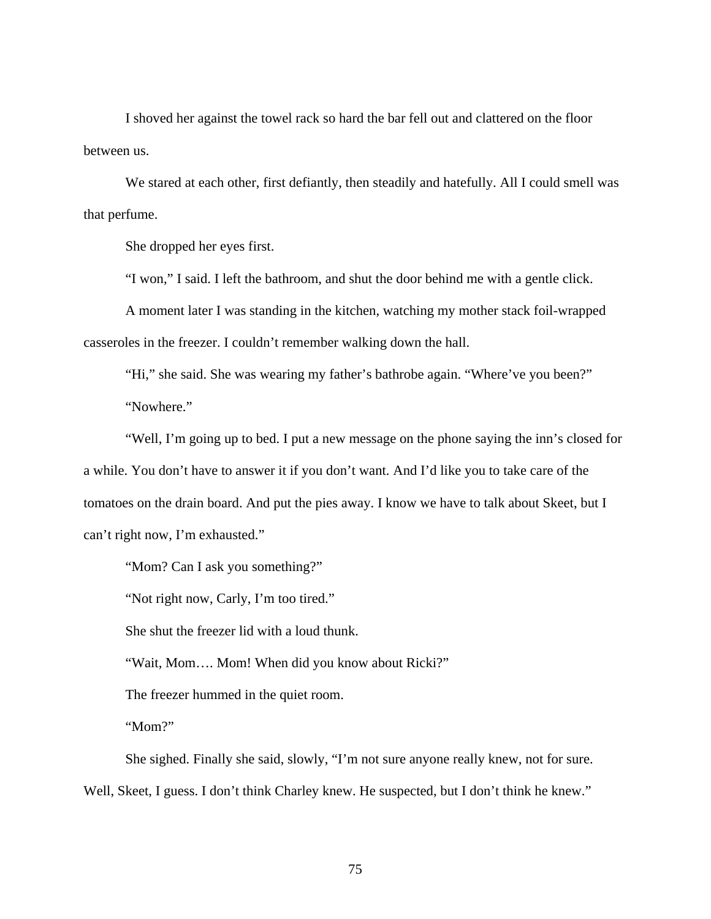I shoved her against the towel rack so hard the bar fell out and clattered on the floor between us.

We stared at each other, first defiantly, then steadily and hatefully. All I could smell was that perfume.

She dropped her eyes first.

"I won," I said. I left the bathroom, and shut the door behind me with a gentle click.

A moment later I was standing in the kitchen, watching my mother stack foil-wrapped casseroles in the freezer. I couldn't remember walking down the hall.

"Hi," she said. She was wearing my father's bathrobe again. "Where've you been?" "Nowhere."

"Well, I'm going up to bed. I put a new message on the phone saying the inn's closed for a while. You don't have to answer it if you don't want. And I'd like you to take care of the tomatoes on the drain board. And put the pies away. I know we have to talk about Skeet, but I can't right now, I'm exhausted."

"Mom? Can I ask you something?"

"Not right now, Carly, I'm too tired."

She shut the freezer lid with a loud thunk.

"Wait, Mom…. Mom! When did you know about Ricki?"

The freezer hummed in the quiet room.

"Mom?"

She sighed. Finally she said, slowly, "I'm not sure anyone really knew, not for sure. Well, Skeet, I guess. I don't think Charley knew. He suspected, but I don't think he knew."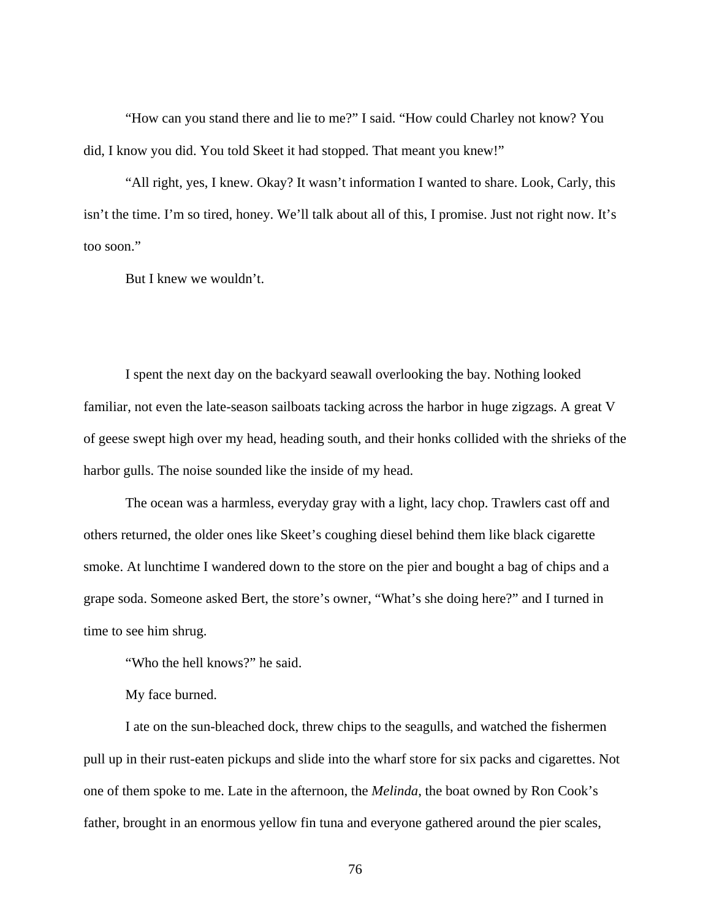"How can you stand there and lie to me?" I said. "How could Charley not know? You did, I know you did. You told Skeet it had stopped. That meant you knew!"

"All right, yes, I knew. Okay? It wasn't information I wanted to share. Look, Carly, this isn't the time. I'm so tired, honey. We'll talk about all of this, I promise. Just not right now. It's too soon."

But I knew we wouldn't.

I spent the next day on the backyard seawall overlooking the bay. Nothing looked familiar, not even the late-season sailboats tacking across the harbor in huge zigzags. A great V of geese swept high over my head, heading south, and their honks collided with the shrieks of the harbor gulls. The noise sounded like the inside of my head.

The ocean was a harmless, everyday gray with a light, lacy chop. Trawlers cast off and others returned, the older ones like Skeet's coughing diesel behind them like black cigarette smoke. At lunchtime I wandered down to the store on the pier and bought a bag of chips and a grape soda. Someone asked Bert, the store's owner, "What's she doing here?" and I turned in time to see him shrug.

"Who the hell knows?" he said.

My face burned.

I ate on the sun-bleached dock, threw chips to the seagulls, and watched the fishermen pull up in their rust-eaten pickups and slide into the wharf store for six packs and cigarettes. Not one of them spoke to me. Late in the afternoon, the *Melinda*, the boat owned by Ron Cook's father, brought in an enormous yellow fin tuna and everyone gathered around the pier scales,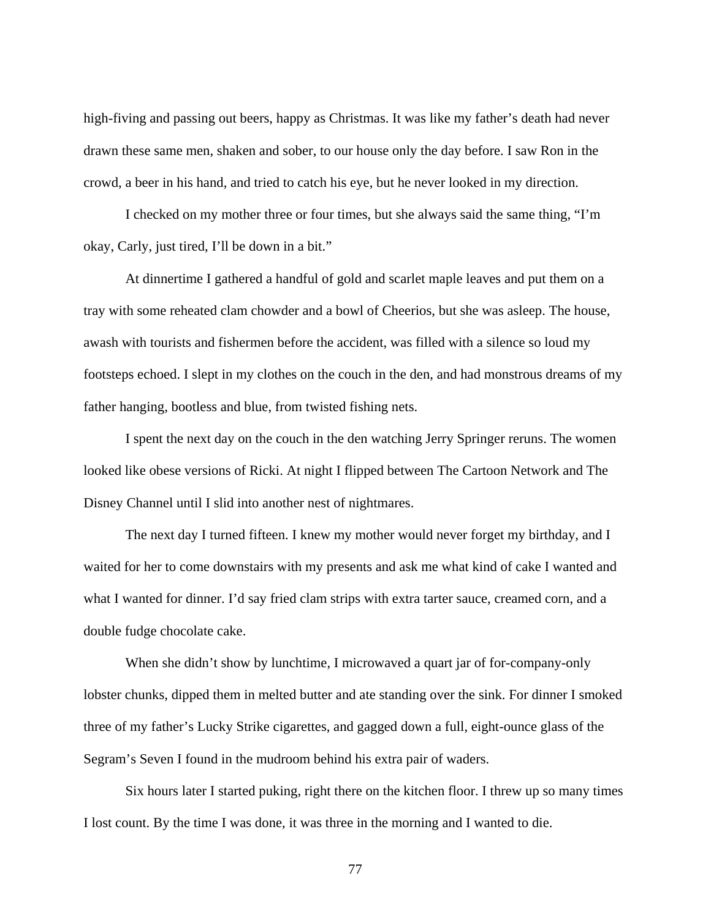high-fiving and passing out beers, happy as Christmas. It was like my father's death had never drawn these same men, shaken and sober, to our house only the day before. I saw Ron in the crowd, a beer in his hand, and tried to catch his eye, but he never looked in my direction.

I checked on my mother three or four times, but she always said the same thing, "I'm okay, Carly, just tired, I'll be down in a bit."

At dinnertime I gathered a handful of gold and scarlet maple leaves and put them on a tray with some reheated clam chowder and a bowl of Cheerios, but she was asleep. The house, awash with tourists and fishermen before the accident, was filled with a silence so loud my footsteps echoed. I slept in my clothes on the couch in the den, and had monstrous dreams of my father hanging, bootless and blue, from twisted fishing nets.

I spent the next day on the couch in the den watching Jerry Springer reruns. The women looked like obese versions of Ricki. At night I flipped between The Cartoon Network and The Disney Channel until I slid into another nest of nightmares.

The next day I turned fifteen. I knew my mother would never forget my birthday, and I waited for her to come downstairs with my presents and ask me what kind of cake I wanted and what I wanted for dinner. I'd say fried clam strips with extra tarter sauce, creamed corn, and a double fudge chocolate cake.

When she didn't show by lunchtime, I microwaved a quart jar of for-company-only lobster chunks, dipped them in melted butter and ate standing over the sink. For dinner I smoked three of my father's Lucky Strike cigarettes, and gagged down a full, eight-ounce glass of the Segram's Seven I found in the mudroom behind his extra pair of waders.

Six hours later I started puking, right there on the kitchen floor. I threw up so many times I lost count. By the time I was done, it was three in the morning and I wanted to die.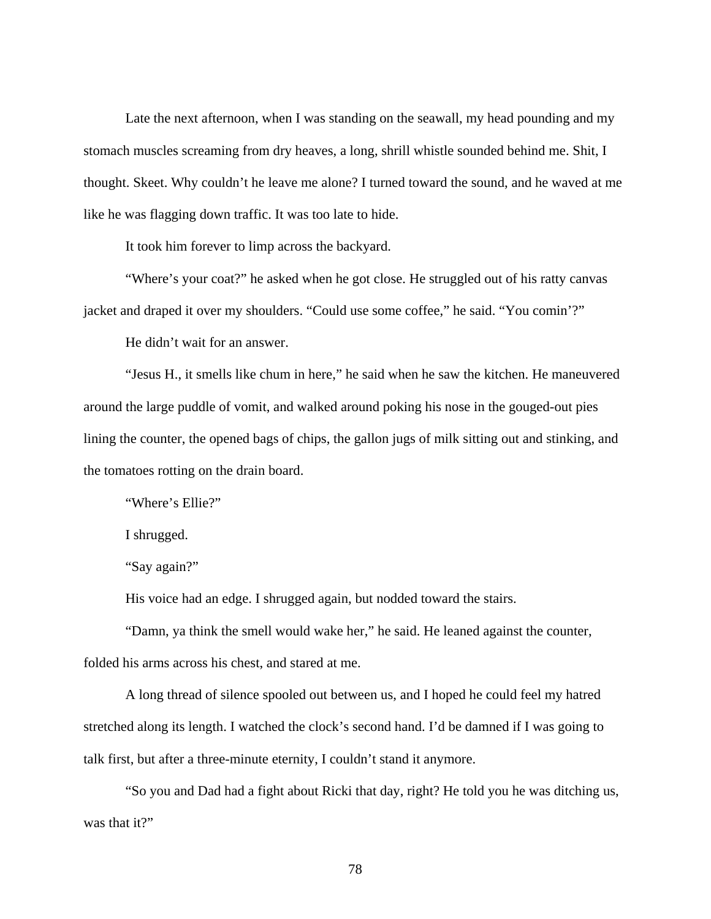Late the next afternoon, when I was standing on the seawall, my head pounding and my stomach muscles screaming from dry heaves, a long, shrill whistle sounded behind me. Shit, I thought. Skeet. Why couldn't he leave me alone? I turned toward the sound, and he waved at me like he was flagging down traffic. It was too late to hide.

It took him forever to limp across the backyard.

"Where's your coat?" he asked when he got close. He struggled out of his ratty canvas jacket and draped it over my shoulders. "Could use some coffee," he said. "You comin'?"

He didn't wait for an answer.

"Jesus H., it smells like chum in here," he said when he saw the kitchen. He maneuvered around the large puddle of vomit, and walked around poking his nose in the gouged-out pies lining the counter, the opened bags of chips, the gallon jugs of milk sitting out and stinking, and the tomatoes rotting on the drain board.

"Where's Ellie?"

I shrugged.

"Say again?"

His voice had an edge. I shrugged again, but nodded toward the stairs.

"Damn, ya think the smell would wake her," he said. He leaned against the counter, folded his arms across his chest, and stared at me.

A long thread of silence spooled out between us, and I hoped he could feel my hatred stretched along its length. I watched the clock's second hand. I'd be damned if I was going to talk first, but after a three-minute eternity, I couldn't stand it anymore.

"So you and Dad had a fight about Ricki that day, right? He told you he was ditching us, was that it?"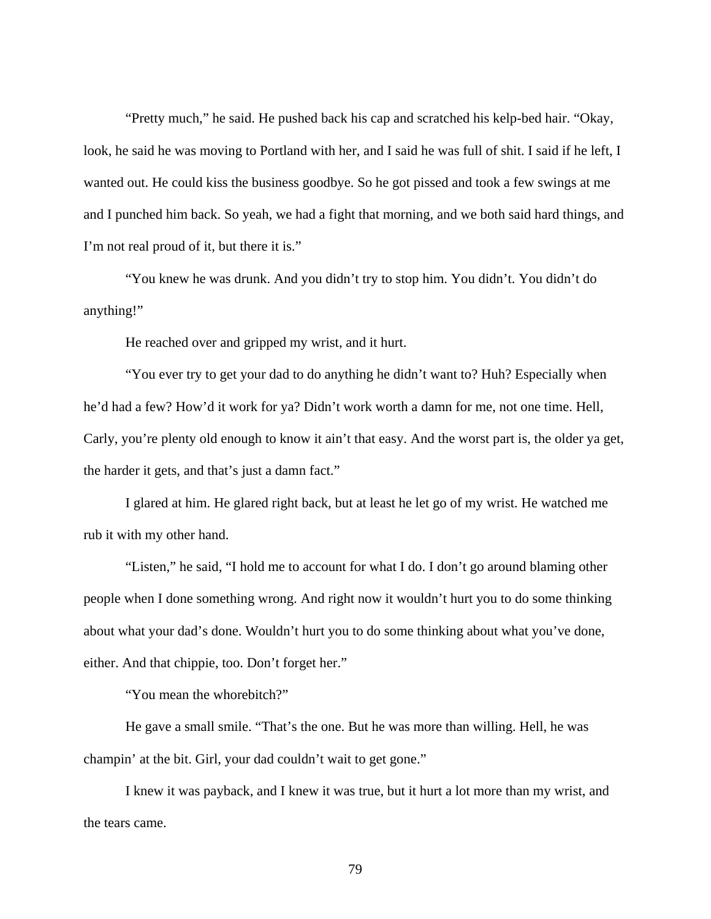"Pretty much," he said. He pushed back his cap and scratched his kelp-bed hair. "Okay, look, he said he was moving to Portland with her, and I said he was full of shit. I said if he left, I wanted out. He could kiss the business goodbye. So he got pissed and took a few swings at me and I punched him back. So yeah, we had a fight that morning, and we both said hard things, and I'm not real proud of it, but there it is."

"You knew he was drunk. And you didn't try to stop him. You didn't. You didn't do anything!"

He reached over and gripped my wrist, and it hurt.

"You ever try to get your dad to do anything he didn't want to? Huh? Especially when he'd had a few? How'd it work for ya? Didn't work worth a damn for me, not one time. Hell, Carly, you're plenty old enough to know it ain't that easy. And the worst part is, the older ya get, the harder it gets, and that's just a damn fact."

I glared at him. He glared right back, but at least he let go of my wrist. He watched me rub it with my other hand.

"Listen," he said, "I hold me to account for what I do. I don't go around blaming other people when I done something wrong. And right now it wouldn't hurt you to do some thinking about what your dad's done. Wouldn't hurt you to do some thinking about what you've done, either. And that chippie, too. Don't forget her."

"You mean the whorebitch?"

He gave a small smile. "That's the one. But he was more than willing. Hell, he was champin' at the bit. Girl, your dad couldn't wait to get gone."

I knew it was payback, and I knew it was true, but it hurt a lot more than my wrist, and the tears came.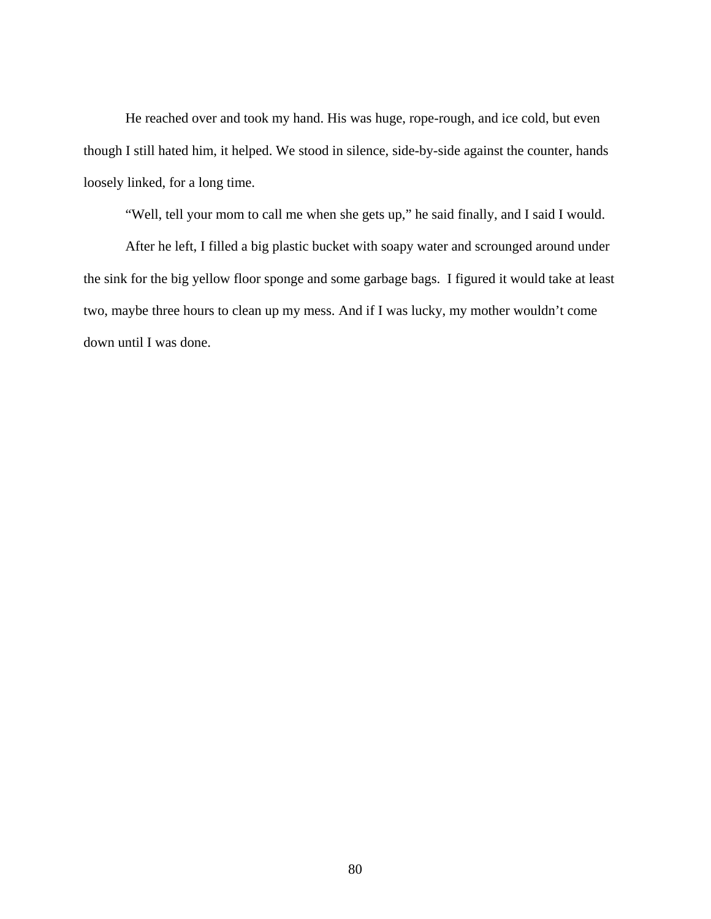He reached over and took my hand. His was huge, rope-rough, and ice cold, but even though I still hated him, it helped. We stood in silence, side-by-side against the counter, hands loosely linked, for a long time.

"Well, tell your mom to call me when she gets up," he said finally, and I said I would.

After he left, I filled a big plastic bucket with soapy water and scrounged around under the sink for the big yellow floor sponge and some garbage bags. I figured it would take at least two, maybe three hours to clean up my mess. And if I was lucky, my mother wouldn't come down until I was done.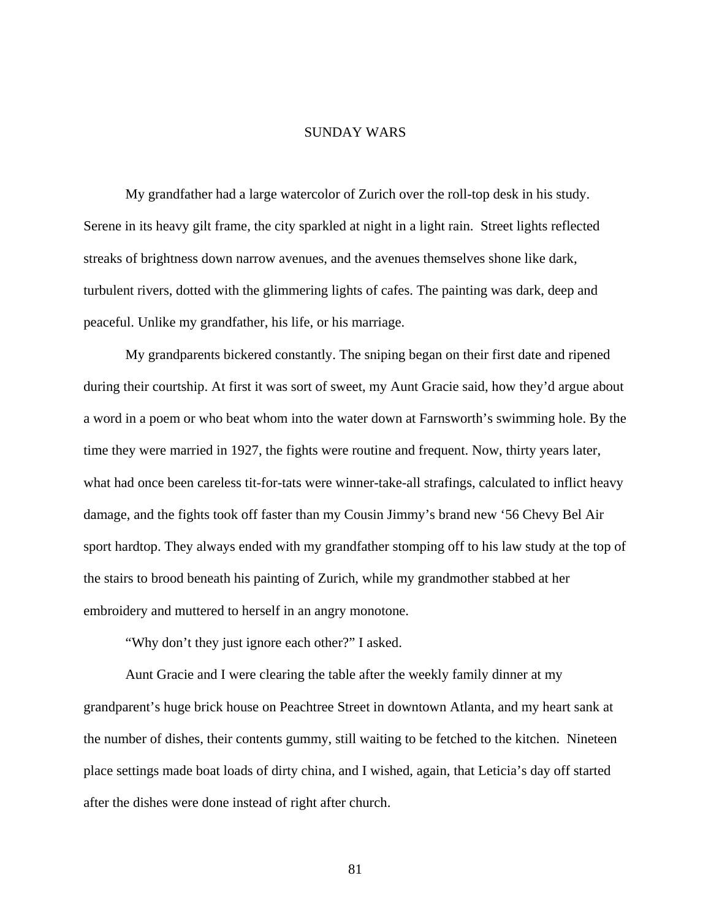## SUNDAY WARS

My grandfather had a large watercolor of Zurich over the roll-top desk in his study. Serene in its heavy gilt frame, the city sparkled at night in a light rain. Street lights reflected streaks of brightness down narrow avenues, and the avenues themselves shone like dark, turbulent rivers, dotted with the glimmering lights of cafes. The painting was dark, deep and peaceful. Unlike my grandfather, his life, or his marriage.

 My grandparents bickered constantly. The sniping began on their first date and ripened during their courtship. At first it was sort of sweet, my Aunt Gracie said, how they'd argue about a word in a poem or who beat whom into the water down at Farnsworth's swimming hole. By the time they were married in 1927, the fights were routine and frequent. Now, thirty years later, what had once been careless tit-for-tats were winner-take-all strafings, calculated to inflict heavy damage, and the fights took off faster than my Cousin Jimmy's brand new '56 Chevy Bel Air sport hardtop. They always ended with my grandfather stomping off to his law study at the top of the stairs to brood beneath his painting of Zurich, while my grandmother stabbed at her embroidery and muttered to herself in an angry monotone.

"Why don't they just ignore each other?" I asked.

 Aunt Gracie and I were clearing the table after the weekly family dinner at my grandparent's huge brick house on Peachtree Street in downtown Atlanta, and my heart sank at the number of dishes, their contents gummy, still waiting to be fetched to the kitchen. Nineteen place settings made boat loads of dirty china, and I wished, again, that Leticia's day off started after the dishes were done instead of right after church.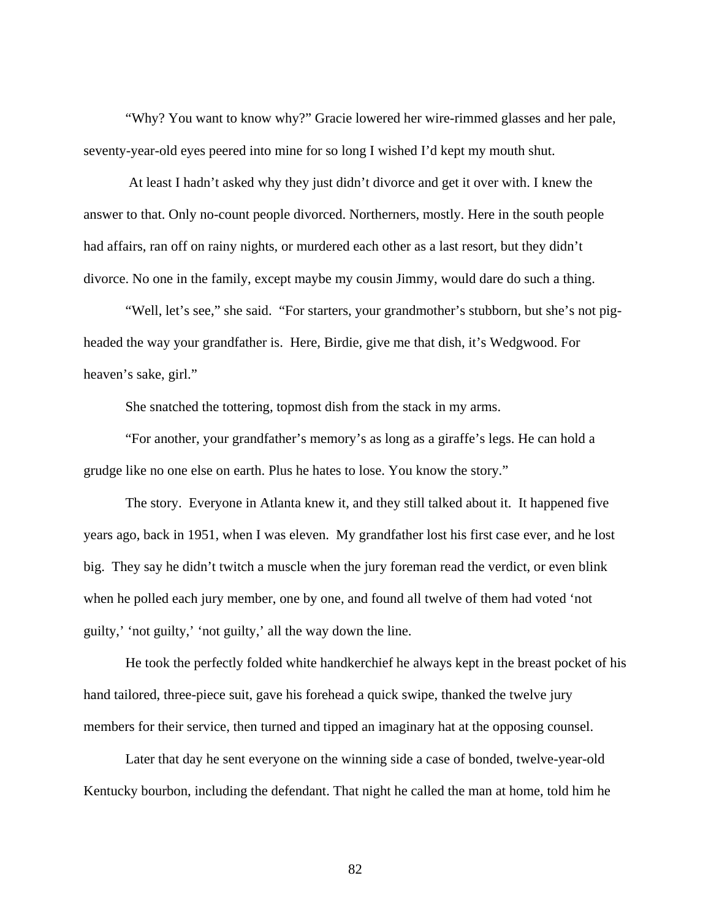"Why? You want to know why?" Gracie lowered her wire-rimmed glasses and her pale, seventy-year-old eyes peered into mine for so long I wished I'd kept my mouth shut.

 At least I hadn't asked why they just didn't divorce and get it over with. I knew the answer to that. Only no-count people divorced. Northerners, mostly. Here in the south people had affairs, ran off on rainy nights, or murdered each other as a last resort, but they didn't divorce. No one in the family, except maybe my cousin Jimmy, would dare do such a thing.

 "Well, let's see," she said. "For starters, your grandmother's stubborn, but she's not pigheaded the way your grandfather is. Here, Birdie, give me that dish, it's Wedgwood. For heaven's sake, girl."

She snatched the tottering, topmost dish from the stack in my arms.

 "For another, your grandfather's memory's as long as a giraffe's legs. He can hold a grudge like no one else on earth. Plus he hates to lose. You know the story."

The story. Everyone in Atlanta knew it, and they still talked about it. It happened five years ago, back in 1951, when I was eleven. My grandfather lost his first case ever, and he lost big. They say he didn't twitch a muscle when the jury foreman read the verdict, or even blink when he polled each jury member, one by one, and found all twelve of them had voted 'not guilty,' 'not guilty,' 'not guilty,' all the way down the line.

He took the perfectly folded white handkerchief he always kept in the breast pocket of his hand tailored, three-piece suit, gave his forehead a quick swipe, thanked the twelve jury members for their service, then turned and tipped an imaginary hat at the opposing counsel.

Later that day he sent everyone on the winning side a case of bonded, twelve-year-old Kentucky bourbon, including the defendant. That night he called the man at home, told him he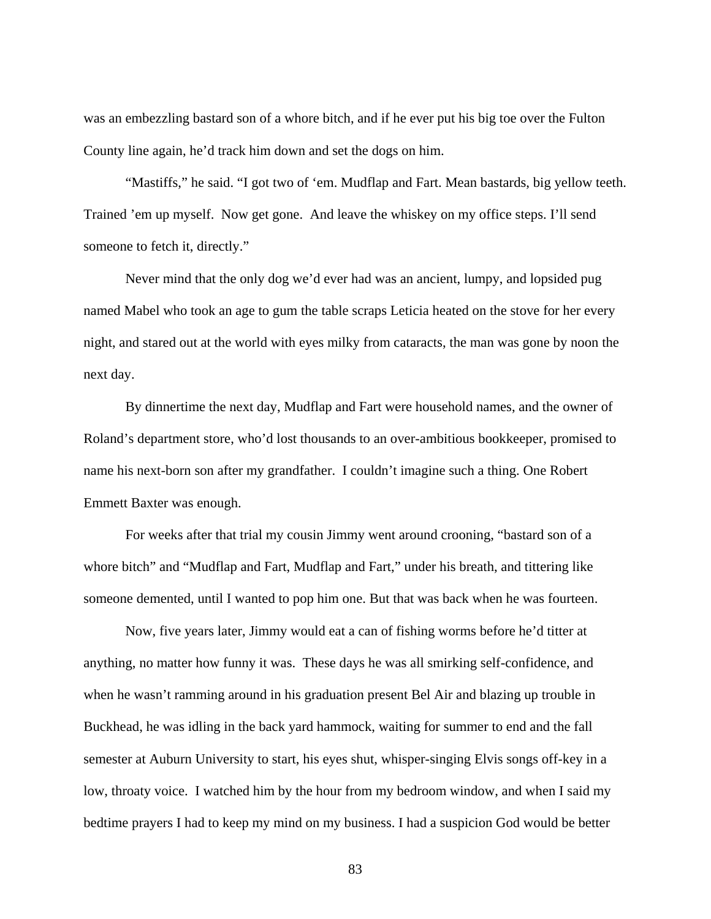was an embezzling bastard son of a whore bitch, and if he ever put his big toe over the Fulton County line again, he'd track him down and set the dogs on him.

"Mastiffs," he said. "I got two of 'em. Mudflap and Fart. Mean bastards, big yellow teeth. Trained 'em up myself. Now get gone. And leave the whiskey on my office steps. I'll send someone to fetch it, directly."

Never mind that the only dog we'd ever had was an ancient, lumpy, and lopsided pug named Mabel who took an age to gum the table scraps Leticia heated on the stove for her every night, and stared out at the world with eyes milky from cataracts, the man was gone by noon the next day.

By dinnertime the next day, Mudflap and Fart were household names, and the owner of Roland's department store, who'd lost thousands to an over-ambitious bookkeeper, promised to name his next-born son after my grandfather. I couldn't imagine such a thing. One Robert Emmett Baxter was enough.

For weeks after that trial my cousin Jimmy went around crooning, "bastard son of a whore bitch" and "Mudflap and Fart, Mudflap and Fart," under his breath, and tittering like someone demented, until I wanted to pop him one. But that was back when he was fourteen.

Now, five years later, Jimmy would eat a can of fishing worms before he'd titter at anything, no matter how funny it was. These days he was all smirking self-confidence, and when he wasn't ramming around in his graduation present Bel Air and blazing up trouble in Buckhead, he was idling in the back yard hammock, waiting for summer to end and the fall semester at Auburn University to start, his eyes shut, whisper-singing Elvis songs off-key in a low, throaty voice. I watched him by the hour from my bedroom window, and when I said my bedtime prayers I had to keep my mind on my business. I had a suspicion God would be better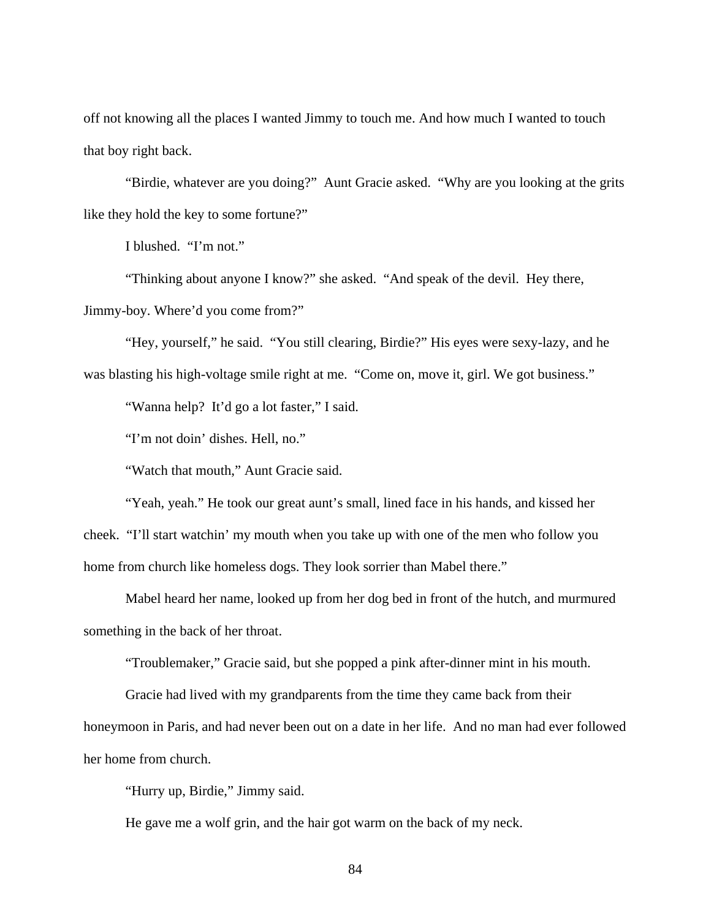off not knowing all the places I wanted Jimmy to touch me. And how much I wanted to touch that boy right back.

"Birdie, whatever are you doing?" Aunt Gracie asked. "Why are you looking at the grits like they hold the key to some fortune?"

I blushed. "I'm not."

"Thinking about anyone I know?" she asked. "And speak of the devil. Hey there, Jimmy-boy. Where'd you come from?"

"Hey, yourself," he said. "You still clearing, Birdie?" His eyes were sexy-lazy, and he was blasting his high-voltage smile right at me. "Come on, move it, girl. We got business."

"Wanna help? It'd go a lot faster," I said.

"I'm not doin' dishes. Hell, no."

"Watch that mouth," Aunt Gracie said.

"Yeah, yeah." He took our great aunt's small, lined face in his hands, and kissed her cheek. "I'll start watchin' my mouth when you take up with one of the men who follow you home from church like homeless dogs. They look sorrier than Mabel there."

Mabel heard her name, looked up from her dog bed in front of the hutch, and murmured something in the back of her throat.

"Troublemaker," Gracie said, but she popped a pink after-dinner mint in his mouth.

Gracie had lived with my grandparents from the time they came back from their honeymoon in Paris, and had never been out on a date in her life. And no man had ever followed her home from church.

"Hurry up, Birdie," Jimmy said.

He gave me a wolf grin, and the hair got warm on the back of my neck.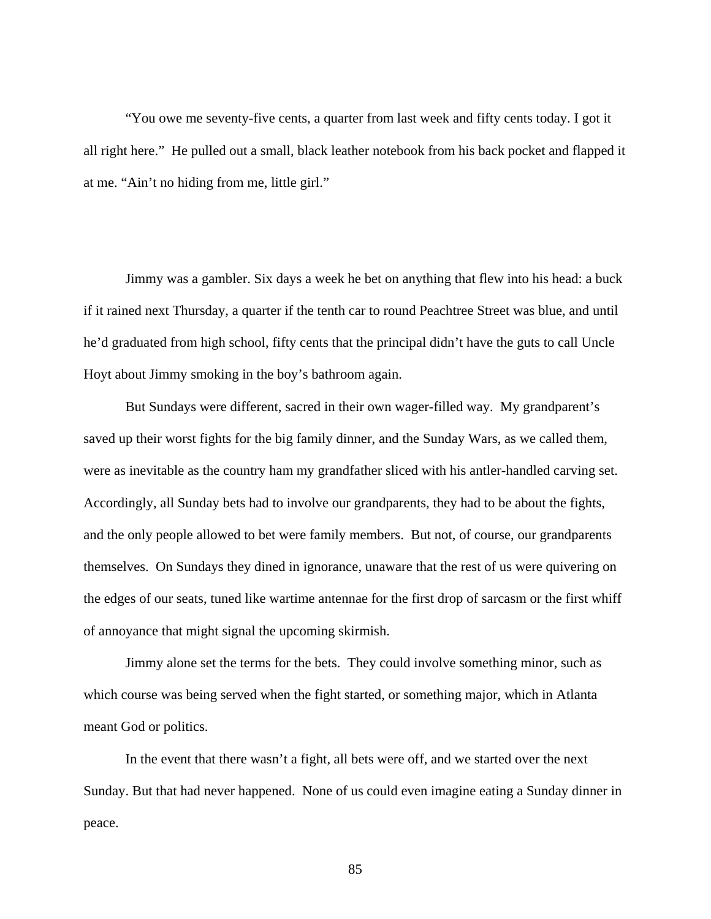"You owe me seventy-five cents, a quarter from last week and fifty cents today. I got it all right here." He pulled out a small, black leather notebook from his back pocket and flapped it at me. "Ain't no hiding from me, little girl."

Jimmy was a gambler. Six days a week he bet on anything that flew into his head: a buck if it rained next Thursday, a quarter if the tenth car to round Peachtree Street was blue, and until he'd graduated from high school, fifty cents that the principal didn't have the guts to call Uncle Hoyt about Jimmy smoking in the boy's bathroom again.

But Sundays were different, sacred in their own wager-filled way. My grandparent's saved up their worst fights for the big family dinner, and the Sunday Wars, as we called them, were as inevitable as the country ham my grandfather sliced with his antler-handled carving set. Accordingly, all Sunday bets had to involve our grandparents, they had to be about the fights, and the only people allowed to bet were family members. But not, of course, our grandparents themselves. On Sundays they dined in ignorance, unaware that the rest of us were quivering on the edges of our seats, tuned like wartime antennae for the first drop of sarcasm or the first whiff of annoyance that might signal the upcoming skirmish.

Jimmy alone set the terms for the bets. They could involve something minor, such as which course was being served when the fight started, or something major, which in Atlanta meant God or politics.

In the event that there wasn't a fight, all bets were off, and we started over the next Sunday. But that had never happened. None of us could even imagine eating a Sunday dinner in peace.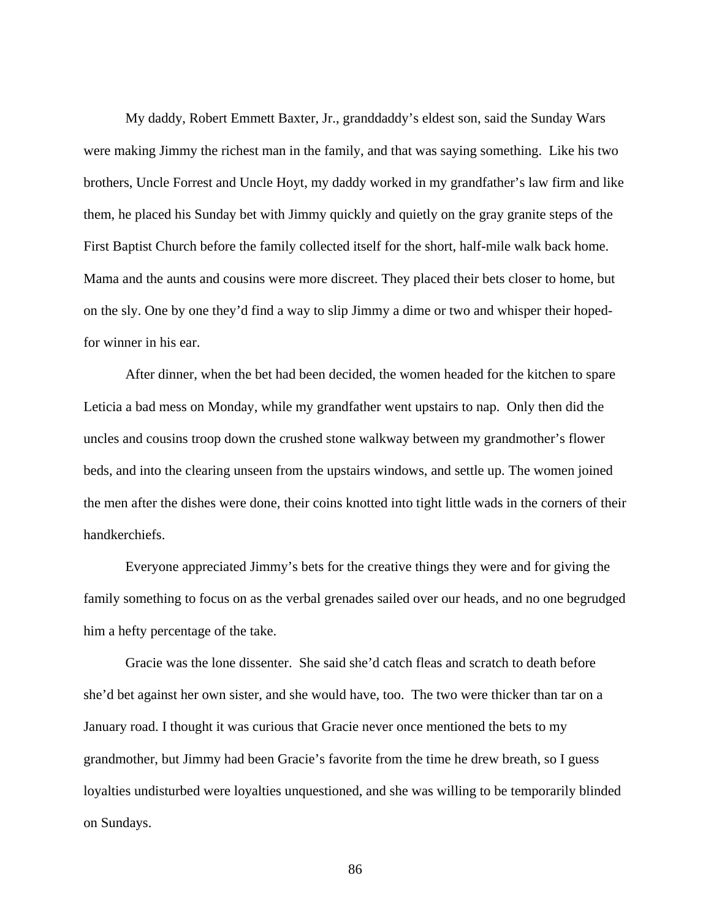My daddy, Robert Emmett Baxter, Jr., granddaddy's eldest son, said the Sunday Wars were making Jimmy the richest man in the family, and that was saying something. Like his two brothers, Uncle Forrest and Uncle Hoyt, my daddy worked in my grandfather's law firm and like them, he placed his Sunday bet with Jimmy quickly and quietly on the gray granite steps of the First Baptist Church before the family collected itself for the short, half-mile walk back home. Mama and the aunts and cousins were more discreet. They placed their bets closer to home, but on the sly. One by one they'd find a way to slip Jimmy a dime or two and whisper their hopedfor winner in his ear.

After dinner, when the bet had been decided, the women headed for the kitchen to spare Leticia a bad mess on Monday, while my grandfather went upstairs to nap. Only then did the uncles and cousins troop down the crushed stone walkway between my grandmother's flower beds, and into the clearing unseen from the upstairs windows, and settle up. The women joined the men after the dishes were done, their coins knotted into tight little wads in the corners of their handkerchiefs.

Everyone appreciated Jimmy's bets for the creative things they were and for giving the family something to focus on as the verbal grenades sailed over our heads, and no one begrudged him a hefty percentage of the take.

Gracie was the lone dissenter. She said she'd catch fleas and scratch to death before she'd bet against her own sister, and she would have, too. The two were thicker than tar on a January road. I thought it was curious that Gracie never once mentioned the bets to my grandmother, but Jimmy had been Gracie's favorite from the time he drew breath, so I guess loyalties undisturbed were loyalties unquestioned, and she was willing to be temporarily blinded on Sundays.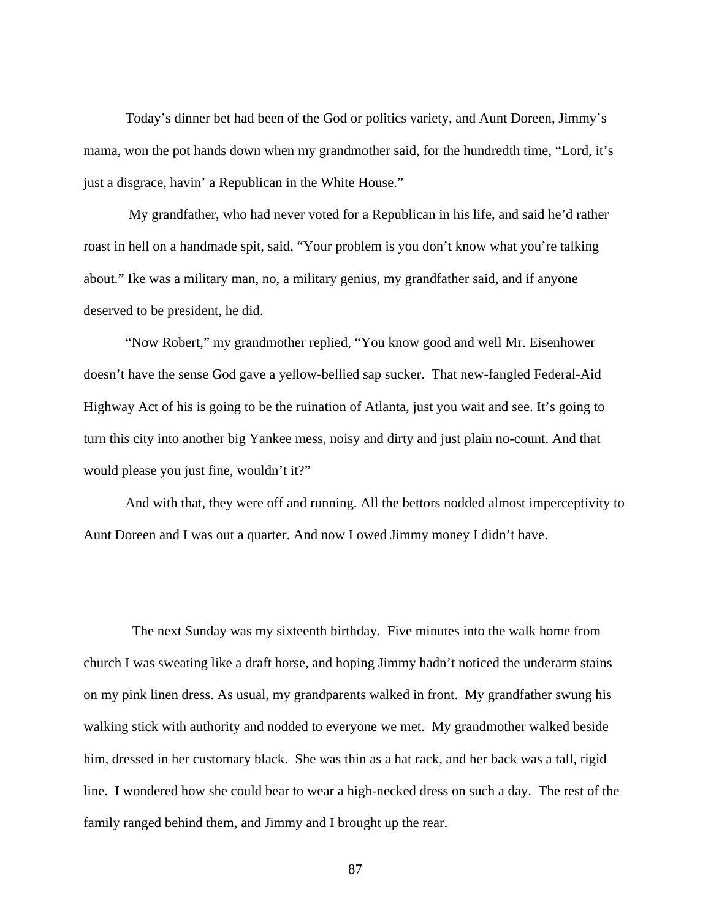Today's dinner bet had been of the God or politics variety, and Aunt Doreen, Jimmy's mama, won the pot hands down when my grandmother said, for the hundredth time, "Lord, it's just a disgrace, havin' a Republican in the White House."

 My grandfather, who had never voted for a Republican in his life, and said he'd rather roast in hell on a handmade spit, said, "Your problem is you don't know what you're talking about." Ike was a military man, no, a military genius, my grandfather said, and if anyone deserved to be president, he did.

"Now Robert," my grandmother replied, "You know good and well Mr. Eisenhower doesn't have the sense God gave a yellow-bellied sap sucker. That new-fangled Federal-Aid Highway Act of his is going to be the ruination of Atlanta, just you wait and see. It's going to turn this city into another big Yankee mess, noisy and dirty and just plain no-count. And that would please you just fine, wouldn't it?"

And with that, they were off and running. All the bettors nodded almost imperceptivity to Aunt Doreen and I was out a quarter. And now I owed Jimmy money I didn't have.

 The next Sunday was my sixteenth birthday. Five minutes into the walk home from church I was sweating like a draft horse, and hoping Jimmy hadn't noticed the underarm stains on my pink linen dress. As usual, my grandparents walked in front. My grandfather swung his walking stick with authority and nodded to everyone we met. My grandmother walked beside him, dressed in her customary black. She was thin as a hat rack, and her back was a tall, rigid line. I wondered how she could bear to wear a high-necked dress on such a day. The rest of the family ranged behind them, and Jimmy and I brought up the rear.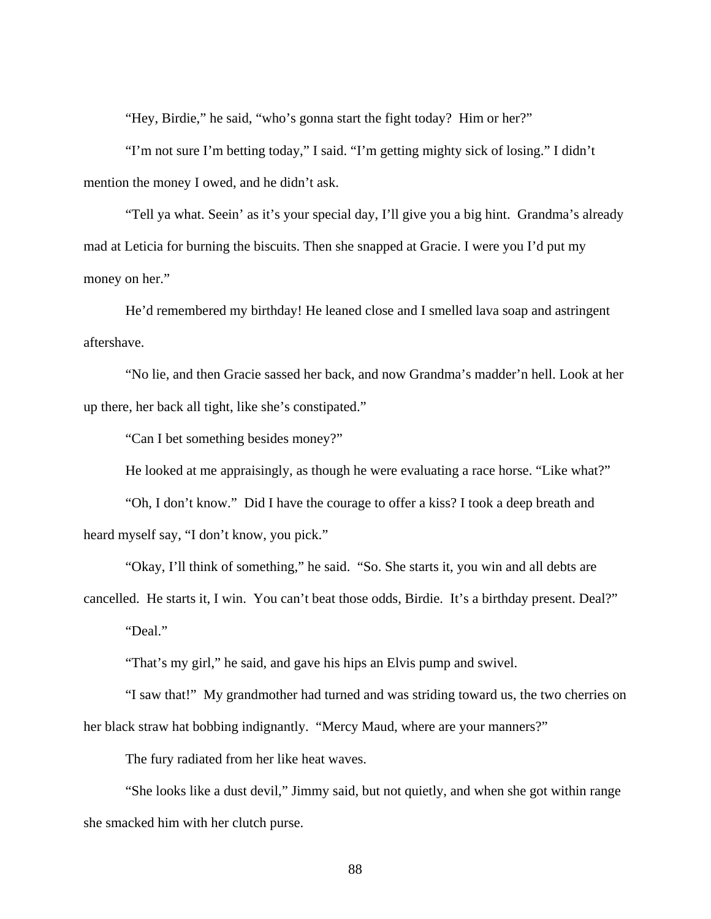"Hey, Birdie," he said, "who's gonna start the fight today? Him or her?"

"I'm not sure I'm betting today," I said. "I'm getting mighty sick of losing." I didn't mention the money I owed, and he didn't ask.

"Tell ya what. Seein' as it's your special day, I'll give you a big hint. Grandma's already mad at Leticia for burning the biscuits. Then she snapped at Gracie. I were you I'd put my money on her."

He'd remembered my birthday! He leaned close and I smelled lava soap and astringent aftershave.

"No lie, and then Gracie sassed her back, and now Grandma's madder'n hell. Look at her up there, her back all tight, like she's constipated."

"Can I bet something besides money?"

He looked at me appraisingly, as though he were evaluating a race horse. "Like what?"

"Oh, I don't know." Did I have the courage to offer a kiss? I took a deep breath and heard myself say, "I don't know, you pick."

"Okay, I'll think of something," he said. "So. She starts it, you win and all debts are cancelled. He starts it, I win. You can't beat those odds, Birdie. It's a birthday present. Deal?" "Deal."

"That's my girl," he said, and gave his hips an Elvis pump and swivel.

"I saw that!" My grandmother had turned and was striding toward us, the two cherries on her black straw hat bobbing indignantly. "Mercy Maud, where are your manners?"

The fury radiated from her like heat waves.

"She looks like a dust devil," Jimmy said, but not quietly, and when she got within range she smacked him with her clutch purse.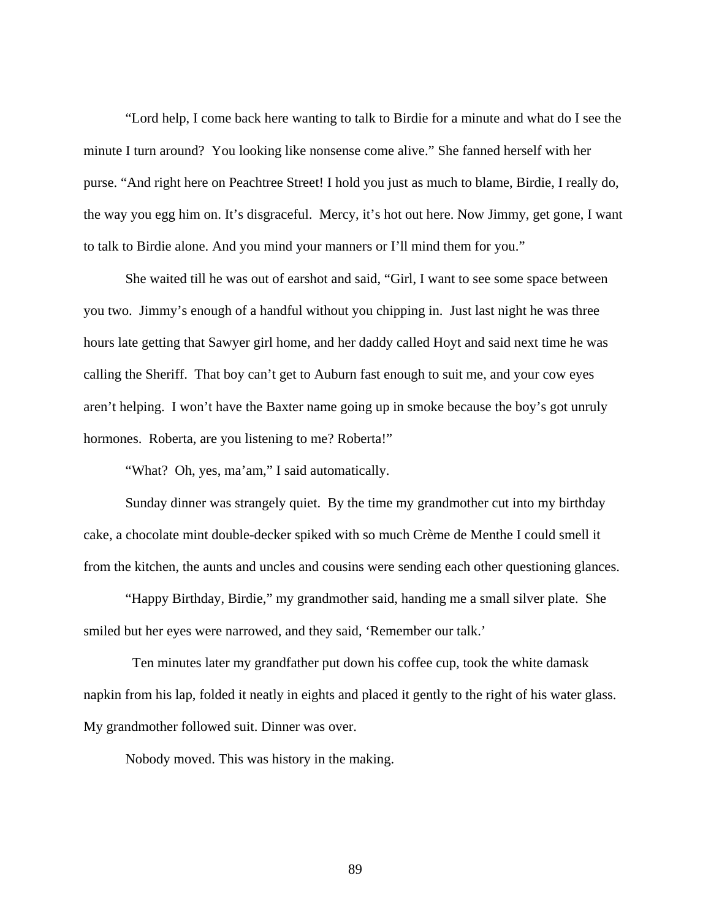"Lord help, I come back here wanting to talk to Birdie for a minute and what do I see the minute I turn around? You looking like nonsense come alive." She fanned herself with her purse. "And right here on Peachtree Street! I hold you just as much to blame, Birdie, I really do, the way you egg him on. It's disgraceful. Mercy, it's hot out here. Now Jimmy, get gone, I want to talk to Birdie alone. And you mind your manners or I'll mind them for you."

She waited till he was out of earshot and said, "Girl, I want to see some space between you two. Jimmy's enough of a handful without you chipping in. Just last night he was three hours late getting that Sawyer girl home, and her daddy called Hoyt and said next time he was calling the Sheriff. That boy can't get to Auburn fast enough to suit me, and your cow eyes aren't helping. I won't have the Baxter name going up in smoke because the boy's got unruly hormones. Roberta, are you listening to me? Roberta!"

"What? Oh, yes, ma'am," I said automatically.

Sunday dinner was strangely quiet. By the time my grandmother cut into my birthday cake, a chocolate mint double-decker spiked with so much Crème de Menthe I could smell it from the kitchen, the aunts and uncles and cousins were sending each other questioning glances.

"Happy Birthday, Birdie," my grandmother said, handing me a small silver plate. She smiled but her eyes were narrowed, and they said, 'Remember our talk.'

 Ten minutes later my grandfather put down his coffee cup, took the white damask napkin from his lap, folded it neatly in eights and placed it gently to the right of his water glass. My grandmother followed suit. Dinner was over.

Nobody moved. This was history in the making.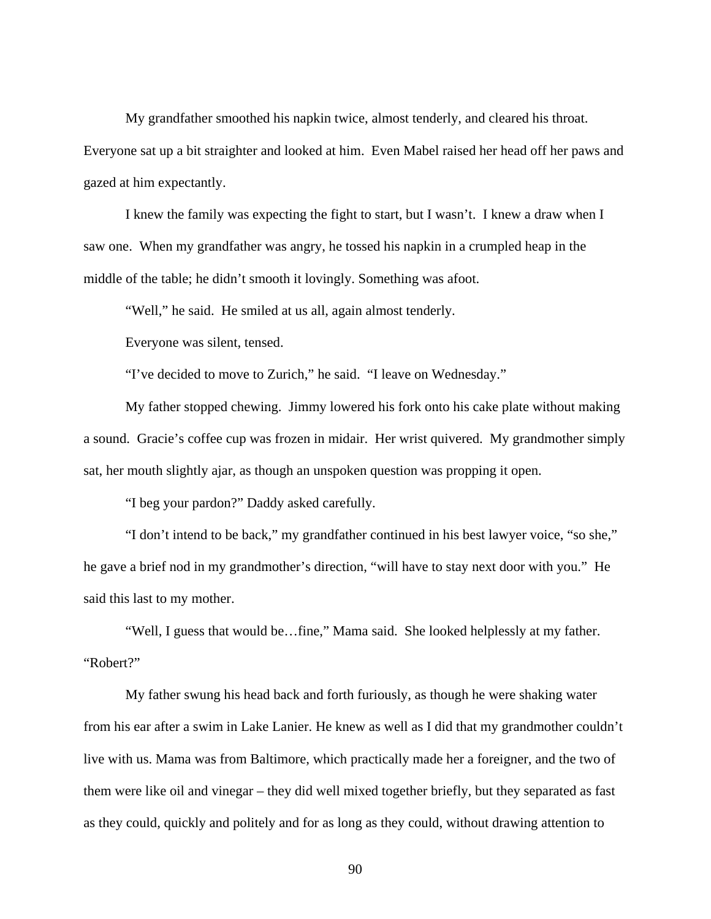My grandfather smoothed his napkin twice, almost tenderly, and cleared his throat. Everyone sat up a bit straighter and looked at him. Even Mabel raised her head off her paws and gazed at him expectantly.

I knew the family was expecting the fight to start, but I wasn't. I knew a draw when I saw one. When my grandfather was angry, he tossed his napkin in a crumpled heap in the middle of the table; he didn't smooth it lovingly. Something was afoot.

"Well," he said. He smiled at us all, again almost tenderly.

Everyone was silent, tensed.

"I've decided to move to Zurich," he said. "I leave on Wednesday."

My father stopped chewing. Jimmy lowered his fork onto his cake plate without making a sound. Gracie's coffee cup was frozen in midair. Her wrist quivered. My grandmother simply sat, her mouth slightly ajar, as though an unspoken question was propping it open.

"I beg your pardon?" Daddy asked carefully.

"I don't intend to be back," my grandfather continued in his best lawyer voice, "so she," he gave a brief nod in my grandmother's direction, "will have to stay next door with you." He said this last to my mother.

"Well, I guess that would be…fine," Mama said. She looked helplessly at my father. "Robert?"

My father swung his head back and forth furiously, as though he were shaking water from his ear after a swim in Lake Lanier. He knew as well as I did that my grandmother couldn't live with us. Mama was from Baltimore, which practically made her a foreigner, and the two of them were like oil and vinegar – they did well mixed together briefly, but they separated as fast as they could, quickly and politely and for as long as they could, without drawing attention to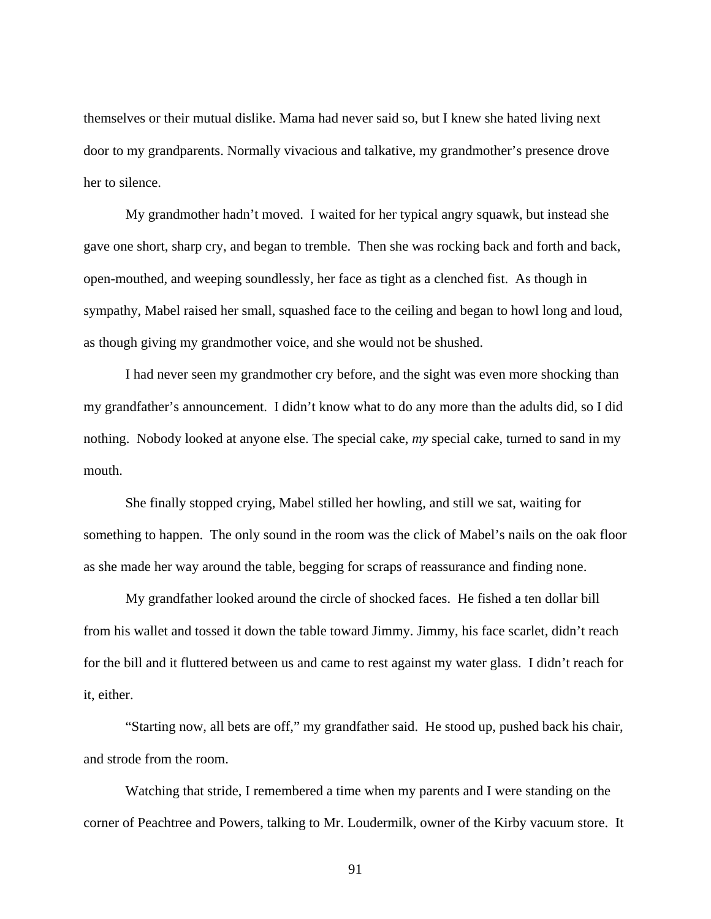themselves or their mutual dislike. Mama had never said so, but I knew she hated living next door to my grandparents. Normally vivacious and talkative, my grandmother's presence drove her to silence.

My grandmother hadn't moved. I waited for her typical angry squawk, but instead she gave one short, sharp cry, and began to tremble. Then she was rocking back and forth and back, open-mouthed, and weeping soundlessly, her face as tight as a clenched fist. As though in sympathy, Mabel raised her small, squashed face to the ceiling and began to howl long and loud, as though giving my grandmother voice, and she would not be shushed.

I had never seen my grandmother cry before, and the sight was even more shocking than my grandfather's announcement. I didn't know what to do any more than the adults did, so I did nothing. Nobody looked at anyone else. The special cake, *my* special cake, turned to sand in my mouth.

She finally stopped crying, Mabel stilled her howling, and still we sat, waiting for something to happen. The only sound in the room was the click of Mabel's nails on the oak floor as she made her way around the table, begging for scraps of reassurance and finding none.

My grandfather looked around the circle of shocked faces. He fished a ten dollar bill from his wallet and tossed it down the table toward Jimmy. Jimmy, his face scarlet, didn't reach for the bill and it fluttered between us and came to rest against my water glass. I didn't reach for it, either.

"Starting now, all bets are off," my grandfather said. He stood up, pushed back his chair, and strode from the room.

Watching that stride, I remembered a time when my parents and I were standing on the corner of Peachtree and Powers, talking to Mr. Loudermilk, owner of the Kirby vacuum store. It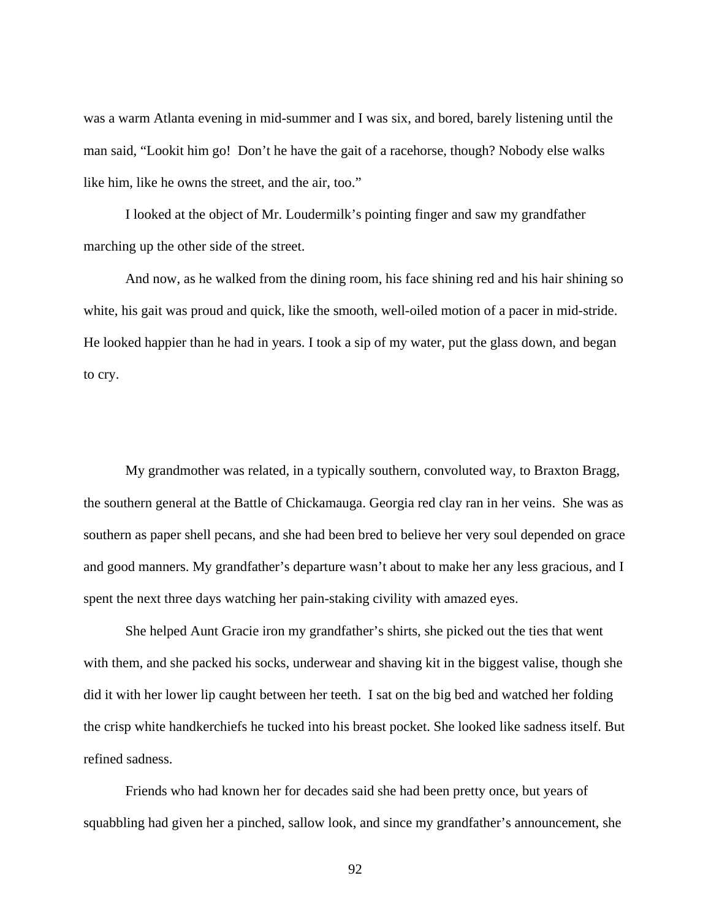was a warm Atlanta evening in mid-summer and I was six, and bored, barely listening until the man said, "Lookit him go! Don't he have the gait of a racehorse, though? Nobody else walks like him, like he owns the street, and the air, too."

I looked at the object of Mr. Loudermilk's pointing finger and saw my grandfather marching up the other side of the street.

And now, as he walked from the dining room, his face shining red and his hair shining so white, his gait was proud and quick, like the smooth, well-oiled motion of a pacer in mid-stride. He looked happier than he had in years. I took a sip of my water, put the glass down, and began to cry.

My grandmother was related, in a typically southern, convoluted way, to Braxton Bragg, the southern general at the Battle of Chickamauga. Georgia red clay ran in her veins. She was as southern as paper shell pecans, and she had been bred to believe her very soul depended on grace and good manners. My grandfather's departure wasn't about to make her any less gracious, and I spent the next three days watching her pain-staking civility with amazed eyes.

She helped Aunt Gracie iron my grandfather's shirts, she picked out the ties that went with them, and she packed his socks, underwear and shaving kit in the biggest valise, though she did it with her lower lip caught between her teeth. I sat on the big bed and watched her folding the crisp white handkerchiefs he tucked into his breast pocket. She looked like sadness itself. But refined sadness.

Friends who had known her for decades said she had been pretty once, but years of squabbling had given her a pinched, sallow look, and since my grandfather's announcement, she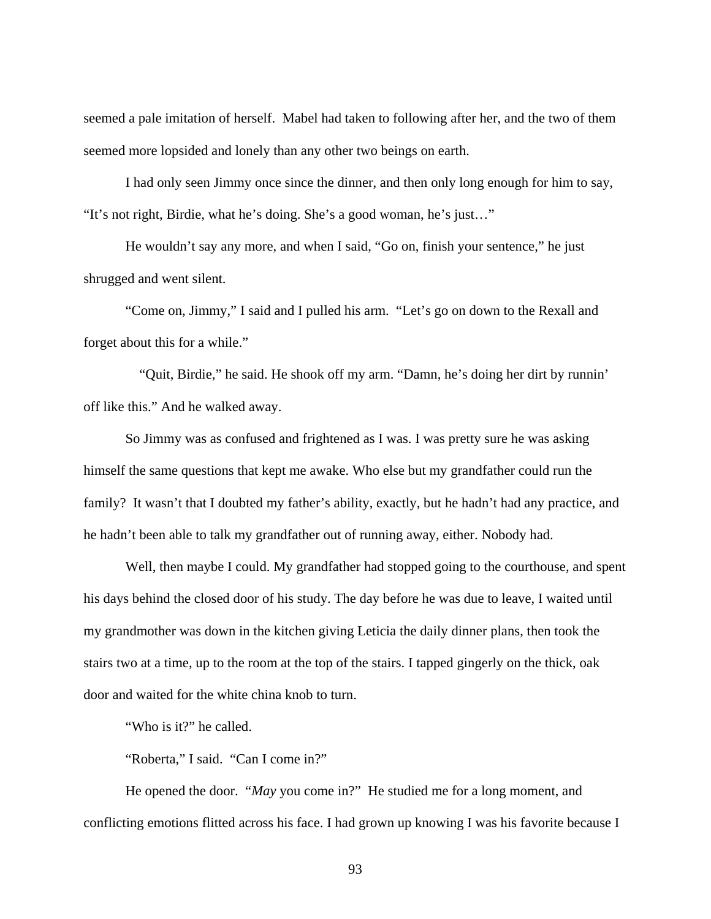seemed a pale imitation of herself. Mabel had taken to following after her, and the two of them seemed more lopsided and lonely than any other two beings on earth.

I had only seen Jimmy once since the dinner, and then only long enough for him to say, "It's not right, Birdie, what he's doing. She's a good woman, he's just…"

He wouldn't say any more, and when I said, "Go on, finish your sentence," he just shrugged and went silent.

"Come on, Jimmy," I said and I pulled his arm. "Let's go on down to the Rexall and forget about this for a while."

 "Quit, Birdie," he said. He shook off my arm. "Damn, he's doing her dirt by runnin' off like this." And he walked away.

So Jimmy was as confused and frightened as I was. I was pretty sure he was asking himself the same questions that kept me awake. Who else but my grandfather could run the family? It wasn't that I doubted my father's ability, exactly, but he hadn't had any practice, and he hadn't been able to talk my grandfather out of running away, either. Nobody had.

Well, then maybe I could. My grandfather had stopped going to the courthouse, and spent his days behind the closed door of his study. The day before he was due to leave, I waited until my grandmother was down in the kitchen giving Leticia the daily dinner plans, then took the stairs two at a time, up to the room at the top of the stairs. I tapped gingerly on the thick, oak door and waited for the white china knob to turn.

"Who is it?" he called.

"Roberta," I said. "Can I come in?"

He opened the door. "*May* you come in?" He studied me for a long moment, and conflicting emotions flitted across his face. I had grown up knowing I was his favorite because I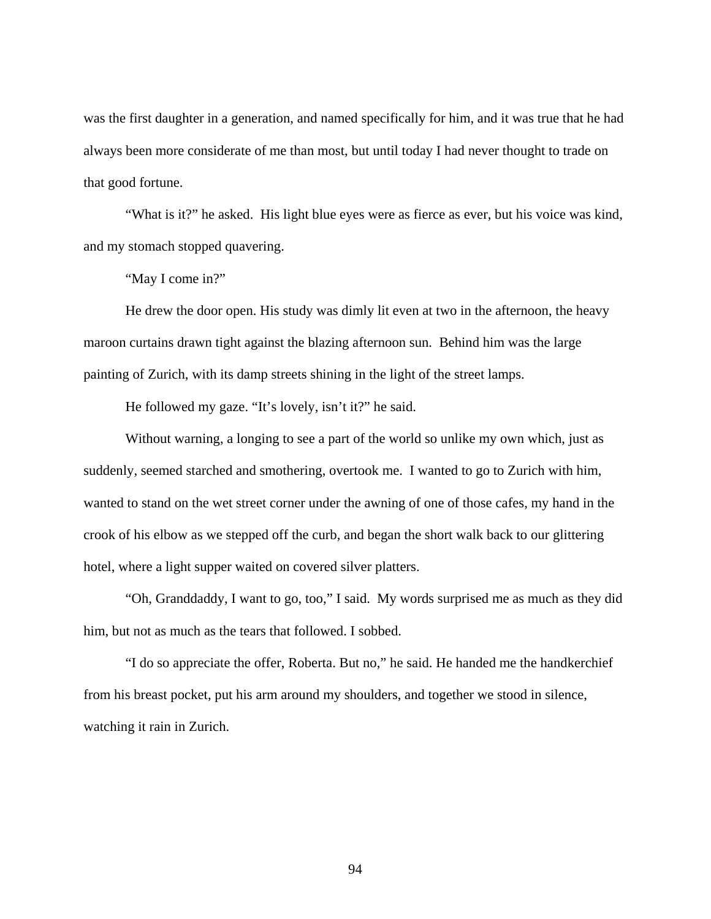was the first daughter in a generation, and named specifically for him, and it was true that he had always been more considerate of me than most, but until today I had never thought to trade on that good fortune.

"What is it?" he asked. His light blue eyes were as fierce as ever, but his voice was kind, and my stomach stopped quavering.

"May I come in?"

He drew the door open. His study was dimly lit even at two in the afternoon, the heavy maroon curtains drawn tight against the blazing afternoon sun. Behind him was the large painting of Zurich, with its damp streets shining in the light of the street lamps.

He followed my gaze. "It's lovely, isn't it?" he said.

Without warning, a longing to see a part of the world so unlike my own which, just as suddenly, seemed starched and smothering, overtook me. I wanted to go to Zurich with him, wanted to stand on the wet street corner under the awning of one of those cafes, my hand in the crook of his elbow as we stepped off the curb, and began the short walk back to our glittering hotel, where a light supper waited on covered silver platters.

"Oh, Granddaddy, I want to go, too," I said. My words surprised me as much as they did him, but not as much as the tears that followed. I sobbed.

"I do so appreciate the offer, Roberta. But no," he said. He handed me the handkerchief from his breast pocket, put his arm around my shoulders, and together we stood in silence, watching it rain in Zurich.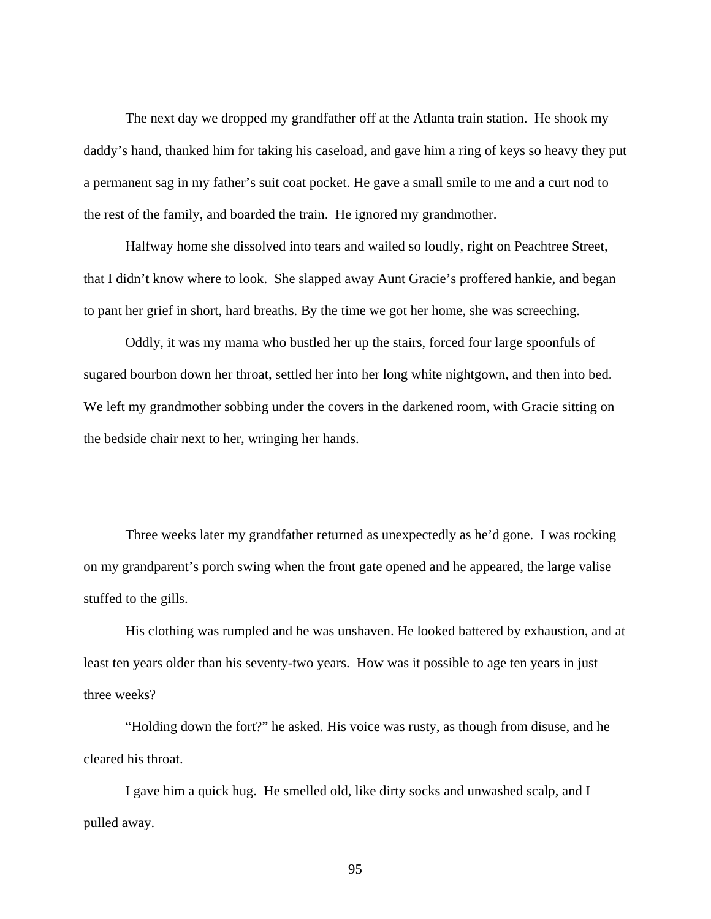The next day we dropped my grandfather off at the Atlanta train station. He shook my daddy's hand, thanked him for taking his caseload, and gave him a ring of keys so heavy they put a permanent sag in my father's suit coat pocket. He gave a small smile to me and a curt nod to the rest of the family, and boarded the train. He ignored my grandmother.

Halfway home she dissolved into tears and wailed so loudly, right on Peachtree Street, that I didn't know where to look. She slapped away Aunt Gracie's proffered hankie, and began to pant her grief in short, hard breaths. By the time we got her home, she was screeching.

Oddly, it was my mama who bustled her up the stairs, forced four large spoonfuls of sugared bourbon down her throat, settled her into her long white nightgown, and then into bed. We left my grandmother sobbing under the covers in the darkened room, with Gracie sitting on the bedside chair next to her, wringing her hands.

Three weeks later my grandfather returned as unexpectedly as he'd gone. I was rocking on my grandparent's porch swing when the front gate opened and he appeared, the large valise stuffed to the gills.

His clothing was rumpled and he was unshaven. He looked battered by exhaustion, and at least ten years older than his seventy-two years. How was it possible to age ten years in just three weeks?

"Holding down the fort?" he asked. His voice was rusty, as though from disuse, and he cleared his throat.

I gave him a quick hug. He smelled old, like dirty socks and unwashed scalp, and I pulled away.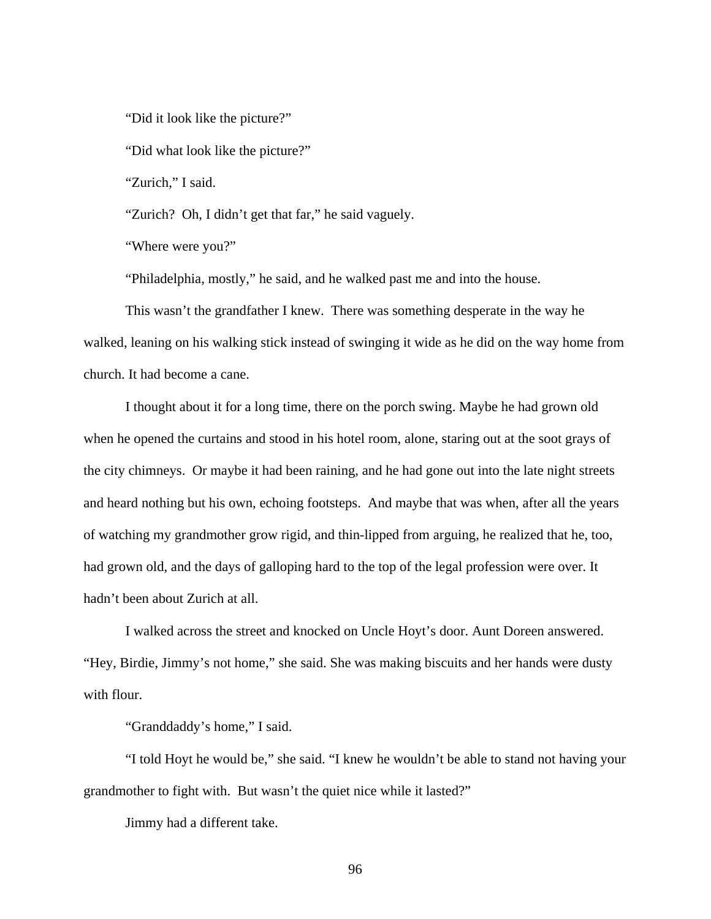"Did it look like the picture?"

"Did what look like the picture?"

"Zurich," I said.

"Zurich? Oh, I didn't get that far," he said vaguely.

"Where were you?"

"Philadelphia, mostly," he said, and he walked past me and into the house.

This wasn't the grandfather I knew. There was something desperate in the way he walked, leaning on his walking stick instead of swinging it wide as he did on the way home from church. It had become a cane.

I thought about it for a long time, there on the porch swing. Maybe he had grown old when he opened the curtains and stood in his hotel room, alone, staring out at the soot grays of the city chimneys. Or maybe it had been raining, and he had gone out into the late night streets and heard nothing but his own, echoing footsteps. And maybe that was when, after all the years of watching my grandmother grow rigid, and thin-lipped from arguing, he realized that he, too, had grown old, and the days of galloping hard to the top of the legal profession were over. It hadn't been about Zurich at all.

I walked across the street and knocked on Uncle Hoyt's door. Aunt Doreen answered. "Hey, Birdie, Jimmy's not home," she said. She was making biscuits and her hands were dusty with flour.

"Granddaddy's home," I said.

"I told Hoyt he would be," she said. "I knew he wouldn't be able to stand not having your grandmother to fight with. But wasn't the quiet nice while it lasted?"

Jimmy had a different take.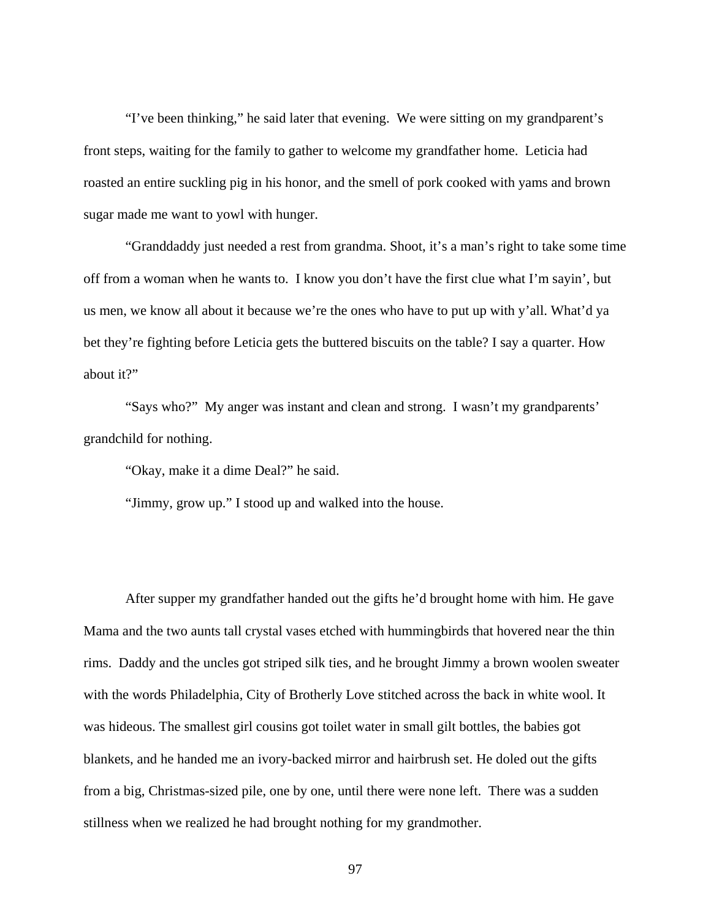"I've been thinking," he said later that evening. We were sitting on my grandparent's front steps, waiting for the family to gather to welcome my grandfather home. Leticia had roasted an entire suckling pig in his honor, and the smell of pork cooked with yams and brown sugar made me want to yowl with hunger.

"Granddaddy just needed a rest from grandma. Shoot, it's a man's right to take some time off from a woman when he wants to. I know you don't have the first clue what I'm sayin', but us men, we know all about it because we're the ones who have to put up with y'all. What'd ya bet they're fighting before Leticia gets the buttered biscuits on the table? I say a quarter. How about it?"

"Says who?" My anger was instant and clean and strong. I wasn't my grandparents' grandchild for nothing.

"Okay, make it a dime Deal?" he said.

"Jimmy, grow up." I stood up and walked into the house.

After supper my grandfather handed out the gifts he'd brought home with him. He gave Mama and the two aunts tall crystal vases etched with hummingbirds that hovered near the thin rims. Daddy and the uncles got striped silk ties, and he brought Jimmy a brown woolen sweater with the words Philadelphia, City of Brotherly Love stitched across the back in white wool. It was hideous. The smallest girl cousins got toilet water in small gilt bottles, the babies got blankets, and he handed me an ivory-backed mirror and hairbrush set. He doled out the gifts from a big, Christmas-sized pile, one by one, until there were none left. There was a sudden stillness when we realized he had brought nothing for my grandmother.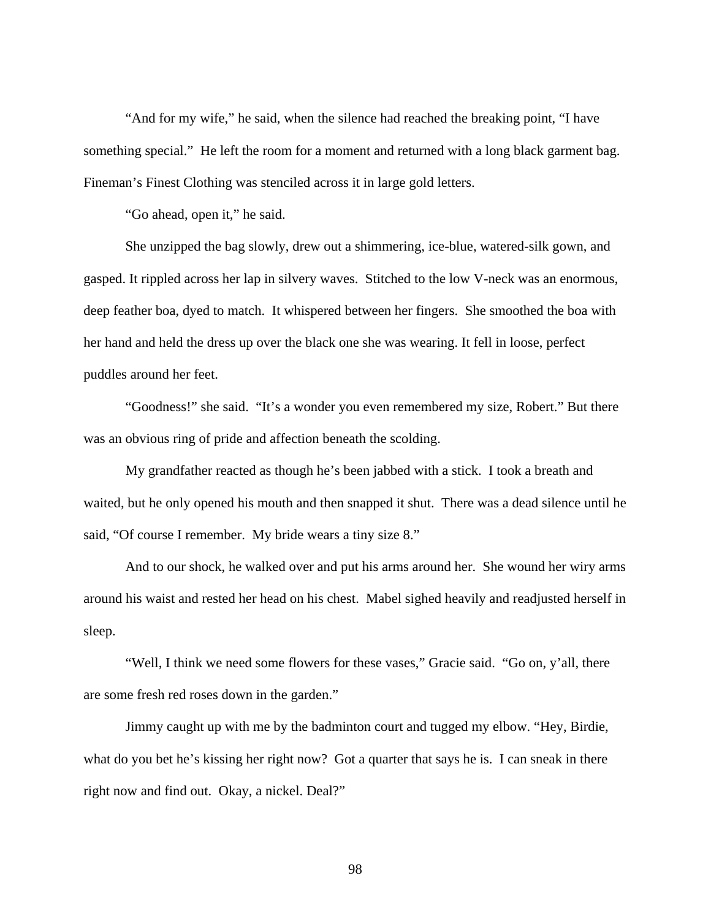"And for my wife," he said, when the silence had reached the breaking point, "I have something special." He left the room for a moment and returned with a long black garment bag. Fineman's Finest Clothing was stenciled across it in large gold letters.

"Go ahead, open it," he said.

She unzipped the bag slowly, drew out a shimmering, ice-blue, watered-silk gown, and gasped. It rippled across her lap in silvery waves. Stitched to the low V-neck was an enormous, deep feather boa, dyed to match. It whispered between her fingers. She smoothed the boa with her hand and held the dress up over the black one she was wearing. It fell in loose, perfect puddles around her feet.

"Goodness!" she said. "It's a wonder you even remembered my size, Robert." But there was an obvious ring of pride and affection beneath the scolding.

My grandfather reacted as though he's been jabbed with a stick. I took a breath and waited, but he only opened his mouth and then snapped it shut. There was a dead silence until he said, "Of course I remember. My bride wears a tiny size 8."

And to our shock, he walked over and put his arms around her. She wound her wiry arms around his waist and rested her head on his chest. Mabel sighed heavily and readjusted herself in sleep.

"Well, I think we need some flowers for these vases," Gracie said. "Go on, y'all, there are some fresh red roses down in the garden."

Jimmy caught up with me by the badminton court and tugged my elbow. "Hey, Birdie, what do you bet he's kissing her right now? Got a quarter that says he is. I can sneak in there right now and find out. Okay, a nickel. Deal?"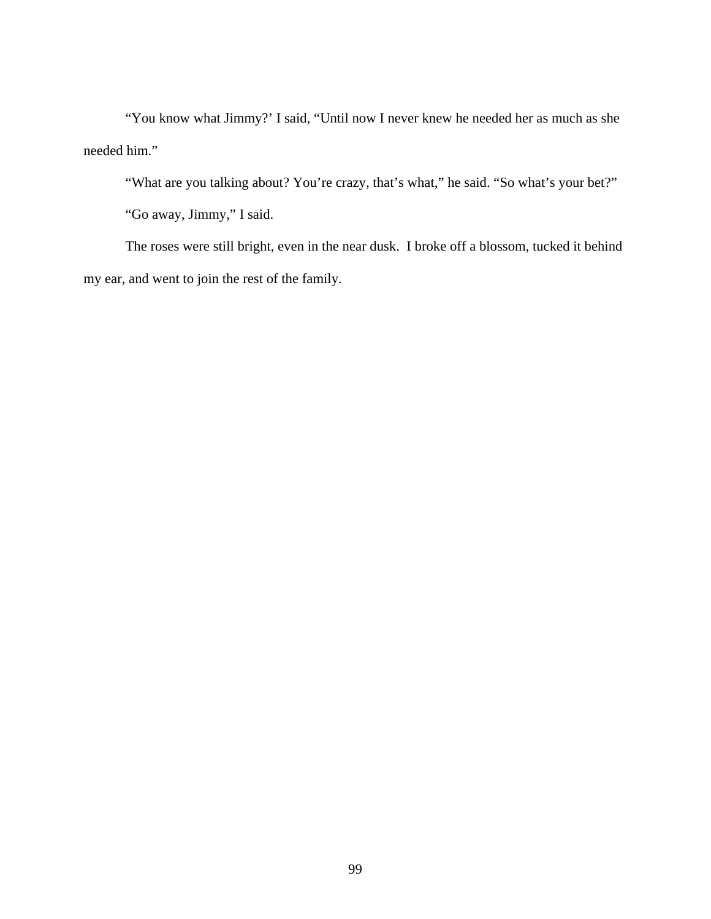"You know what Jimmy?' I said, "Until now I never knew he needed her as much as she needed him."

"What are you talking about? You're crazy, that's what," he said. "So what's your bet?"

"Go away, Jimmy," I said.

The roses were still bright, even in the near dusk. I broke off a blossom, tucked it behind my ear, and went to join the rest of the family.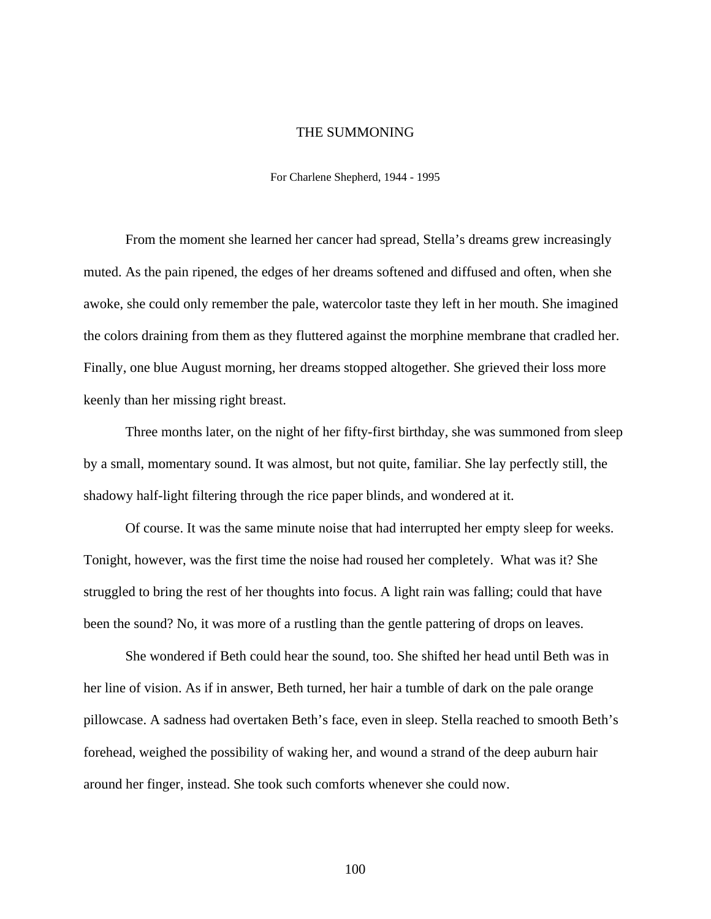## THE SUMMONING

For Charlene Shepherd, 1944 - 1995

From the moment she learned her cancer had spread, Stella's dreams grew increasingly muted. As the pain ripened, the edges of her dreams softened and diffused and often, when she awoke, she could only remember the pale, watercolor taste they left in her mouth. She imagined the colors draining from them as they fluttered against the morphine membrane that cradled her. Finally, one blue August morning, her dreams stopped altogether. She grieved their loss more keenly than her missing right breast.

Three months later, on the night of her fifty-first birthday, she was summoned from sleep by a small, momentary sound. It was almost, but not quite, familiar. She lay perfectly still, the shadowy half-light filtering through the rice paper blinds, and wondered at it.

Of course. It was the same minute noise that had interrupted her empty sleep for weeks. Tonight, however, was the first time the noise had roused her completely. What was it? She struggled to bring the rest of her thoughts into focus. A light rain was falling; could that have been the sound? No, it was more of a rustling than the gentle pattering of drops on leaves.

She wondered if Beth could hear the sound, too. She shifted her head until Beth was in her line of vision. As if in answer, Beth turned, her hair a tumble of dark on the pale orange pillowcase. A sadness had overtaken Beth's face, even in sleep. Stella reached to smooth Beth's forehead, weighed the possibility of waking her, and wound a strand of the deep auburn hair around her finger, instead. She took such comforts whenever she could now.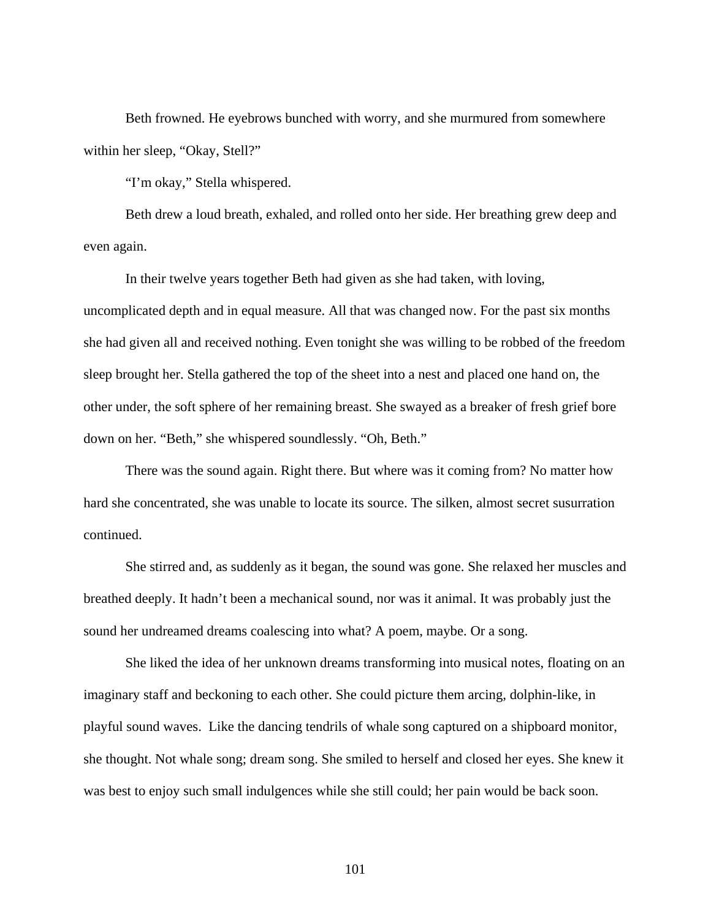Beth frowned. He eyebrows bunched with worry, and she murmured from somewhere within her sleep, "Okay, Stell?"

"I'm okay," Stella whispered.

Beth drew a loud breath, exhaled, and rolled onto her side. Her breathing grew deep and even again.

In their twelve years together Beth had given as she had taken, with loving, uncomplicated depth and in equal measure. All that was changed now. For the past six months she had given all and received nothing. Even tonight she was willing to be robbed of the freedom sleep brought her. Stella gathered the top of the sheet into a nest and placed one hand on, the other under, the soft sphere of her remaining breast. She swayed as a breaker of fresh grief bore down on her. "Beth," she whispered soundlessly. "Oh, Beth."

There was the sound again. Right there. But where was it coming from? No matter how hard she concentrated, she was unable to locate its source. The silken, almost secret susurration continued.

She stirred and, as suddenly as it began, the sound was gone. She relaxed her muscles and breathed deeply. It hadn't been a mechanical sound, nor was it animal. It was probably just the sound her undreamed dreams coalescing into what? A poem, maybe. Or a song.

She liked the idea of her unknown dreams transforming into musical notes, floating on an imaginary staff and beckoning to each other. She could picture them arcing, dolphin-like, in playful sound waves. Like the dancing tendrils of whale song captured on a shipboard monitor, she thought. Not whale song; dream song. She smiled to herself and closed her eyes. She knew it was best to enjoy such small indulgences while she still could; her pain would be back soon.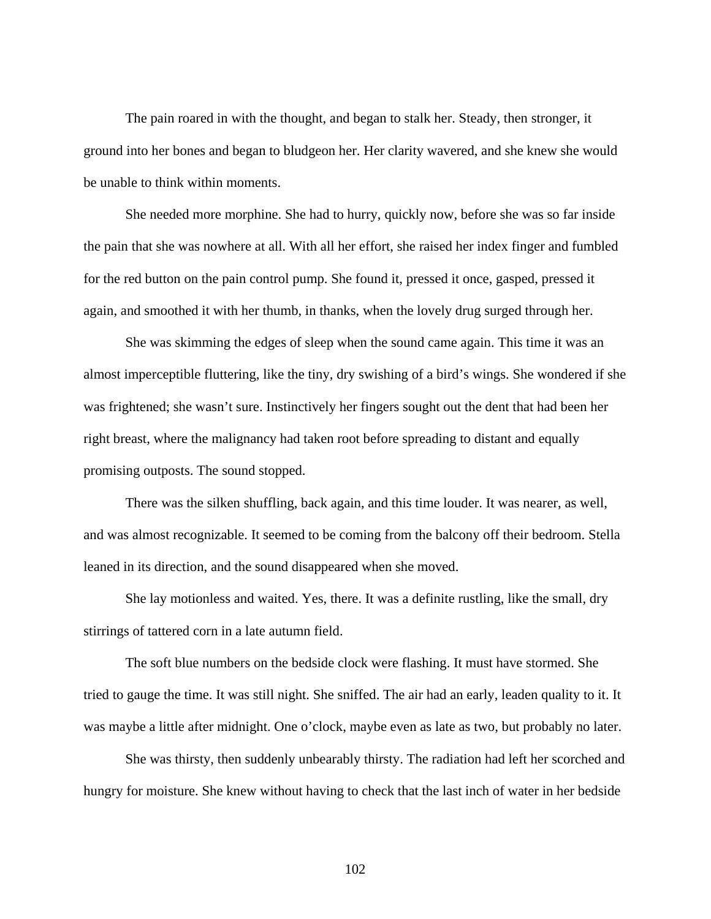The pain roared in with the thought, and began to stalk her. Steady, then stronger, it ground into her bones and began to bludgeon her. Her clarity wavered, and she knew she would be unable to think within moments.

She needed more morphine. She had to hurry, quickly now, before she was so far inside the pain that she was nowhere at all. With all her effort, she raised her index finger and fumbled for the red button on the pain control pump. She found it, pressed it once, gasped, pressed it again, and smoothed it with her thumb, in thanks, when the lovely drug surged through her.

She was skimming the edges of sleep when the sound came again. This time it was an almost imperceptible fluttering, like the tiny, dry swishing of a bird's wings. She wondered if she was frightened; she wasn't sure. Instinctively her fingers sought out the dent that had been her right breast, where the malignancy had taken root before spreading to distant and equally promising outposts. The sound stopped.

There was the silken shuffling, back again, and this time louder. It was nearer, as well, and was almost recognizable. It seemed to be coming from the balcony off their bedroom. Stella leaned in its direction, and the sound disappeared when she moved.

She lay motionless and waited. Yes, there. It was a definite rustling, like the small, dry stirrings of tattered corn in a late autumn field.

The soft blue numbers on the bedside clock were flashing. It must have stormed. She tried to gauge the time. It was still night. She sniffed. The air had an early, leaden quality to it. It was maybe a little after midnight. One o'clock, maybe even as late as two, but probably no later.

She was thirsty, then suddenly unbearably thirsty. The radiation had left her scorched and hungry for moisture. She knew without having to check that the last inch of water in her bedside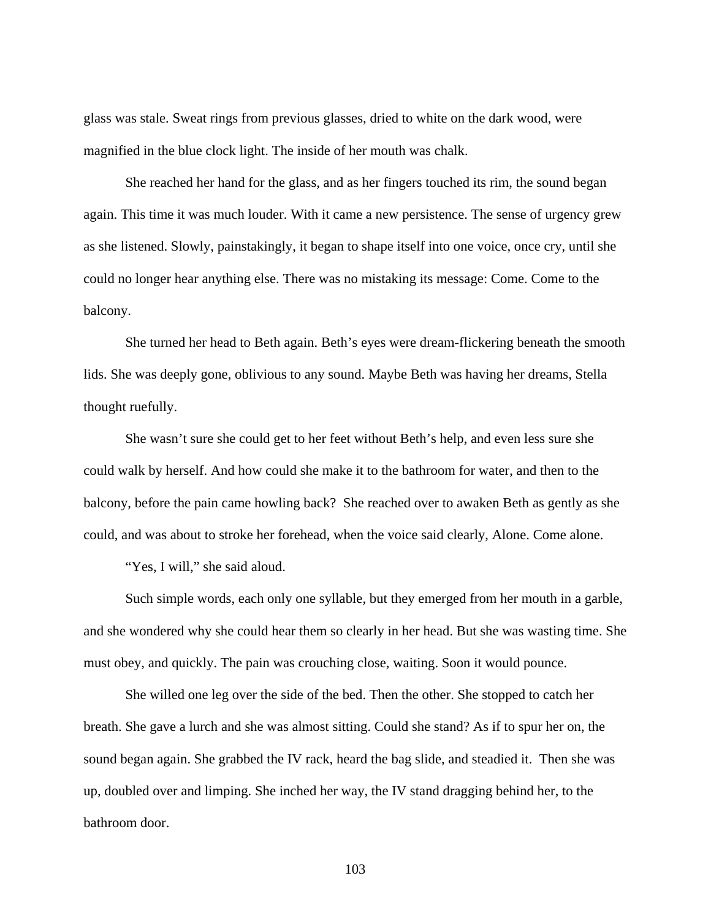glass was stale. Sweat rings from previous glasses, dried to white on the dark wood, were magnified in the blue clock light. The inside of her mouth was chalk.

She reached her hand for the glass, and as her fingers touched its rim, the sound began again. This time it was much louder. With it came a new persistence. The sense of urgency grew as she listened. Slowly, painstakingly, it began to shape itself into one voice, once cry, until she could no longer hear anything else. There was no mistaking its message: Come. Come to the balcony.

She turned her head to Beth again. Beth's eyes were dream-flickering beneath the smooth lids. She was deeply gone, oblivious to any sound. Maybe Beth was having her dreams, Stella thought ruefully.

She wasn't sure she could get to her feet without Beth's help, and even less sure she could walk by herself. And how could she make it to the bathroom for water, and then to the balcony, before the pain came howling back? She reached over to awaken Beth as gently as she could, and was about to stroke her forehead, when the voice said clearly, Alone. Come alone.

"Yes, I will," she said aloud.

Such simple words, each only one syllable, but they emerged from her mouth in a garble, and she wondered why she could hear them so clearly in her head. But she was wasting time. She must obey, and quickly. The pain was crouching close, waiting. Soon it would pounce.

She willed one leg over the side of the bed. Then the other. She stopped to catch her breath. She gave a lurch and she was almost sitting. Could she stand? As if to spur her on, the sound began again. She grabbed the IV rack, heard the bag slide, and steadied it. Then she was up, doubled over and limping. She inched her way, the IV stand dragging behind her, to the bathroom door.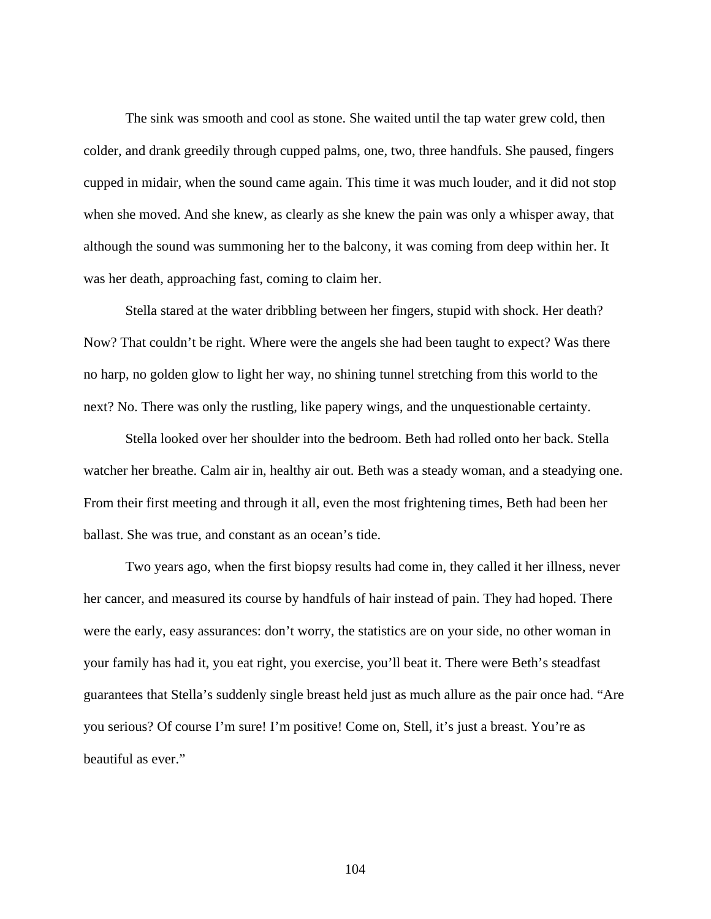The sink was smooth and cool as stone. She waited until the tap water grew cold, then colder, and drank greedily through cupped palms, one, two, three handfuls. She paused, fingers cupped in midair, when the sound came again. This time it was much louder, and it did not stop when she moved. And she knew, as clearly as she knew the pain was only a whisper away, that although the sound was summoning her to the balcony, it was coming from deep within her. It was her death, approaching fast, coming to claim her.

Stella stared at the water dribbling between her fingers, stupid with shock. Her death? Now? That couldn't be right. Where were the angels she had been taught to expect? Was there no harp, no golden glow to light her way, no shining tunnel stretching from this world to the next? No. There was only the rustling, like papery wings, and the unquestionable certainty.

Stella looked over her shoulder into the bedroom. Beth had rolled onto her back. Stella watcher her breathe. Calm air in, healthy air out. Beth was a steady woman, and a steadying one. From their first meeting and through it all, even the most frightening times, Beth had been her ballast. She was true, and constant as an ocean's tide.

Two years ago, when the first biopsy results had come in, they called it her illness, never her cancer, and measured its course by handfuls of hair instead of pain. They had hoped. There were the early, easy assurances: don't worry, the statistics are on your side, no other woman in your family has had it, you eat right, you exercise, you'll beat it. There were Beth's steadfast guarantees that Stella's suddenly single breast held just as much allure as the pair once had. "Are you serious? Of course I'm sure! I'm positive! Come on, Stell, it's just a breast. You're as beautiful as ever."

104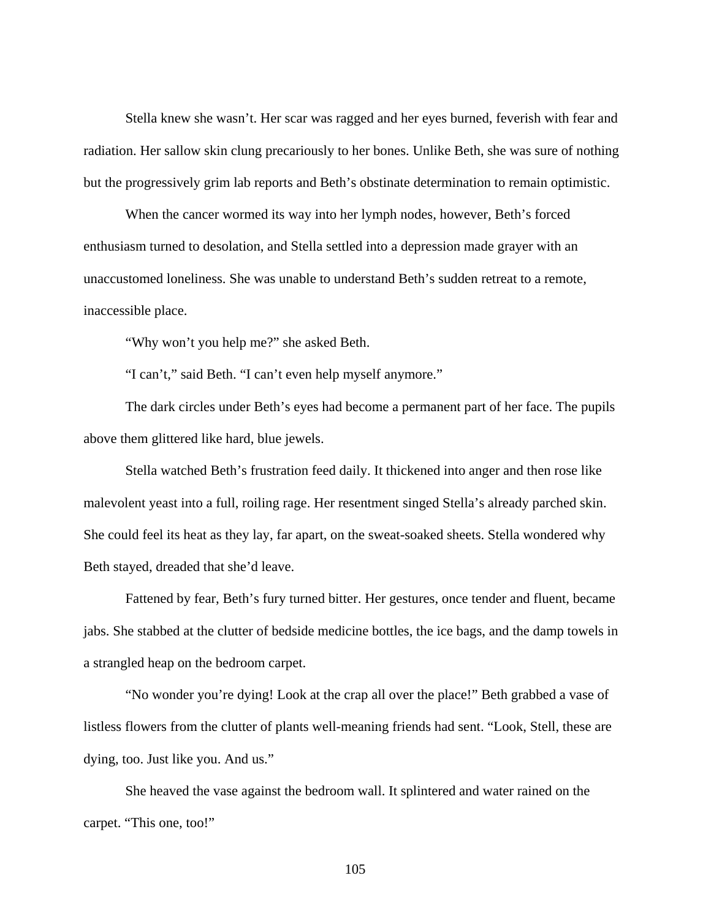Stella knew she wasn't. Her scar was ragged and her eyes burned, feverish with fear and radiation. Her sallow skin clung precariously to her bones. Unlike Beth, she was sure of nothing but the progressively grim lab reports and Beth's obstinate determination to remain optimistic.

When the cancer wormed its way into her lymph nodes, however, Beth's forced enthusiasm turned to desolation, and Stella settled into a depression made grayer with an unaccustomed loneliness. She was unable to understand Beth's sudden retreat to a remote, inaccessible place.

"Why won't you help me?" she asked Beth.

"I can't," said Beth. "I can't even help myself anymore."

The dark circles under Beth's eyes had become a permanent part of her face. The pupils above them glittered like hard, blue jewels.

Stella watched Beth's frustration feed daily. It thickened into anger and then rose like malevolent yeast into a full, roiling rage. Her resentment singed Stella's already parched skin. She could feel its heat as they lay, far apart, on the sweat-soaked sheets. Stella wondered why Beth stayed, dreaded that she'd leave.

Fattened by fear, Beth's fury turned bitter. Her gestures, once tender and fluent, became jabs. She stabbed at the clutter of bedside medicine bottles, the ice bags, and the damp towels in a strangled heap on the bedroom carpet.

"No wonder you're dying! Look at the crap all over the place!" Beth grabbed a vase of listless flowers from the clutter of plants well-meaning friends had sent. "Look, Stell, these are dying, too. Just like you. And us."

She heaved the vase against the bedroom wall. It splintered and water rained on the carpet. "This one, too!"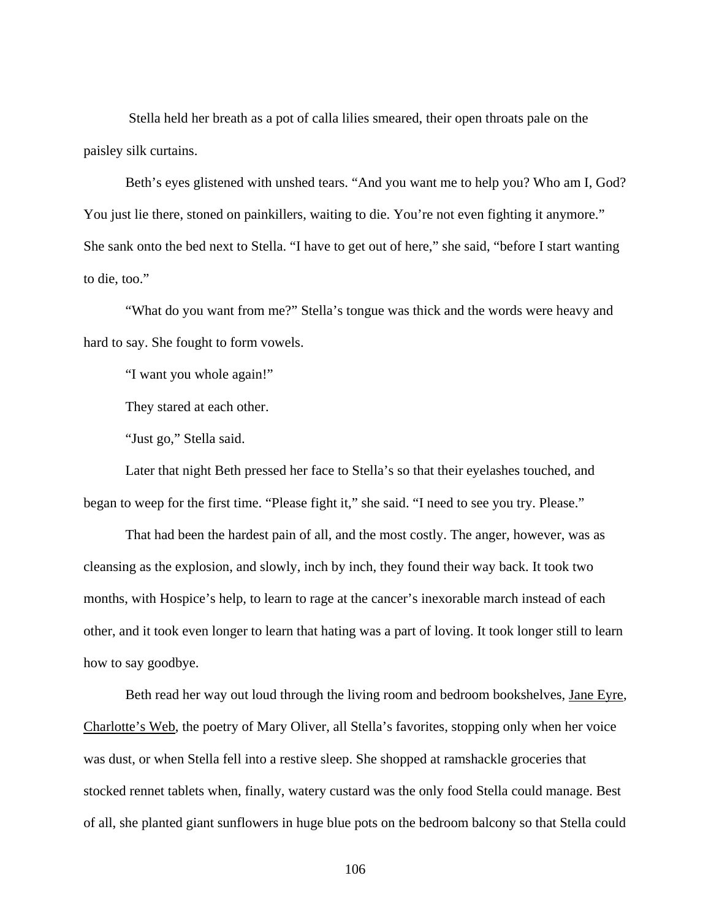Stella held her breath as a pot of calla lilies smeared, their open throats pale on the paisley silk curtains.

Beth's eyes glistened with unshed tears. "And you want me to help you? Who am I, God? You just lie there, stoned on painkillers, waiting to die. You're not even fighting it anymore." She sank onto the bed next to Stella. "I have to get out of here," she said, "before I start wanting to die, too."

"What do you want from me?" Stella's tongue was thick and the words were heavy and hard to say. She fought to form vowels.

"I want you whole again!"

They stared at each other.

"Just go," Stella said.

Later that night Beth pressed her face to Stella's so that their eyelashes touched, and began to weep for the first time. "Please fight it," she said. "I need to see you try. Please."

That had been the hardest pain of all, and the most costly. The anger, however, was as cleansing as the explosion, and slowly, inch by inch, they found their way back. It took two months, with Hospice's help, to learn to rage at the cancer's inexorable march instead of each other, and it took even longer to learn that hating was a part of loving. It took longer still to learn how to say goodbye.

Beth read her way out loud through the living room and bedroom bookshelves, Jane Eyre, Charlotte's Web, the poetry of Mary Oliver, all Stella's favorites, stopping only when her voice was dust, or when Stella fell into a restive sleep. She shopped at ramshackle groceries that stocked rennet tablets when, finally, watery custard was the only food Stella could manage. Best of all, she planted giant sunflowers in huge blue pots on the bedroom balcony so that Stella could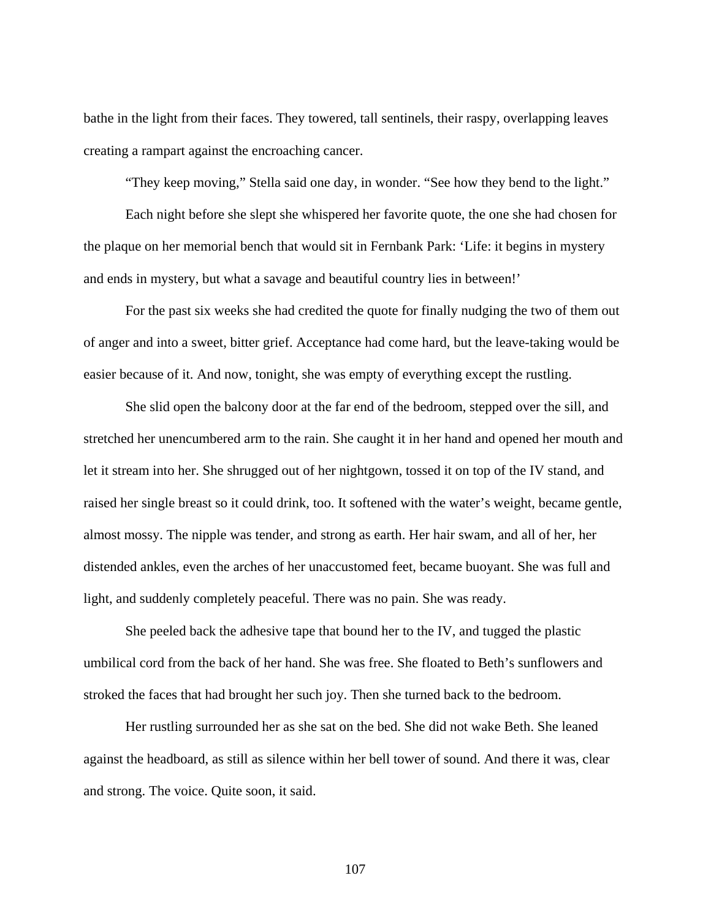bathe in the light from their faces. They towered, tall sentinels, their raspy, overlapping leaves creating a rampart against the encroaching cancer.

"They keep moving," Stella said one day, in wonder. "See how they bend to the light."

Each night before she slept she whispered her favorite quote, the one she had chosen for the plaque on her memorial bench that would sit in Fernbank Park: 'Life: it begins in mystery and ends in mystery, but what a savage and beautiful country lies in between!'

For the past six weeks she had credited the quote for finally nudging the two of them out of anger and into a sweet, bitter grief. Acceptance had come hard, but the leave-taking would be easier because of it. And now, tonight, she was empty of everything except the rustling.

She slid open the balcony door at the far end of the bedroom, stepped over the sill, and stretched her unencumbered arm to the rain. She caught it in her hand and opened her mouth and let it stream into her. She shrugged out of her nightgown, tossed it on top of the IV stand, and raised her single breast so it could drink, too. It softened with the water's weight, became gentle, almost mossy. The nipple was tender, and strong as earth. Her hair swam, and all of her, her distended ankles, even the arches of her unaccustomed feet, became buoyant. She was full and light, and suddenly completely peaceful. There was no pain. She was ready.

She peeled back the adhesive tape that bound her to the IV, and tugged the plastic umbilical cord from the back of her hand. She was free. She floated to Beth's sunflowers and stroked the faces that had brought her such joy. Then she turned back to the bedroom.

Her rustling surrounded her as she sat on the bed. She did not wake Beth. She leaned against the headboard, as still as silence within her bell tower of sound. And there it was, clear and strong. The voice. Quite soon, it said.

107